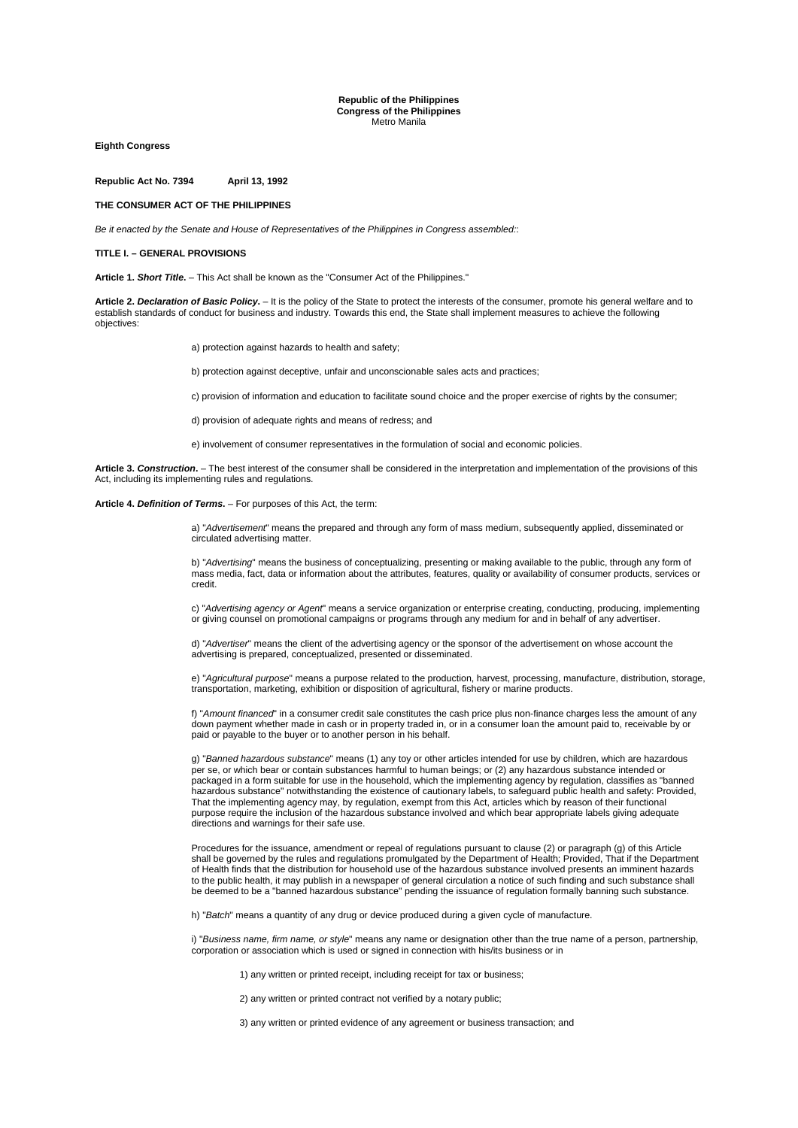**Republic of the Philippines Congress of the Philippines** Metro Manila

**Eighth Congress** 

**Republic Act No. 7394 April 13, 1992** 

# **THE CONSUMER ACT OF THE PHILIPPINES**

*Be it enacted by the Senate and House of Representatives of the Philippines in Congress assembled:*:

#### **TITLE I. – GENERAL PROVISIONS**

**Article 1.** *Short Title***.** – This Act shall be known as the "Consumer Act of the Philippines."

**Article 2.** *Declaration of Basic Policy***.** – It is the policy of the State to protect the interests of the consumer, promote his general welfare and to establish standards of conduct for business and industry. Towards this end, the State shall implement measures to achieve the following objectives:

a) protection against hazards to health and safety:

b) protection against deceptive, unfair and unconscionable sales acts and practices;

c) provision of information and education to facilitate sound choice and the proper exercise of rights by the consumer;

d) provision of adequate rights and means of redress; and

e) involvement of consumer representatives in the formulation of social and economic policies.

**Article 3.** *Construction***.** – The best interest of the consumer shall be considered in the interpretation and implementation of the provisions of this Act, including its implementing rules and regulations.

**Article 4.** *Definition of Terms***.** – For purposes of this Act, the term:

a) "*Advertisement*" means the prepared and through any form of mass medium, subsequently applied, disseminated or circulated advertising matter.

b) "*Advertising*" means the business of conceptualizing, presenting or making available to the public, through any form of mass media, fact, data or information about the attributes, features, quality or availability of consumer products, services or credit.

c) "*Advertising agency or Agent*" means a service organization or enterprise creating, conducting, producing, implementing or giving counsel on promotional campaigns or programs through any medium for and in behalf of any advertiser.

d) "*Advertiser*" means the client of the advertising agency or the sponsor of the advertisement on whose account the advertising is prepared, conceptualized, presented or disseminated.

e) "*Agricultural purpose*" means a purpose related to the production, harvest, processing, manufacture, distribution, storage, transportation, marketing, exhibition or disposition of agricultural, fishery or marine products.

f) "*Amount financed*" in a consumer credit sale constitutes the cash price plus non-finance charges less the amount of any down payment whether made in cash or in property traded in, or in a consumer loan the amount paid to, receivable by or paid or payable to the buyer or to another person in his behalf.

g) "*Banned hazardous substance*" means (1) any toy or other articles intended for use by children, which are hazardous per se, or which bear or contain substances harmful to human beings; or (2) any hazardous substance intended or packaged in a form suitable for use in the household, which the implementing agency by regulation, classifies as "banned hazardous substance" notwithstanding the existence of cautionary labels, to safeguard public health and safety: Provided, That the implementing agency may, by regulation, exempt from this Act, articles which by reason of their functional purpose require the inclusion of the hazardous substance involved and which bear appropriate labels giving adequate directions and warnings for their safe use.

Procedures for the issuance, amendment or repeal of regulations pursuant to clause (2) or paragraph (g) of this Article shall be governed by the rules and regulations promulgated by the Department of Health; Provided, That if the Department of Health finds that the distribution for household use of the hazardous substance involved presents an imminent hazards to the public health, it may publish in a newspaper of general circulation a notice of such finding and such substance shall be deemed to be a "banned hazardous substance" pending the issuance of regulation formally banning such substance.

h) "*Batch*" means a quantity of any drug or device produced during a given cycle of manufacture.

i) "*Business name, firm name, or style*" means any name or designation other than the true name of a person, partnership, corporation or association which is used or signed in connection with his/its business or in

1) any written or printed receipt, including receipt for tax or business;

2) any written or printed contract not verified by a notary public;

3) any written or printed evidence of any agreement or business transaction; and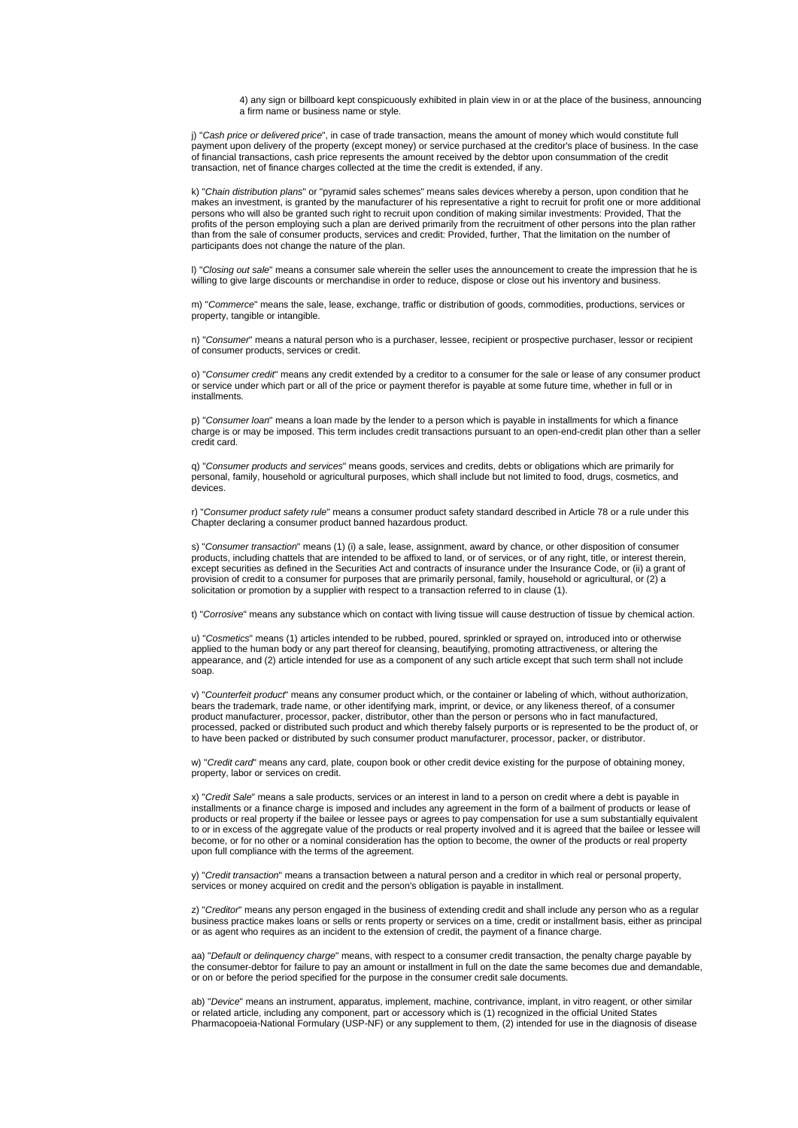4) any sign or billboard kept conspicuously exhibited in plain view in or at the place of the business, announcing a firm name or business name or style.

j) "*Cash price or delivered price*", in case of trade transaction, means the amount of money which would constitute full payment upon delivery of the property (except money) or service purchased at the creditor's place of business. In the case of financial transactions, cash price represents the amount received by the debtor upon consummation of the credit transaction, net of finance charges collected at the time the credit is extended, if any.

k) "*Chain distribution plans*" or "pyramid sales schemes" means sales devices whereby a person, upon condition that he makes an investment, is granted by the manufacturer of his representative a right to recruit for profit one or more additional persons who will also be granted such right to recruit upon condition of making similar investments: Provided, That the profits of the person employing such a plan are derived primarily from the recruitment of other persons into the plan rather than from the sale of consumer products, services and credit: Provided, further, That the limitation on the number of participants does not change the nature of the plan.

l) "*Closing out sale*" means a consumer sale wherein the seller uses the announcement to create the impression that he is willing to give large discounts or merchandise in order to reduce, dispose or close out his inventory and business.

m) "*Commerce*" means the sale, lease, exchange, traffic or distribution of goods, commodities, productions, services or property, tangible or intangible.

n) "*Consumer*" means a natural person who is a purchaser, lessee, recipient or prospective purchaser, lessor or recipient of consumer products, services or credit.

o) "*Consumer credit*" means any credit extended by a creditor to a consumer for the sale or lease of any consumer product or service under which part or all of the price or payment therefor is payable at some future time, whether in full or in installments.

p) "*Consumer loan*" means a loan made by the lender to a person which is payable in installments for which a finance charge is or may be imposed. This term includes credit transactions pursuant to an open-end-credit plan other than a seller credit card.

q) "*Consumer products and services*" means goods, services and credits, debts or obligations which are primarily for personal, family, household or agricultural purposes, which shall include but not limited to food, drugs, cosmetics, and devices.

r) "*Consumer product safety rule*" means a consumer product safety standard described in Article 78 or a rule under this Chapter declaring a consumer product banned hazardous product.

s) "*Consumer transaction*" means (1) (i) a sale, lease, assignment, award by chance, or other disposition of consumer products, including chattels that are intended to be affixed to land, or of services, or of any right, title, or interest therein, except securities as defined in the Securities Act and contracts of insurance under the Insurance Code, or (ii) a grant of provision of credit to a consumer for purposes that are primarily personal, family, household or agricultural, or (2) a solicitation or promotion by a supplier with respect to a transaction referred to in clause (1).

t) "*Corrosive*" means any substance which on contact with living tissue will cause destruction of tissue by chemical action.

u) "*Cosmetics*" means (1) articles intended to be rubbed, poured, sprinkled or sprayed on, introduced into or otherwise applied to the human body or any part thereof for cleansing, beautifying, promoting attractiveness, or altering the appearance, and (2) article intended for use as a component of any such article except that such term shall not include soap.

v) "*Counterfeit product*" means any consumer product which, or the container or labeling of which, without authorization, bears the trademark, trade name, or other identifying mark, imprint, or device, or any likeness thereof, of a consumer product manufacturer, processor, packer, distributor, other than the person or persons who in fact manufactured, processed, packed or distributed such product and which thereby falsely purports or is represented to be the product of, or to have been packed or distributed by such consumer product manufacturer, processor, packer, or distributor.

w) "*Credit card*" means any card, plate, coupon book or other credit device existing for the purpose of obtaining money, property, labor or services on credit.

x) "*Credit Sale*" means a sale products, services or an interest in land to a person on credit where a debt is payable in installments or a finance charge is imposed and includes any agreement in the form of a bailment of products or lease of products or real property if the bailee or lessee pays or agrees to pay compensation for use a sum substantially equivalent to or in excess of the aggregate value of the products or real property involved and it is agreed that the bailee or lessee will become, or for no other or a nominal consideration has the option to become, the owner of the products or real property upon full compliance with the terms of the agreement.

y) "*Credit transaction*" means a transaction between a natural person and a creditor in which real or personal property, services or money acquired on credit and the person's obligation is payable in installment.

z) "*Creditor*" means any person engaged in the business of extending credit and shall include any person who as a regular business practice makes loans or sells or rents property or services on a time, credit or installment basis, either as principal or as agent who requires as an incident to the extension of credit, the payment of a finance charge.

aa) "*Default or delinquency charge*" means, with respect to a consumer credit transaction, the penalty charge payable by the consumer-debtor for failure to pay an amount or installment in full on the date the same becomes due and demandable, or on or before the period specified for the purpose in the consumer credit sale documents.

ab) "*Device*" means an instrument, apparatus, implement, machine, contrivance, implant, in vitro reagent, or other similar or related article, including any component, part or accessory which is (1) recognized in the official United States Pharmacopoeia-National Formulary (USP-NF) or any supplement to them, (2) intended for use in the diagnosis of disease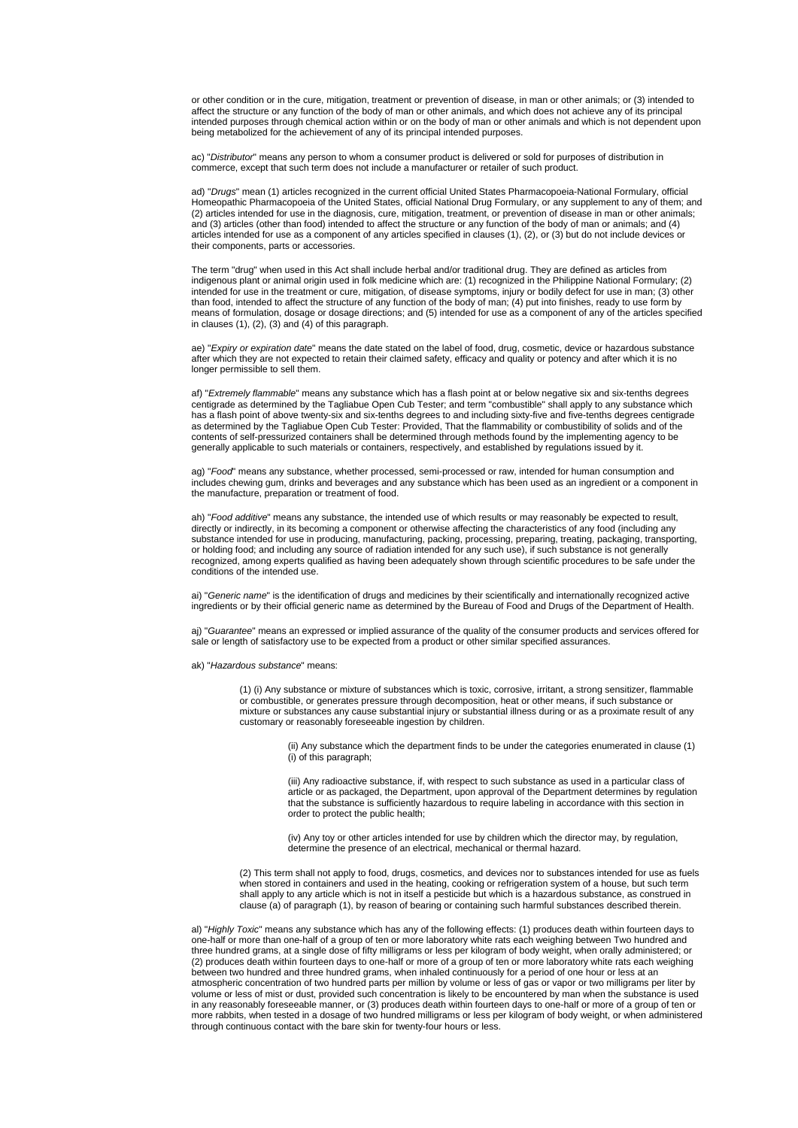or other condition or in the cure, mitigation, treatment or prevention of disease, in man or other animals; or (3) intended to affect the structure or any function of the body of man or other animals, and which does not achieve any of its principal intended purposes through chemical action within or on the body of man or other animals and which is not dependent upon being metabolized for the achievement of any of its principal intended purposes.

ac) "*Distributor*" means any person to whom a consumer product is delivered or sold for purposes of distribution in commerce, except that such term does not include a manufacturer or retailer of such product.

ad) "*Drugs*" mean (1) articles recognized in the current official United States Pharmacopoeia-National Formulary, official Homeopathic Pharmacopoeia of the United States, official National Drug Formulary, or any supplement to any of them; and (2) articles intended for use in the diagnosis, cure, mitigation, treatment, or prevention of disease in man or other animals; and (3) articles (other than food) intended to affect the structure or any function of the body of man or animals; and (4) articles intended for use as a component of any articles specified in clauses (1), (2), or (3) but do not include devices or their components, parts or accessories.

The term "drug" when used in this Act shall include herbal and/or traditional drug. They are defined as articles from indigenous plant or animal origin used in folk medicine which are: (1) recognized in the Philippine National Formulary; (2) intended for use in the treatment or cure, mitigation, of disease symptoms, injury or bodily defect for use in man; (3) other than food, intended to affect the structure of any function of the body of man; (4) put into finishes, ready to use form by means of formulation, dosage or dosage directions; and (5) intended for use as a component of any of the articles specified in clauses  $(1)$ ,  $(2)$ ,  $(3)$  and  $(4)$  of this paragraph.

ae) "*Expiry or expiration date*" means the date stated on the label of food, drug, cosmetic, device or hazardous substance after which they are not expected to retain their claimed safety, efficacy and quality or potency and after which it is no longer permissible to sell them.

af) "*Extremely flammable*" means any substance which has a flash point at or below negative six and six-tenths degrees centigrade as determined by the Tagliabue Open Cub Tester; and term "combustible" shall apply to any substance which has a flash point of above twenty-six and six-tenths degrees to and including sixty-five and five-tenths degrees centigrade as determined by the Tagliabue Open Cub Tester: Provided, That the flammability or combustibility of solids and of the contents of self-pressurized containers shall be determined through methods found by the implementing agency to be generally applicable to such materials or containers, respectively, and established by regulations issued by it.

ag) "*Food*" means any substance, whether processed, semi-processed or raw, intended for human consumption and includes chewing gum, drinks and beverages and any substance which has been used as an ingredient or a component in the manufacture, preparation or treatment of food.

ah) "*Food additive*" means any substance, the intended use of which results or may reasonably be expected to result, directly or indirectly, in its becoming a component or otherwise affecting the characteristics of any food (including any substance intended for use in producing, manufacturing, packing, processing, preparing, treating, packaging, transporting, or holding food; and including any source of radiation intended for any such use), if such substance is not generally recognized, among experts qualified as having been adequately shown through scientific procedures to be safe under the conditions of the intended use.

ai) "*Generic name*" is the identification of drugs and medicines by their scientifically and internationally recognized active ingredients or by their official generic name as determined by the Bureau of Food and Drugs of the Department of Health.

aj) "*Guarantee*" means an expressed or implied assurance of the quality of the consumer products and services offered for sale or length of satisfactory use to be expected from a product or other similar specified assurances.

ak) "*Hazardous substance*" means:

(1) (i) Any substance or mixture of substances which is toxic, corrosive, irritant, a strong sensitizer, flammable or combustible, or generates pressure through decomposition, heat or other means, if such substance or mixture or substances any cause substantial injury or substantial illness during or as a proximate result of any customary or reasonably foreseeable ingestion by children.

> (ii) Any substance which the department finds to be under the categories enumerated in clause (1) (i) of this paragraph;

> (iii) Any radioactive substance, if, with respect to such substance as used in a particular class of article or as packaged, the Department, upon approval of the Department determines by regulation that the substance is sufficiently hazardous to require labeling in accordance with this section in order to protect the public health;

(iv) Any toy or other articles intended for use by children which the director may, by regulation, determine the presence of an electrical, mechanical or thermal hazard.

(2) This term shall not apply to food, drugs, cosmetics, and devices nor to substances intended for use as fuels when stored in containers and used in the heating, cooking or refrigeration system of a house, but such term shall apply to any article which is not in itself a pesticide but which is a hazardous substance, as construed in clause (a) of paragraph (1), by reason of bearing or containing such harmful substances described therein.

al) "*Highly Toxic*" means any substance which has any of the following effects: (1) produces death within fourteen days to one-half or more than one-half of a group of ten or more laboratory white rats each weighing between Two hundred and three hundred grams, at a single dose of fifty milligrams or less per kilogram of body weight, when orally administered; or (2) produces death within fourteen days to one-half or more of a group of ten or more laboratory white rats each weighing between two hundred and three hundred grams, when inhaled continuously for a period of one hour or less at an atmospheric concentration of two hundred parts per million by volume or less of gas or vapor or two milligrams per liter by volume or less of mist or dust, provided such concentration is likely to be encountered by man when the substance is used in any reasonably foreseeable manner, or (3) produces death within fourteen days to one-half or more of a group of ten or more rabbits, when tested in a dosage of two hundred milligrams or less per kilogram of body weight, or when administered through continuous contact with the bare skin for twenty-four hours or less.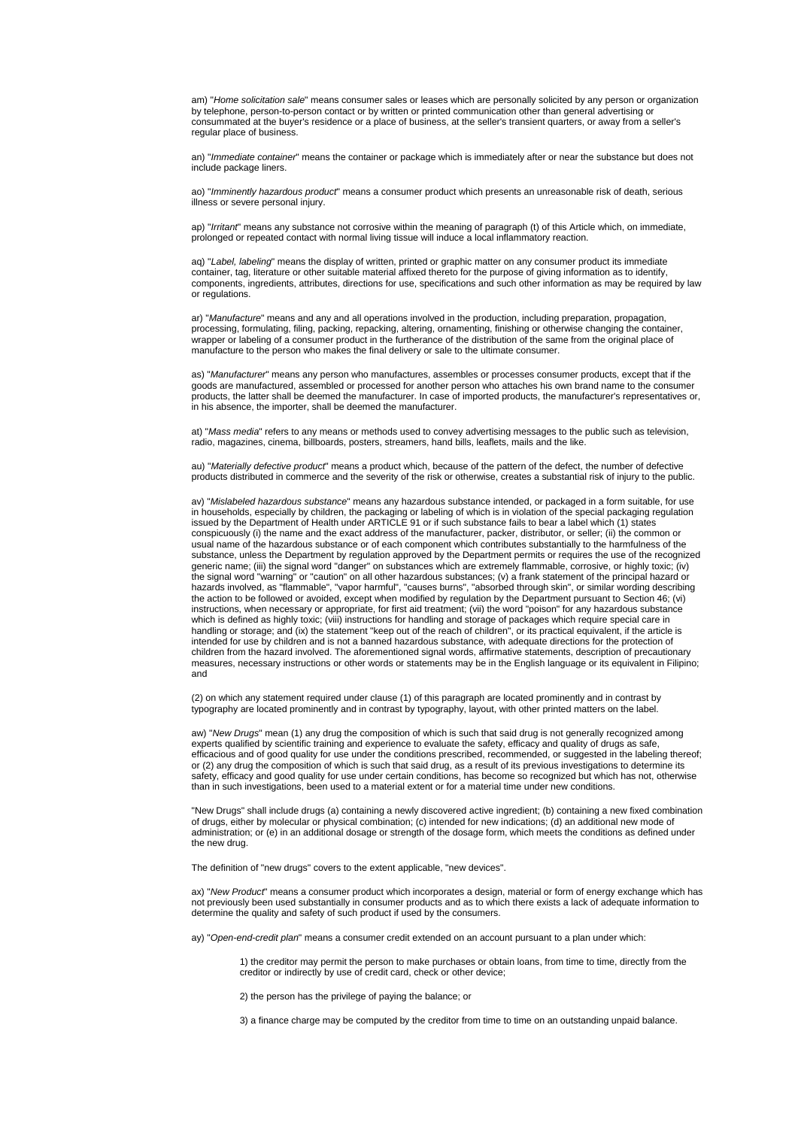am) "*Home solicitation sale*" means consumer sales or leases which are personally solicited by any person or organization by telephone, person-to-person contact or by written or printed communication other than general advertising or consummated at the buyer's residence or a place of business, at the seller's transient quarters, or away from a seller's regular place of business.

an) "*Immediate container*" means the container or package which is immediately after or near the substance but does not include package liners.

ao) "*Imminently hazardous product*" means a consumer product which presents an unreasonable risk of death, serious illness or severe personal injury.

ap) "*Irritant*" means any substance not corrosive within the meaning of paragraph (t) of this Article which, on immediate, prolonged or repeated contact with normal living tissue will induce a local inflammatory reaction.

aq) "*Label, labeling*" means the display of written, printed or graphic matter on any consumer product its immediate container, tag, literature or other suitable material affixed thereto for the purpose of giving information as to identify, components, ingredients, attributes, directions for use, specifications and such other information as may be required by law or regulations.

ar) "*Manufacture*" means and any and all operations involved in the production, including preparation, propagation, processing, formulating, filing, packing, repacking, altering, ornamenting, finishing or otherwise changing the container, wrapper or labeling of a consumer product in the furtherance of the distribution of the same from the original place of manufacture to the person who makes the final delivery or sale to the ultimate consumer.

as) "*Manufacturer*" means any person who manufactures, assembles or processes consumer products, except that if the goods are manufactured, assembled or processed for another person who attaches his own brand name to the consumer products, the latter shall be deemed the manufacturer. In case of imported products, the manufacturer's representatives or, in his absence, the importer, shall be deemed the manufacturer.

at) "*Mass media*" refers to any means or methods used to convey advertising messages to the public such as television, radio, magazines, cinema, billboards, posters, streamers, hand bills, leaflets, mails and the like.

au) "*Materially defective product*" means a product which, because of the pattern of the defect, the number of defective products distributed in commerce and the severity of the risk or otherwise, creates a substantial risk of injury to the public.

av) "*Mislabeled hazardous substance*" means any hazardous substance intended, or packaged in a form suitable, for use in households, especially by children, the packaging or labeling of which is in violation of the special packaging regulation issued by the Department of Health under ARTICLE 91 or if such substance fails to bear a label which (1) states conspicuously (i) the name and the exact address of the manufacturer, packer, distributor, or seller; (ii) the common or usual name of the hazardous substance or of each component which contributes substantially to the harmfulness of the substance, unless the Department by regulation approved by the Department permits or requires the use of the recognized generic name; (iii) the signal word "danger" on substances which are extremely flammable, corrosive, or highly toxic; (iv) the signal word "warning" or "caution" on all other hazardous substances; (v) a frank statement of the principal hazard or hazards involved, as "flammable", "vapor harmful", "causes burns", "absorbed through skin", or similar wording describing the action to be followed or avoided, except when modified by regulation by the Department pursuant to Section 46; (vi) instructions, when necessary or appropriate, for first aid treatment; (vii) the word "poison" for any hazardous substance which is defined as highly toxic; (viii) instructions for handling and storage of packages which require special care in handling or storage; and (ix) the statement "keep out of the reach of children", or its practical equivalent, if the article is intended for use by children and is not a banned hazardous substance, with adequate directions for the protection of children from the hazard involved. The aforementioned signal words, affirmative statements, description of precautionary measures, necessary instructions or other words or statements may be in the English language or its equivalent in Filipino; and

(2) on which any statement required under clause (1) of this paragraph are located prominently and in contrast by typography are located prominently and in contrast by typography, layout, with other printed matters on the label.

aw) "*New Drugs*" mean (1) any drug the composition of which is such that said drug is not generally recognized among experts qualified by scientific training and experience to evaluate the safety, efficacy and quality of drugs as safe, efficacious and of good quality for use under the conditions prescribed, recommended, or suggested in the labeling thereof; or (2) any drug the composition of which is such that said drug, as a result of its previous investigations to determine its safety, efficacy and good quality for use under certain conditions, has become so recognized but which has not, otherwise than in such investigations, been used to a material extent or for a material time under new conditions.

"New Drugs" shall include drugs (a) containing a newly discovered active ingredient; (b) containing a new fixed combination of drugs, either by molecular or physical combination; (c) intended for new indications; (d) an additional new mode of administration; or (e) in an additional dosage or strength of the dosage form, which meets the conditions as defined under the new drug.

The definition of "new drugs" covers to the extent applicable, "new devices".

ax) "*New Product*" means a consumer product which incorporates a design, material or form of energy exchange which has not previously been used substantially in consumer products and as to which there exists a lack of adequate information to determine the quality and safety of such product if used by the consumers.

ay) "*Open-end-credit plan*" means a consumer credit extended on an account pursuant to a plan under which:

1) the creditor may permit the person to make purchases or obtain loans, from time to time, directly from the creditor or indirectly by use of credit card, check or other device;

2) the person has the privilege of paying the balance; or

3) a finance charge may be computed by the creditor from time to time on an outstanding unpaid balance.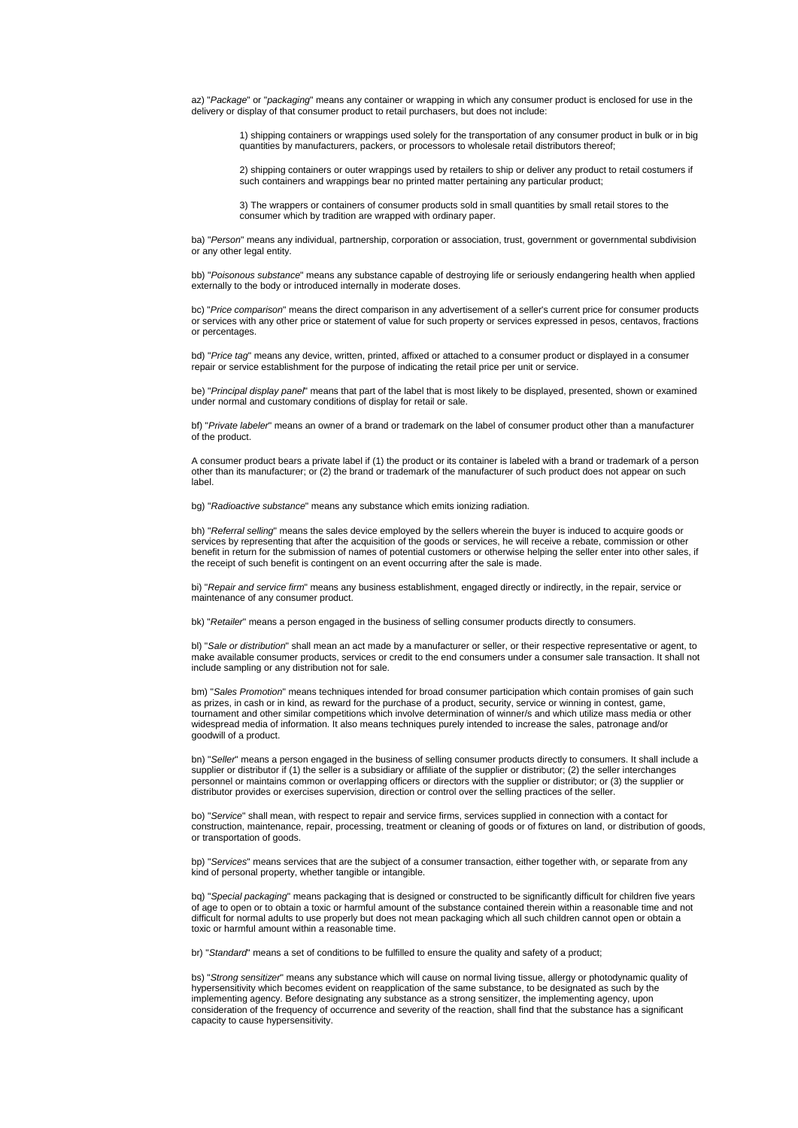az) "*Package*" or "*packaging*" means any container or wrapping in which any consumer product is enclosed for use in the delivery or display of that consumer product to retail purchasers, but does not include:

1) shipping containers or wrappings used solely for the transportation of any consumer product in bulk or in big quantities by manufacturers, packers, or processors to wholesale retail distributors thereof;

2) shipping containers or outer wrappings used by retailers to ship or deliver any product to retail costumers if such containers and wrappings bear no printed matter pertaining any particular product;

3) The wrappers or containers of consumer products sold in small quantities by small retail stores to the consumer which by tradition are wrapped with ordinary paper.

ba) "*Person*" means any individual, partnership, corporation or association, trust, government or governmental subdivision or any other legal entity.

bb) "*Poisonous substance*" means any substance capable of destroying life or seriously endangering health when applied externally to the body or introduced internally in moderate doses.

bc) "*Price comparison*" means the direct comparison in any advertisement of a seller's current price for consumer products or services with any other price or statement of value for such property or services expressed in pesos, centavos, fractions or percentages.

bd) "*Price tag*" means any device, written, printed, affixed or attached to a consumer product or displayed in a consumer repair or service establishment for the purpose of indicating the retail price per unit or service.

be) "*Principal display panel*" means that part of the label that is most likely to be displayed, presented, shown or examined under normal and customary conditions of display for retail or sale.

bf) "*Private labeler*" means an owner of a brand or trademark on the label of consumer product other than a manufacturer of the product.

A consumer product bears a private label if (1) the product or its container is labeled with a brand or trademark of a person other than its manufacturer; or (2) the brand or trademark of the manufacturer of such product does not appear on such label.

bg) "*Radioactive substance*" means any substance which emits ionizing radiation.

bh) "*Referral selling*" means the sales device employed by the sellers wherein the buyer is induced to acquire goods or services by representing that after the acquisition of the goods or services, he will receive a rebate, commission or other benefit in return for the submission of names of potential customers or otherwise helping the seller enter into other sales, if the receipt of such benefit is contingent on an event occurring after the sale is made.

bi) "*Repair and service firm*" means any business establishment, engaged directly or indirectly, in the repair, service or maintenance of any consumer product.

bk) "*Retailer*" means a person engaged in the business of selling consumer products directly to consumers.

bl) "*Sale or distribution*" shall mean an act made by a manufacturer or seller, or their respective representative or agent, to make available consumer products, services or credit to the end consumers under a consumer sale transaction. It shall not include sampling or any distribution not for sale.

bm) "*Sales Promotion*" means techniques intended for broad consumer participation which contain promises of gain such as prizes, in cash or in kind, as reward for the purchase of a product, security, service or winning in contest, game, tournament and other similar competitions which involve determination of winner/s and which utilize mass media or other widespread media of information. It also means techniques purely intended to increase the sales, patronage and/or goodwill of a product.

bn) "*Seller*" means a person engaged in the business of selling consumer products directly to consumers. It shall include a supplier or distributor if (1) the seller is a subsidiary or affiliate of the supplier or distributor; (2) the seller interchanges personnel or maintains common or overlapping officers or directors with the supplier or distributor; or (3) the supplier or distributor provides or exercises supervision, direction or control over the selling practices of the seller.

bo) "*Service*" shall mean, with respect to repair and service firms, services supplied in connection with a contact for construction, maintenance, repair, processing, treatment or cleaning of goods or of fixtures on land, or distribution of goods, or transportation of goods.

bp) "*Services*" means services that are the subject of a consumer transaction, either together with, or separate from any kind of personal property, whether tangible or intangible.

bq) "*Special packaging*" means packaging that is designed or constructed to be significantly difficult for children five years of age to open or to obtain a toxic or harmful amount of the substance contained therein within a reasonable time and not difficult for normal adults to use properly but does not mean packaging which all such children cannot open or obtain a toxic or harmful amount within a reasonable time.

br) "*Standard*" means a set of conditions to be fulfilled to ensure the quality and safety of a product;

bs) "*Strong sensitizer*" means any substance which will cause on normal living tissue, allergy or photodynamic quality of hypersensitivity which becomes evident on reapplication of the same substance, to be designated as such by the implementing agency. Before designating any substance as a strong sensitizer, the implementing agency, upon consideration of the frequency of occurrence and severity of the reaction, shall find that the substance has a significant capacity to cause hypersensitivity.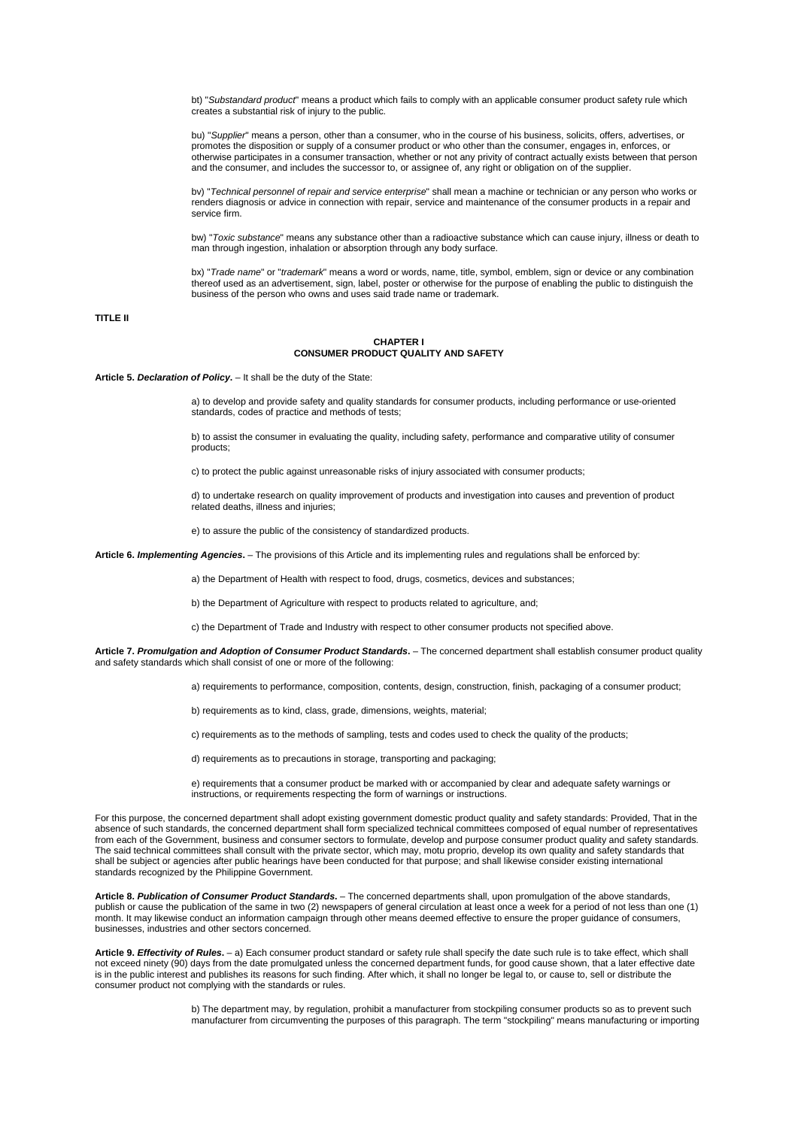bt) "*Substandard product*" means a product which fails to comply with an applicable consumer product safety rule which creates a substantial risk of injury to the public.

bu) "*Supplier*" means a person, other than a consumer, who in the course of his business, solicits, offers, advertises, or promotes the disposition or supply of a consumer product or who other than the consumer, engages in, enforces, or otherwise participates in a consumer transaction, whether or not any privity of contract actually exists between that person and the consumer, and includes the successor to, or assignee of, any right or obligation on of the supplier.

bv) "*Technical personnel of repair and service enterprise*" shall mean a machine or technician or any person who works or renders diagnosis or advice in connection with repair, service and maintenance of the consumer products in a repair and service firm.

bw) "*Toxic substance*" means any substance other than a radioactive substance which can cause injury, illness or death to man through ingestion, inhalation or absorption through any body surface.

bx) "*Trade name*" or "*trademark*" means a word or words, name, title, symbol, emblem, sign or device or any combination thereof used as an advertisement, sign, label, poster or otherwise for the purpose of enabling the public to distinguish the business of the person who owns and uses said trade name or trademark.

# **TITLE II**

#### **CHAPTER I CONSUMER PRODUCT QUALITY AND SAFETY**

**Article 5.** *Declaration of Policy***.** – It shall be the duty of the State:

a) to develop and provide safety and quality standards for consumer products, including performance or use-oriented standards, codes of practice and methods of tests;

b) to assist the consumer in evaluating the quality, including safety, performance and comparative utility of consumer products;

c) to protect the public against unreasonable risks of injury associated with consumer products;

d) to undertake research on quality improvement of products and investigation into causes and prevention of product related deaths, illness and injuries;

e) to assure the public of the consistency of standardized products.

**Article 6.** *Implementing Agencies***.** – The provisions of this Article and its implementing rules and regulations shall be enforced by:

a) the Department of Health with respect to food, drugs, cosmetics, devices and substances;

b) the Department of Agriculture with respect to products related to agriculture, and;

c) the Department of Trade and Industry with respect to other consumer products not specified above.

**Article 7.** *Promulgation and Adoption of Consumer Product Standards***.** – The concerned department shall establish consumer product quality and safety standards which shall consist of one or more of the following:

a) requirements to performance, composition, contents, design, construction, finish, packaging of a consumer product;

b) requirements as to kind, class, grade, dimensions, weights, material;

c) requirements as to the methods of sampling, tests and codes used to check the quality of the products;

d) requirements as to precautions in storage, transporting and packaging;

e) requirements that a consumer product be marked with or accompanied by clear and adequate safety warnings or instructions, or requirements respecting the form of warnings or instructions.

For this purpose, the concerned department shall adopt existing government domestic product quality and safety standards: Provided, That in the absence of such standards, the concerned department shall form specialized technical committees composed of equal number of representatives from each of the Government, business and consumer sectors to formulate, develop and purpose consumer product quality and safety standards. The said technical committees shall consult with the private sector, which may, motu proprio, develop its own quality and safety standards that shall be subject or agencies after public hearings have been conducted for that purpose; and shall likewise consider existing international standards recognized by the Philippine Government.

**Article 8.** *Publication of Consumer Product Standards***.** – The concerned departments shall, upon promulgation of the above standards, publish or cause the publication of the same in two (2) newspapers of general circulation at least once a week for a period of not less than one (1) month. It may likewise conduct an information campaign through other means deemed effective to ensure the proper guidance of consumers, businesses, industries and other sectors concerned.

**Article 9.** *Effectivity of Rules***.** – a) Each consumer product standard or safety rule shall specify the date such rule is to take effect, which shall not exceed ninety (90) days from the date promulgated unless the concerned department funds, for good cause shown, that a later effective date is in the public interest and publishes its reasons for such finding. After which, it shall no longer be legal to, or cause to, sell or distribute the consumer product not complying with the standards or rules.

> b) The department may, by regulation, prohibit a manufacturer from stockpiling consumer products so as to prevent such manufacturer from circumventing the purposes of this paragraph. The term "stockpiling" means manufacturing or importing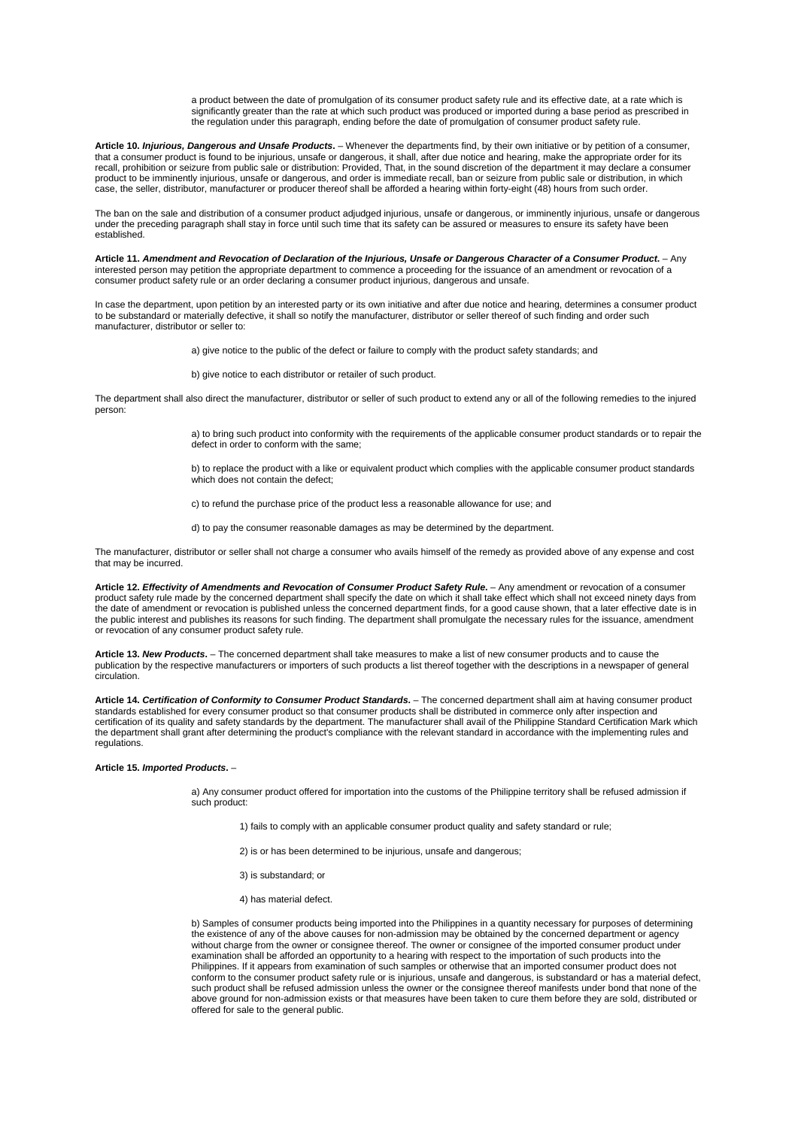a product between the date of promulgation of its consumer product safety rule and its effective date, at a rate which is significantly greater than the rate at which such product was produced or imported during a base period as prescribed in the regulation under this paragraph, ending before the date of promulgation of consumer product safety rule.

**Article 10.** *Injurious, Dangerous and Unsafe Products***.** – Whenever the departments find, by their own initiative or by petition of a consumer, that a consumer product is found to be injurious, unsafe or dangerous, it shall, after due notice and hearing, make the appropriate order for its recall, prohibition or seizure from public sale or distribution: Provided, That, in the sound discretion of the department it may declare a consumer product to be imminently injurious, unsafe or dangerous, and order is immediate recall, ban or seizure from public sale or distribution, in which case, the seller, distributor, manufacturer or producer thereof shall be afforded a hearing within forty-eight (48) hours from such order.

The ban on the sale and distribution of a consumer product adjudged injurious, unsafe or dangerous, or imminently injurious, unsafe or dangerous under the preceding paragraph shall stay in force until such time that its safety can be assured or measures to ensure its safety have been established.

**Article 11.** *Amendment and Revocation of Declaration of the Injurious, Unsafe or Dangerous Character of a Consumer Product***.** – Any interested person may petition the appropriate department to commence a proceeding for the issuance of an amendment or revocation of a consumer product safety rule or an order declaring a consumer product injurious, dangerous and unsafe.

In case the department, upon petition by an interested party or its own initiative and after due notice and hearing, determines a consumer product to be substandard or materially defective, it shall so notify the manufacturer, distributor or seller thereof of such finding and order such manufacturer, distributor or seller to:

a) give notice to the public of the defect or failure to comply with the product safety standards; and

b) give notice to each distributor or retailer of such product.

The department shall also direct the manufacturer, distributor or seller of such product to extend any or all of the following remedies to the injured person:

> a) to bring such product into conformity with the requirements of the applicable consumer product standards or to repair the defect in order to conform with the same;

b) to replace the product with a like or equivalent product which complies with the applicable consumer product standards which does not contain the defect;

c) to refund the purchase price of the product less a reasonable allowance for use; and

d) to pay the consumer reasonable damages as may be determined by the department.

The manufacturer, distributor or seller shall not charge a consumer who avails himself of the remedy as provided above of any expense and cost that may be incurred.

**Article 12.** *Effectivity of Amendments and Revocation of Consumer Product Safety Rule***.** – Any amendment or revocation of a consumer product safety rule made by the concerned department shall specify the date on which it shall take effect which shall not exceed ninety days from the date of amendment or revocation is published unless the concerned department finds, for a good cause shown, that a later effective date is in the public interest and publishes its reasons for such finding. The department shall promulgate the necessary rules for the issuance, amendment or revocation of any consumer product safety rule.

**Article 13.** *New Products***.** – The concerned department shall take measures to make a list of new consumer products and to cause the publication by the respective manufacturers or importers of such products a list thereof together with the descriptions in a newspaper of general circulation.

**Article 14.** *Certification of Conformity to Consumer Product Standards***.** – The concerned department shall aim at having consumer product standards established for every consumer product so that consumer products shall be distributed in commerce only after inspection and certification of its quality and safety standards by the department. The manufacturer shall avail of the Philippine Standard Certification Mark which the department shall grant after determining the product's compliance with the relevant standard in accordance with the implementing rules and regulations

# **Article 15.** *Imported Products***.** –

a) Any consumer product offered for importation into the customs of the Philippine territory shall be refused admission if such product:

- 1) fails to comply with an applicable consumer product quality and safety standard or rule;
- 2) is or has been determined to be injurious, unsafe and dangerous;
- 3) is substandard; or
- 4) has material defect.

b) Samples of consumer products being imported into the Philippines in a quantity necessary for purposes of determining the existence of any of the above causes for non-admission may be obtained by the concerned department or agency without charge from the owner or consignee thereof. The owner or consignee of the imported consumer product under examination shall be afforded an opportunity to a hearing with respect to the importation of such products into the Philippines. If it appears from examination of such samples or otherwise that an imported consumer product does not conform to the consumer product safety rule or is injurious, unsafe and dangerous, is substandard or has a material defect, such product shall be refused admission unless the owner or the consignee thereof manifests under bond that none of the above ground for non-admission exists or that measures have been taken to cure them before they are sold, distributed or offered for sale to the general public.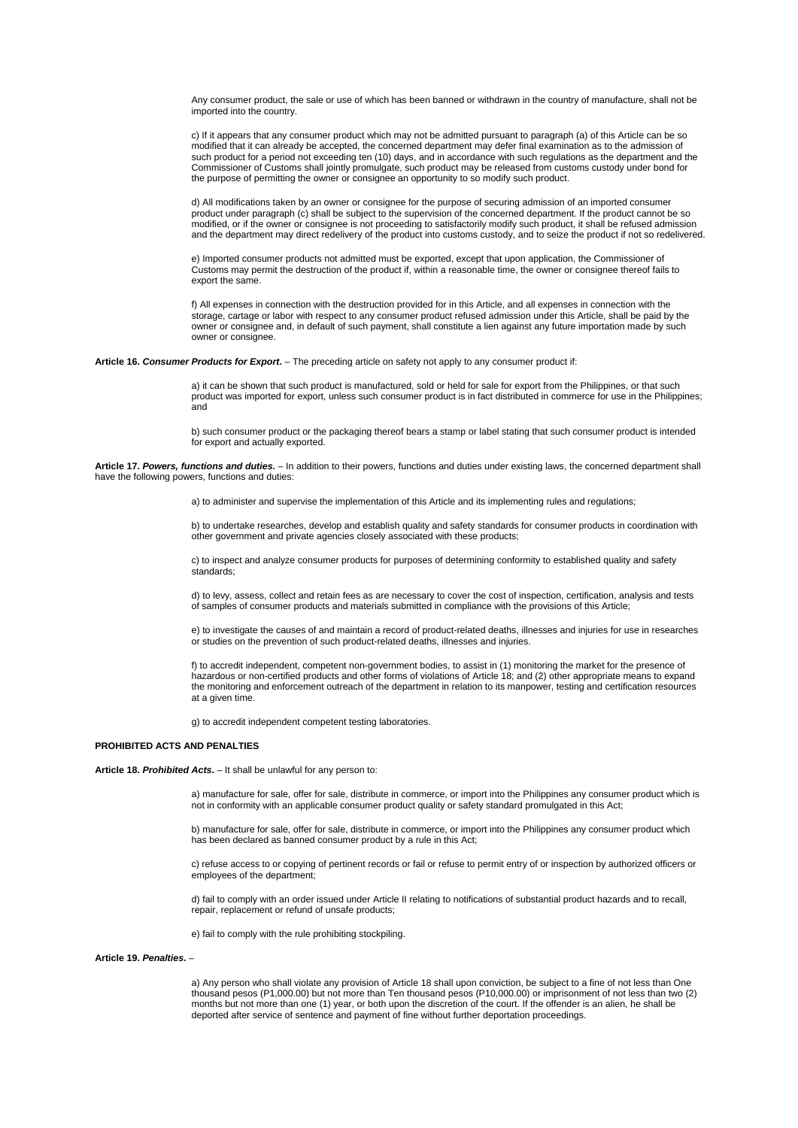Any consumer product, the sale or use of which has been banned or withdrawn in the country of manufacture, shall not be imported into the country.

c) If it appears that any consumer product which may not be admitted pursuant to paragraph (a) of this Article can be so modified that it can already be accepted, the concerned department may defer final examination as to the admission of such product for a period not exceeding ten (10) days, and in accordance with such regulations as the department and the Commissioner of Customs shall jointly promulgate, such product may be released from customs custody under bond for the purpose of permitting the owner or consignee an opportunity to so modify such product.

d) All modifications taken by an owner or consignee for the purpose of securing admission of an imported consumer product under paragraph (c) shall be subject to the supervision of the concerned department. If the product cannot be so modified, or if the owner or consignee is not proceeding to satisfactorily modify such product, it shall be refused admission and the department may direct redelivery of the product into customs custody, and to seize the product if not so redelivered.

e) Imported consumer products not admitted must be exported, except that upon application, the Commissioner of Customs may permit the destruction of the product if, within a reasonable time, the owner or consignee thereof fails to export the same.

f) All expenses in connection with the destruction provided for in this Article, and all expenses in connection with the storage, cartage or labor with respect to any consumer product refused admission under this Article, shall be paid by the owner or consignee and, in default of such payment, shall constitute a lien against any future importation made by such owner or consignee.

**Article 16.** *Consumer Products for Export***.** – The preceding article on safety not apply to any consumer product if:

a) it can be shown that such product is manufactured, sold or held for sale for export from the Philippines, or that such product was imported for export, unless such consumer product is in fact distributed in commerce for use in the Philippines; and

b) such consumer product or the packaging thereof bears a stamp or label stating that such consumer product is intended for export and actually exported.

**Article 17.** *Powers, functions and duties***.** – In addition to their powers, functions and duties under existing laws, the concerned department shall have the following powers, functions and duties:

a) to administer and supervise the implementation of this Article and its implementing rules and regulations;

b) to undertake researches, develop and establish quality and safety standards for consumer products in coordination with other government and private agencies closely associated with these products;

c) to inspect and analyze consumer products for purposes of determining conformity to established quality and safety standards;

d) to levy, assess, collect and retain fees as are necessary to cover the cost of inspection, certification, analysis and tests of samples of consumer products and materials submitted in compliance with the provisions of this Article;

e) to investigate the causes of and maintain a record of product-related deaths, illnesses and injuries for use in researches or studies on the prevention of such product-related deaths, illnesses and injuries.

f) to accredit independent, competent non-government bodies, to assist in (1) monitoring the market for the presence of hazardous or non-certified products and other forms of violations of Article 18; and (2) other appropriate means to expand the monitoring and enforcement outreach of the department in relation to its manpower, testing and certification resources at a given time.

g) to accredit independent competent testing laboratories.

# **PROHIBITED ACTS AND PENALTIES**

# **Article 18.** *Prohibited Acts***.** – It shall be unlawful for any person to:

a) manufacture for sale, offer for sale, distribute in commerce, or import into the Philippines any consumer product which is not in conformity with an applicable consumer product quality or safety standard promulgated in this Act;

b) manufacture for sale, offer for sale, distribute in commerce, or import into the Philippines any consumer product which has been declared as banned consumer product by a rule in this Act;

c) refuse access to or copying of pertinent records or fail or refuse to permit entry of or inspection by authorized officers or employees of the department;

d) fail to comply with an order issued under Article II relating to notifications of substantial product hazards and to recall, repair, replacement or refund of unsafe products;

e) fail to comply with the rule prohibiting stockpiling.

# **Article 19.** *Penalties***.** –

a) Any person who shall violate any provision of Article 18 shall upon conviction, be subject to a fine of not less than One thousand pesos (P1,000.00) but not more than Ten thousand pesos (P10,000.00) or imprisonment of not less than two (2) months but not more than one (1) year, or both upon the discretion of the court. If the offender is an alien, he shall be deported after service of sentence and payment of fine without further deportation proceedings.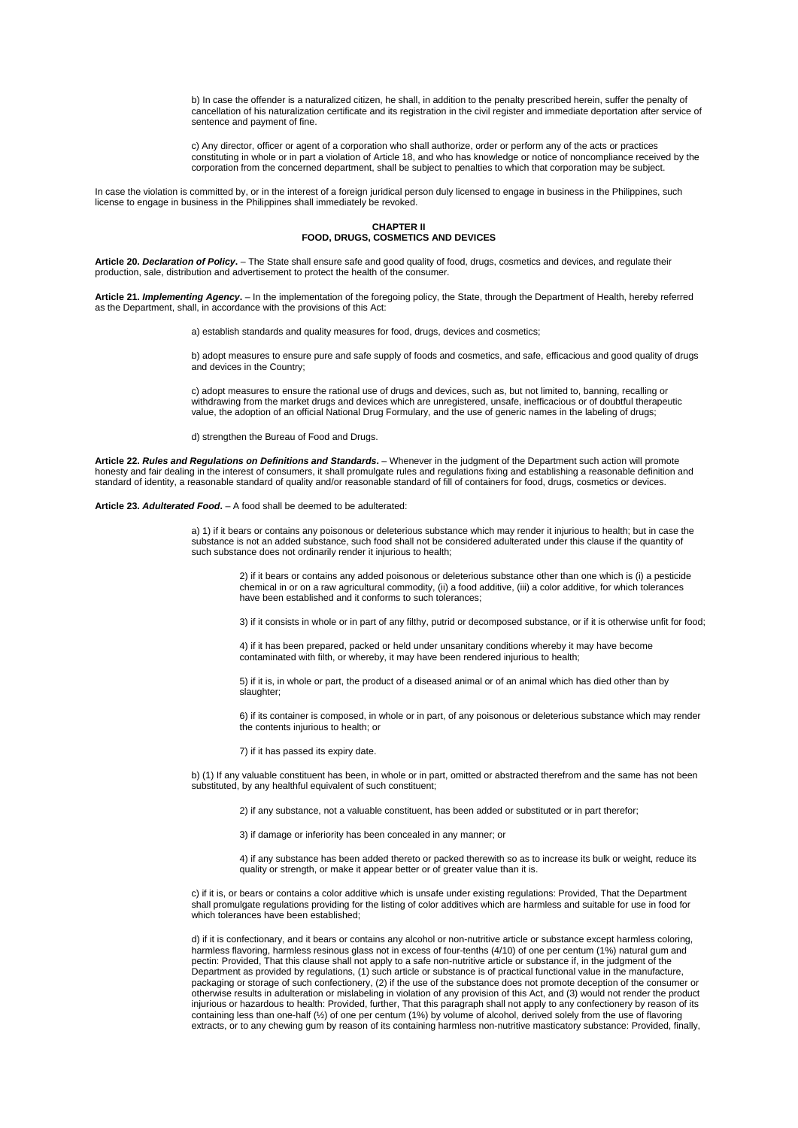b) In case the offender is a naturalized citizen, he shall, in addition to the penalty prescribed herein, suffer the penalty of cancellation of his naturalization certificate and its registration in the civil register and immediate deportation after service of sentence and payment of fine.

c) Any director, officer or agent of a corporation who shall authorize, order or perform any of the acts or practices constituting in whole or in part a violation of Article 18, and who has knowledge or notice of noncompliance received by the corporation from the concerned department, shall be subject to penalties to which that corporation may be subject.

In case the violation is committed by, or in the interest of a foreign juridical person duly licensed to engage in business in the Philippines, such license to engage in business in the Philippines shall immediately be revoked.

**CHAPTER II FOOD, DRUGS, COSMETICS AND DEVICES**

**Article 20.** *Declaration of Policy***.** – The State shall ensure safe and good quality of food, drugs, cosmetics and devices, and regulate their production, sale, distribution and advertisement to protect the health of the consumer.

**Article 21.** *Implementing Agency***.** – In the implementation of the foregoing policy, the State, through the Department of Health, hereby referred as the Department, shall, in accordance with the provisions of this Act:

a) establish standards and quality measures for food, drugs, devices and cosmetics;

b) adopt measures to ensure pure and safe supply of foods and cosmetics, and safe, efficacious and good quality of drugs and devices in the Country;

c) adopt measures to ensure the rational use of drugs and devices, such as, but not limited to, banning, recalling or withdrawing from the market drugs and devices which are unregistered, unsafe, inefficacious or of doubtful therapeutic value, the adoption of an official National Drug Formulary, and the use of generic names in the labeling of drugs;

d) strengthen the Bureau of Food and Drugs.

**Article 22.** *Rules and Regulations on Definitions and Standards***.** – Whenever in the judgment of the Department such action will promote honesty and fair dealing in the interest of consumers, it shall promulgate rules and regulations fixing and establishing a reasonable definition and standard of identity, a reasonable standard of quality and/or reasonable standard of fill of containers for food, drugs, cosmetics or devices.

# **Article 23.** *Adulterated Food***.** – A food shall be deemed to be adulterated:

a) 1) if it bears or contains any poisonous or deleterious substance which may render it injurious to health; but in case the substance is not an added substance, such food shall not be considered adulterated under this clause if the quantity of such substance does not ordinarily render it injurious to health;

2) if it bears or contains any added poisonous or deleterious substance other than one which is (i) a pesticide chemical in or on a raw agricultural commodity, (ii) a food additive, (iii) a color additive, for which tolerances have been established and it conforms to such tolerances;

3) if it consists in whole or in part of any filthy, putrid or decomposed substance, or if it is otherwise unfit for food;

4) if it has been prepared, packed or held under unsanitary conditions whereby it may have become contaminated with filth, or whereby, it may have been rendered injurious to health;

5) if it is, in whole or part, the product of a diseased animal or of an animal which has died other than by slaughter;

6) if its container is composed, in whole or in part, of any poisonous or deleterious substance which may render the contents injurious to health; or

7) if it has passed its expiry date.

b) (1) If any valuable constituent has been, in whole or in part, omitted or abstracted therefrom and the same has not been substituted, by any healthful equivalent of such constituent;

2) if any substance, not a valuable constituent, has been added or substituted or in part therefor;

3) if damage or inferiority has been concealed in any manner; or

4) if any substance has been added thereto or packed therewith so as to increase its bulk or weight, reduce its quality or strength, or make it appear better or of greater value than it is.

c) if it is, or bears or contains a color additive which is unsafe under existing regulations: Provided, That the Department shall promulgate regulations providing for the listing of color additives which are harmless and suitable for use in food for which tolerances have been established;

d) if it is confectionary, and it bears or contains any alcohol or non-nutritive article or substance except harmless coloring, harmless flavoring, harmless resinous glass not in excess of four-tenths (4/10) of one per centum (1%) natural gum and pectin: Provided, That this clause shall not apply to a safe non-nutritive article or substance if, in the judgment of the Department as provided by regulations, (1) such article or substance is of practical functional value in the manufacture, packaging or storage of such confectionery, (2) if the use of the substance does not promote deception of the consumer or otherwise results in adulteration or mislabeling in violation of any provision of this Act, and (3) would not render the product injurious or hazardous to health: Provided, further, That this paragraph shall not apply to any confectionery by reason of its containing less than one-half (½) of one per centum (1%) by volume of alcohol, derived solely from the use of flavoring extracts, or to any chewing gum by reason of its containing harmless non-nutritive masticatory substance: Provided, finally,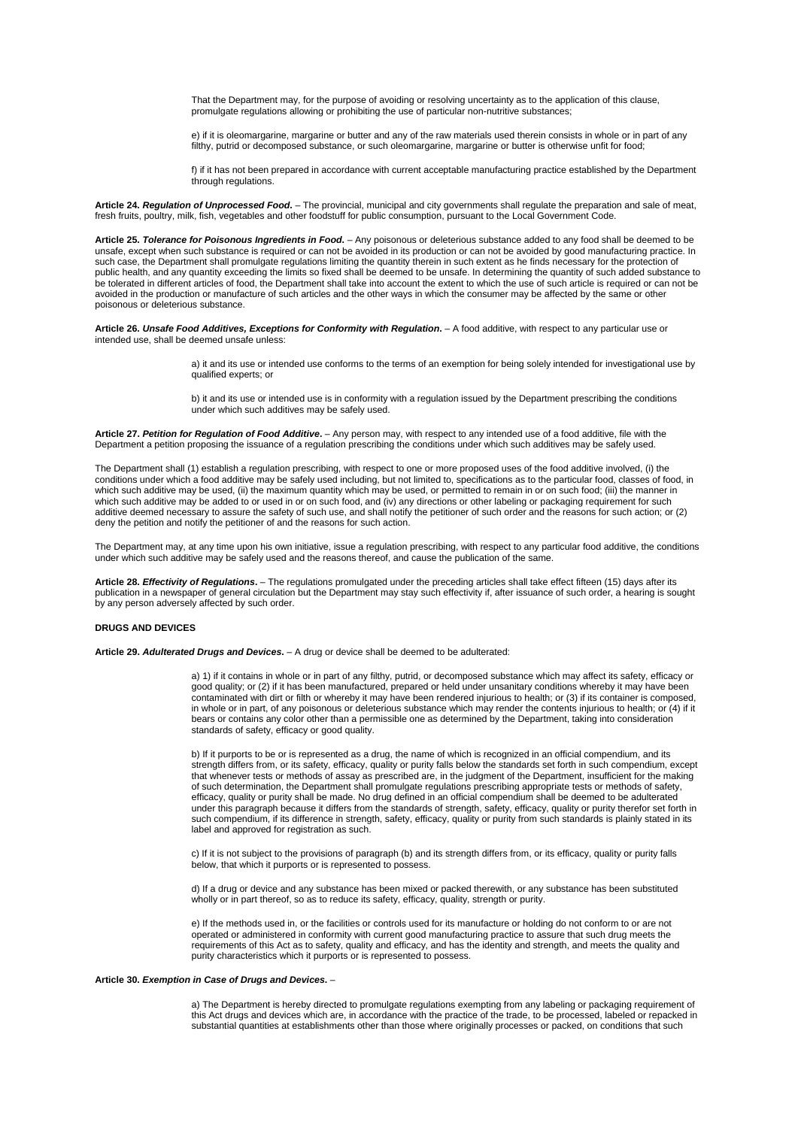That the Department may, for the purpose of avoiding or resolving uncertainty as to the application of this clause, promulgate regulations allowing or prohibiting the use of particular non-nutritive substances;

e) if it is oleomargarine, margarine or butter and any of the raw materials used therein consists in whole or in part of any filthy, putrid or decomposed substance, or such oleomargarine, margarine or butter is otherwise unfit for food;

f) if it has not been prepared in accordance with current acceptable manufacturing practice established by the Department through regulations.

**Article 24.** *Regulation of Unprocessed Food***.** – The provincial, municipal and city governments shall regulate the preparation and sale of meat, fresh fruits, poultry, milk, fish, vegetables and other foodstuff for public consumption, pursuant to the Local Government Code.

**Article 25.** *Tolerance for Poisonous Ingredients in Food***.** – Any poisonous or deleterious substance added to any food shall be deemed to be unsafe, except when such substance is required or can not be avoided in its production or can not be avoided by good manufacturing practice. In such case, the Department shall promulgate regulations limiting the quantity therein in such extent as he finds necessary for the protection of public health, and any quantity exceeding the limits so fixed shall be deemed to be unsafe. In determining the quantity of such added substance to be tolerated in different articles of food, the Department shall take into account the extent to which the use of such article is required or can not be avoided in the production or manufacture of such articles and the other ways in which the consumer may be affected by the same or other poisonous or deleterious substance.

**Article 26.** *Unsafe Food Additives, Exceptions for Conformity with Regulation***.** – A food additive, with respect to any particular use or intended use, shall be deemed unsafe unless:

> a) it and its use or intended use conforms to the terms of an exemption for being solely intended for investigational use by qualified experts; or

b) it and its use or intended use is in conformity with a regulation issued by the Department prescribing the conditions under which such additives may be safely used.

**Article 27.** *Petition for Regulation of Food Additive***.** – Any person may, with respect to any intended use of a food additive, file with the Department a petition proposing the issuance of a regulation prescribing the conditions under which such additives may be safely used.

The Department shall (1) establish a regulation prescribing, with respect to one or more proposed uses of the food additive involved, (i) the conditions under which a food additive may be safely used including, but not limited to, specifications as to the particular food, classes of food, in which such additive may be used, (ii) the maximum quantity which may be used, or permitted to remain in or on such food; (iii) the manner in which such additive may be added to or used in or on such food, and (iv) any directions or other labeling or packaging requirement for such additive deemed necessary to assure the safety of such use, and shall notify the petitioner of such order and the reasons for such action; or (2) deny the petition and notify the petitioner of and the reasons for such action.

The Department may, at any time upon his own initiative, issue a regulation prescribing, with respect to any particular food additive, the conditions under which such additive may be safely used and the reasons thereof, and cause the publication of the same.

**Article 28.** *Effectivity of Regulations***.** – The regulations promulgated under the preceding articles shall take effect fifteen (15) days after its publication in a newspaper of general circulation but the Department may stay such effectivity if, after issuance of such order, a hearing is sought by any person adversely affected by such order.

# **DRUGS AND DEVICES**

**Article 29.** *Adulterated Drugs and Devices***.** – A drug or device shall be deemed to be adulterated:

a) 1) if it contains in whole or in part of any filthy, putrid, or decomposed substance which may affect its safety, efficacy or good quality; or (2) if it has been manufactured, prepared or held under unsanitary conditions whereby it may have been contaminated with dirt or filth or whereby it may have been rendered injurious to health; or (3) if its container is composed, in whole or in part, of any poisonous or deleterious substance which may render the contents injurious to health; or (4) if it bears or contains any color other than a permissible one as determined by the Department, taking into consideration standards of safety, efficacy or good quality.

b) If it purports to be or is represented as a drug, the name of which is recognized in an official compendium, and its strength differs from, or its safety, efficacy, quality or purity falls below the standards set forth in such compendium, except that whenever tests or methods of assay as prescribed are, in the judgment of the Department, insufficient for the making of such determination, the Department shall promulgate regulations prescribing appropriate tests or methods of safety, efficacy, quality or purity shall be made. No drug defined in an official compendium shall be deemed to be adulterated under this paragraph because it differs from the standards of strength, safety, efficacy, quality or purity therefor set forth in such compendium, if its difference in strength, safety, efficacy, quality or purity from such standards is plainly stated in its label and approved for registration as such.

c) If it is not subject to the provisions of paragraph (b) and its strength differs from, or its efficacy, quality or purity falls below, that which it purports or is represented to possess.

d) If a drug or device and any substance has been mixed or packed therewith, or any substance has been substituted wholly or in part thereof, so as to reduce its safety, efficacy, quality, strength or purity.

e) If the methods used in, or the facilities or controls used for its manufacture or holding do not conform to or are not operated or administered in conformity with current good manufacturing practice to assure that such drug meets the requirements of this Act as to safety, quality and efficacy, and has the identity and strength, and meets the quality and purity characteristics which it purports or is represented to possess.

### **Article 30.** *Exemption in Case of Drugs and Devices***.** –

a) The Department is hereby directed to promulgate regulations exempting from any labeling or packaging requirement of this Act drugs and devices which are, in accordance with the practice of the trade, to be processed, labeled or repacked in substantial quantities at establishments other than those where originally processes or packed, on conditions that such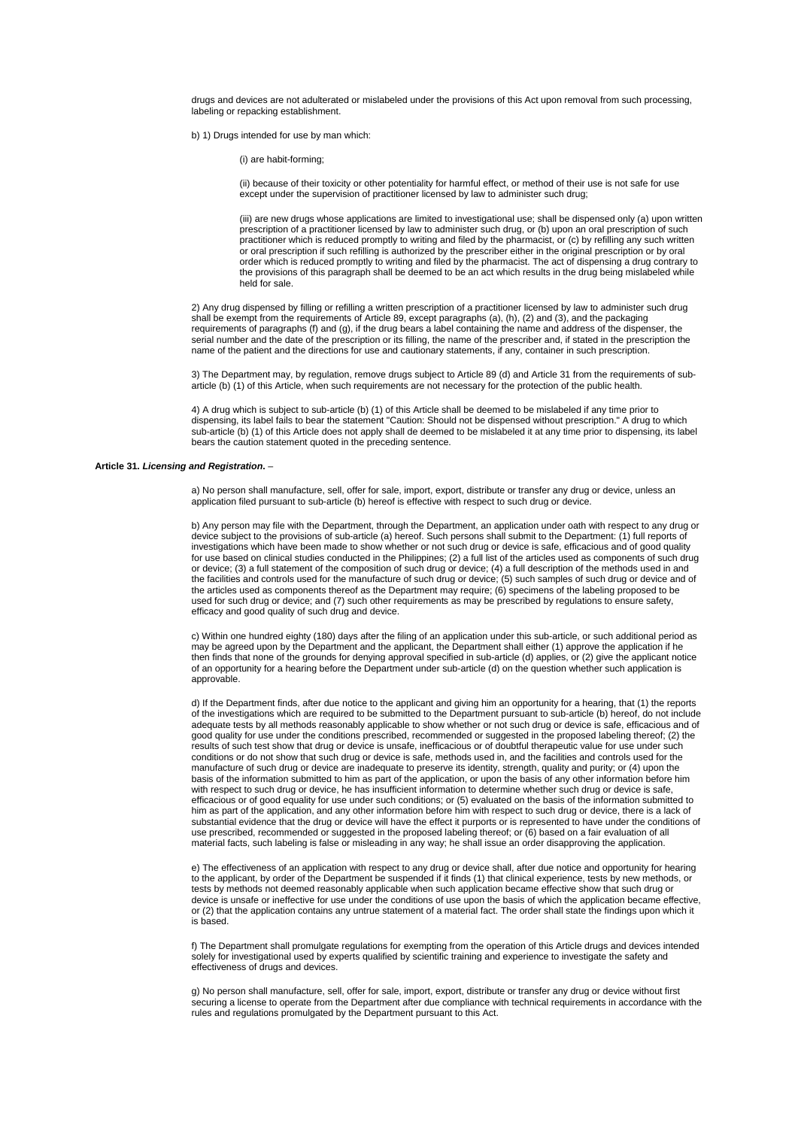drugs and devices are not adulterated or mislabeled under the provisions of this Act upon removal from such processing, labeling or repacking establishment.

b) 1) Drugs intended for use by man which:

(i) are habit-forming;

(ii) because of their toxicity or other potentiality for harmful effect, or method of their use is not safe for use except under the supervision of practitioner licensed by law to administer such drug;

(iii) are new drugs whose applications are limited to investigational use; shall be dispensed only (a) upon written prescription of a practitioner licensed by law to administer such drug, or (b) upon an oral prescription of such practitioner which is reduced promptly to writing and filed by the pharmacist, or (c) by refilling any such written or oral prescription if such refilling is authorized by the prescriber either in the original prescription or by oral order which is reduced promptly to writing and filed by the pharmacist. The act of dispensing a drug contrary to the provisions of this paragraph shall be deemed to be an act which results in the drug being mislabeled while held for sale.

2) Any drug dispensed by filling or refilling a written prescription of a practitioner licensed by law to administer such drug shall be exempt from the requirements of Article 89, except paragraphs (a), (h), (2) and (3), and the packaging requirements of paragraphs (f) and (g), if the drug bears a label containing the name and address of the dispenser, the serial number and the date of the prescription or its filling, the name of the prescriber and, if stated in the prescription the name of the patient and the directions for use and cautionary statements, if any, container in such prescription.

3) The Department may, by regulation, remove drugs subject to Article 89 (d) and Article 31 from the requirements of subarticle (b) (1) of this Article, when such requirements are not necessary for the protection of the public health.

4) A drug which is subject to sub-article (b) (1) of this Article shall be deemed to be mislabeled if any time prior to dispensing, its label fails to bear the statement "Caution: Should not be dispensed without prescription." A drug to which sub-article (b) (1) of this Article does not apply shall de deemed to be mislabeled it at any time prior to dispensing, its label bears the caution statement quoted in the preceding sentence.

#### **Article 31.** *Licensing and Registration***.** –

a) No person shall manufacture, sell, offer for sale, import, export, distribute or transfer any drug or device, unless an application filed pursuant to sub-article (b) hereof is effective with respect to such drug or device.

b) Any person may file with the Department, through the Department, an application under oath with respect to any drug or device subject to the provisions of sub-article (a) hereof. Such persons shall submit to the Department: (1) full reports of investigations which have been made to show whether or not such drug or device is safe, efficacious and of good quality for use based on clinical studies conducted in the Philippines; (2) a full list of the articles used as components of such drug or device; (3) a full statement of the composition of such drug or device; (4) a full description of the methods used in and the facilities and controls used for the manufacture of such drug or device; (5) such samples of such drug or device and of the articles used as components thereof as the Department may require; (6) specimens of the labeling proposed to be used for such drug or device; and (7) such other requirements as may be prescribed by regulations to ensure safety, efficacy and good quality of such drug and device.

c) Within one hundred eighty (180) days after the filing of an application under this sub-article, or such additional period as may be agreed upon by the Department and the applicant, the Department shall either (1) approve the application if he then finds that none of the grounds for denying approval specified in sub-article (d) applies, or (2) give the applicant notice of an opportunity for a hearing before the Department under sub-article (d) on the question whether such application is approvable.

d) If the Department finds, after due notice to the applicant and giving him an opportunity for a hearing, that (1) the reports of the investigations which are required to be submitted to the Department pursuant to sub-article (b) hereof, do not include adequate tests by all methods reasonably applicable to show whether or not such drug or device is safe, efficacious and of good quality for use under the conditions prescribed, recommended or suggested in the proposed labeling thereof; (2) the results of such test show that drug or device is unsafe, inefficacious or of doubtful therapeutic value for use under such conditions or do not show that such drug or device is safe, methods used in, and the facilities and controls used for the manufacture of such drug or device are inadequate to preserve its identity, strength, quality and purity; or (4) upon the basis of the information submitted to him as part of the application, or upon the basis of any other information before him with respect to such drug or device, he has insufficient information to determine whether such drug or device is safe, efficacious or of good equality for use under such conditions; or (5) evaluated on the basis of the information submitted to him as part of the application, and any other information before him with respect to such drug or device, there is a lack of substantial evidence that the drug or device will have the effect it purports or is represented to have under the conditions of use prescribed, recommended or suggested in the proposed labeling thereof; or (6) based on a fair evaluation of all material facts, such labeling is false or misleading in any way; he shall issue an order disapproving the application.

e) The effectiveness of an application with respect to any drug or device shall, after due notice and opportunity for hearing to the applicant, by order of the Department be suspended if it finds (1) that clinical experience, tests by new methods, or tests by methods not deemed reasonably applicable when such application became effective show that such drug or device is unsafe or ineffective for use under the conditions of use upon the basis of which the application became effective, or (2) that the application contains any untrue statement of a material fact. The order shall state the findings upon which it is based.

f) The Department shall promulgate regulations for exempting from the operation of this Article drugs and devices intended solely for investigational used by experts qualified by scientific training and experience to investigate the safety and effectiveness of drugs and devices.

g) No person shall manufacture, sell, offer for sale, import, export, distribute or transfer any drug or device without first securing a license to operate from the Department after due compliance with technical requirements in accordance with the rules and regulations promulgated by the Department pursuant to this Act.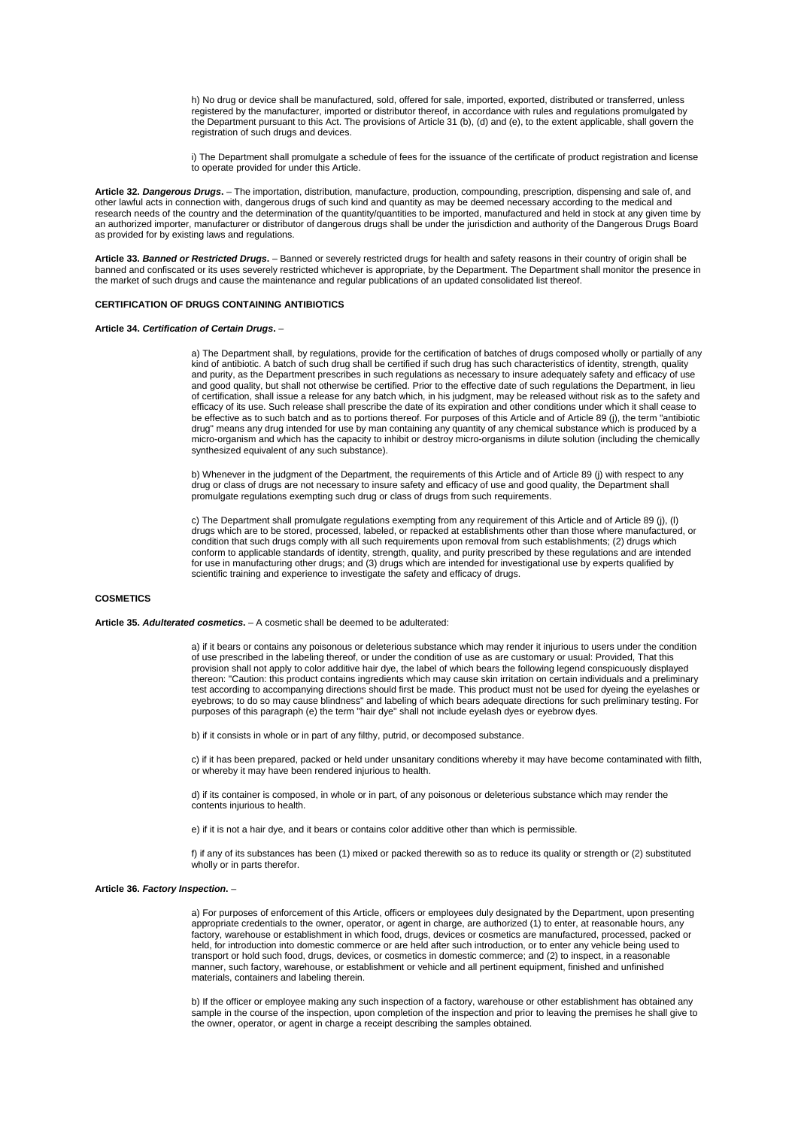h) No drug or device shall be manufactured, sold, offered for sale, imported, exported, distributed or transferred, unless registered by the manufacturer, imported or distributor thereof, in accordance with rules and regulations promulgated by the Department pursuant to this Act. The provisions of Article 31 (b), (d) and (e), to the extent applicable, shall govern the registration of such drugs and devices.

i) The Department shall promulgate a schedule of fees for the issuance of the certificate of product registration and license to operate provided for under this Article.

**Article 32.** *Dangerous Drugs***.** – The importation, distribution, manufacture, production, compounding, prescription, dispensing and sale of, and other lawful acts in connection with, dangerous drugs of such kind and quantity as may be deemed necessary according to the medical and research needs of the country and the determination of the quantity/quantities to be imported, manufactured and held in stock at any given time by an authorized importer, manufacturer or distributor of dangerous drugs shall be under the jurisdiction and authority of the Dangerous Drugs Board as provided for by existing laws and regulations.

**Article 33.** *Banned or Restricted Drugs***.** – Banned or severely restricted drugs for health and safety reasons in their country of origin shall be banned and confiscated or its uses severely restricted whichever is appropriate, by the Department. The Department shall monitor the presence in the market of such drugs and cause the maintenance and regular publications of an updated consolidated list thereof.

# **CERTIFICATION OF DRUGS CONTAINING ANTIBIOTICS**

**Article 34.** *Certification of Certain Drugs***.** –

a) The Department shall, by regulations, provide for the certification of batches of drugs composed wholly or partially of any kind of antibiotic. A batch of such drug shall be certified if such drug has such characteristics of identity, strength, quality and purity, as the Department prescribes in such regulations as necessary to insure adequately safety and efficacy of use and good quality, but shall not otherwise be certified. Prior to the effective date of such regulations the Department, in lieu of certification, shall issue a release for any batch which, in his judgment, may be released without risk as to the safety and efficacy of its use. Such release shall prescribe the date of its expiration and other conditions under which it shall cease to be effective as to such batch and as to portions thereof. For purposes of this Article and of Article 89 (j), the term "antibiotic drug" means any drug intended for use by man containing any quantity of any chemical substance which is produced by a micro-organism and which has the capacity to inhibit or destroy micro-organisms in dilute solution (including the chemically synthesized equivalent of any such substance).

b) Whenever in the judgment of the Department, the requirements of this Article and of Article 89 (j) with respect to any drug or class of drugs are not necessary to insure safety and efficacy of use and good quality, the Department shall promulgate regulations exempting such drug or class of drugs from such requirements.

c) The Department shall promulgate regulations exempting from any requirement of this Article and of Article 89 (j), (l) drugs which are to be stored, processed, labeled, or repacked at establishments other than those where manufactured, or condition that such drugs comply with all such requirements upon removal from such establishments; (2) drugs which conform to applicable standards of identity, strength, quality, and purity prescribed by these regulations and are intended for use in manufacturing other drugs; and (3) drugs which are intended for investigational use by experts qualified by scientific training and experience to investigate the safety and efficacy of drugs.

# **COSMETICS**

#### **Article 35.** *Adulterated cosmetics***.** – A cosmetic shall be deemed to be adulterated:

a) if it bears or contains any poisonous or deleterious substance which may render it injurious to users under the condition of use prescribed in the labeling thereof, or under the condition of use as are customary or usual: Provided, That this provision shall not apply to color additive hair dye, the label of which bears the following legend conspicuously displayed thereon: "Caution: this product contains ingredients which may cause skin irritation on certain individuals and a preliminary test according to accompanying directions should first be made. This product must not be used for dyeing the eyelashes or eyebrows; to do so may cause blindness" and labeling of which bears adequate directions for such preliminary testing. For purposes of this paragraph (e) the term "hair dye" shall not include eyelash dyes or eyebrow dyes.

b) if it consists in whole or in part of any filthy, putrid, or decomposed substance.

c) if it has been prepared, packed or held under unsanitary conditions whereby it may have become contaminated with filth, or whereby it may have been rendered injurious to health.

d) if its container is composed, in whole or in part, of any poisonous or deleterious substance which may render the contents injurious to health.

e) if it is not a hair dye, and it bears or contains color additive other than which is permissible.

f) if any of its substances has been (1) mixed or packed therewith so as to reduce its quality or strength or (2) substituted wholly or in parts therefor.

#### **Article 36.** *Factory Inspection***.** –

a) For purposes of enforcement of this Article, officers or employees duly designated by the Department, upon presenting appropriate credentials to the owner, operator, or agent in charge, are authorized (1) to enter, at reasonable hours, any factory, warehouse or establishment in which food, drugs, devices or cosmetics are manufactured, processed, packed or held, for introduction into domestic commerce or are held after such introduction, or to enter any vehicle being used to transport or hold such food, drugs, devices, or cosmetics in domestic commerce; and (2) to inspect, in a reasonable manner, such factory, warehouse, or establishment or vehicle and all pertinent equipment, finished and unfinished materials, containers and labeling therein.

b) If the officer or employee making any such inspection of a factory, warehouse or other establishment has obtained any sample in the course of the inspection, upon completion of the inspection and prior to leaving the premises he shall give to the owner, operator, or agent in charge a receipt describing the samples obtained.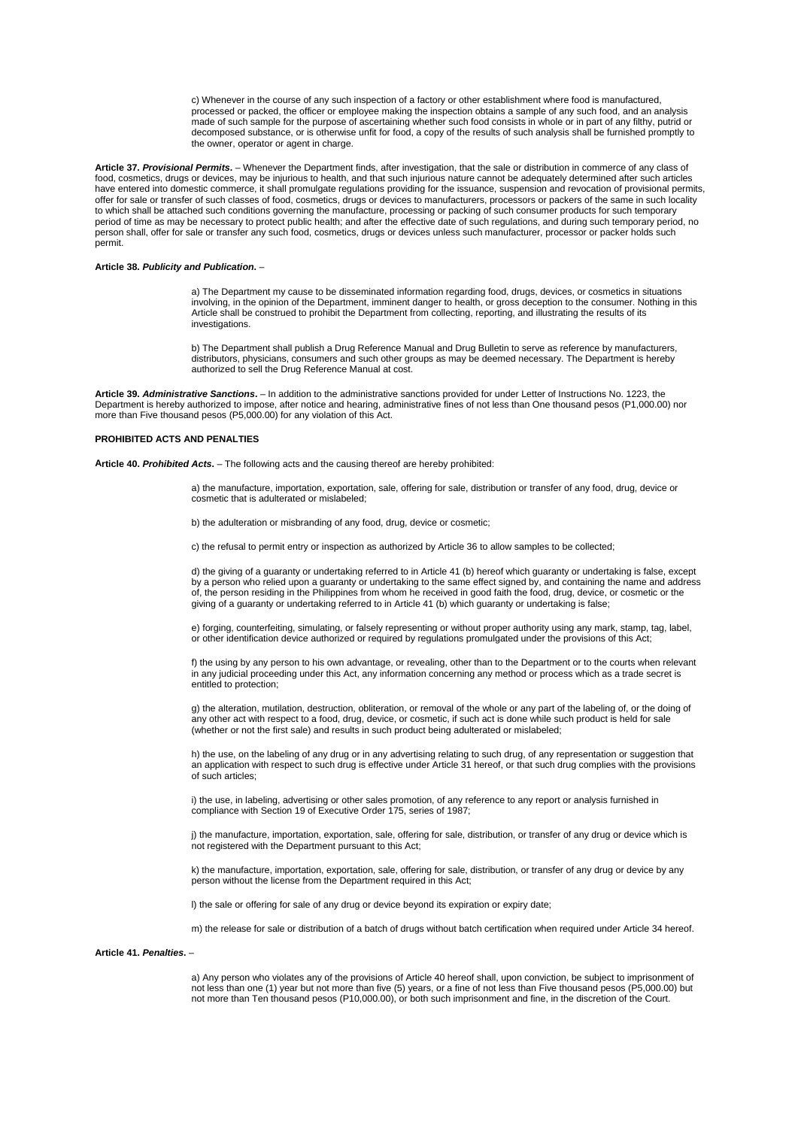c) Whenever in the course of any such inspection of a factory or other establishment where food is manufactured, processed or packed, the officer or employee making the inspection obtains a sample of any such food, and an analysis made of such sample for the purpose of ascertaining whether such food consists in whole or in part of any filthy, putrid or decomposed substance, or is otherwise unfit for food, a copy of the results of such analysis shall be furnished promptly to the owner, operator or agent in charge.

**Article 37.** *Provisional Permits***.** – Whenever the Department finds, after investigation, that the sale or distribution in commerce of any class of food, cosmetics, drugs or devices, may be injurious to health, and that such injurious nature cannot be adequately determined after such articles have entered into domestic commerce, it shall promulgate regulations providing for the issuance, suspension and revocation of provisional permits, offer for sale or transfer of such classes of food, cosmetics, drugs or devices to manufacturers, processors or packers of the same in such locality to which shall be attached such conditions governing the manufacture, processing or packing of such consumer products for such temporary period of time as may be necessary to protect public health; and after the effective date of such regulations, and during such temporary period, no person shall, offer for sale or transfer any such food, cosmetics, drugs or devices unless such manufacturer, processor or packer holds such permit.

### **Article 38.** *Publicity and Publication***.** –

a) The Department my cause to be disseminated information regarding food, drugs, devices, or cosmetics in situations involving, in the opinion of the Department, imminent danger to health, or gross deception to the consumer. Nothing in this Article shall be construed to prohibit the Department from collecting, reporting, and illustrating the results of its investigations.

b) The Department shall publish a Drug Reference Manual and Drug Bulletin to serve as reference by manufacturers, distributors, physicians, consumers and such other groups as may be deemed necessary. The Department is hereby authorized to sell the Drug Reference Manual at cost.

**Article 39.** *Administrative Sanctions***.** – In addition to the administrative sanctions provided for under Letter of Instructions No. 1223, the Department is hereby authorized to impose, after notice and hearing, administrative fines of not less than One thousand pesos (P1,000.00) nor more than Five thousand pesos (P5,000.00) for any violation of this Act.

# **PROHIBITED ACTS AND PENALTIES**

**Article 40.** *Prohibited Acts***.** – The following acts and the causing thereof are hereby prohibited:

a) the manufacture, importation, exportation, sale, offering for sale, distribution or transfer of any food, drug, device or cosmetic that is adulterated or mislabeled;

b) the adulteration or misbranding of any food, drug, device or cosmetic;

c) the refusal to permit entry or inspection as authorized by Article 36 to allow samples to be collected;

d) the giving of a guaranty or undertaking referred to in Article 41 (b) hereof which guaranty or undertaking is false, except by a person who relied upon a guaranty or undertaking to the same effect signed by, and containing the name and address of, the person residing in the Philippines from whom he received in good faith the food, drug, device, or cosmetic or the giving of a guaranty or undertaking referred to in Article 41 (b) which guaranty or undertaking is false;

e) forging, counterfeiting, simulating, or falsely representing or without proper authority using any mark, stamp, tag, label, or other identification device authorized or required by regulations promulgated under the provisions of this Act;

f) the using by any person to his own advantage, or revealing, other than to the Department or to the courts when relevant in any judicial proceeding under this Act, any information concerning any method or process which as a trade secret is entitled to protection;

g) the alteration, mutilation, destruction, obliteration, or removal of the whole or any part of the labeling of, or the doing of any other act with respect to a food, drug, device, or cosmetic, if such act is done while such product is held for sale (whether or not the first sale) and results in such product being adulterated or mislabeled;

h) the use, on the labeling of any drug or in any advertising relating to such drug, of any representation or suggestion that an application with respect to such drug is effective under Article 31 hereof, or that such drug complies with the provisions of such articles;

i) the use, in labeling, advertising or other sales promotion, of any reference to any report or analysis furnished in compliance with Section 19 of Executive Order 175, series of 1987;

j) the manufacture, importation, exportation, sale, offering for sale, distribution, or transfer of any drug or device which is not registered with the Department pursuant to this Act;

k) the manufacture, importation, exportation, sale, offering for sale, distribution, or transfer of any drug or device by any person without the license from the Department required in this Act;

l) the sale or offering for sale of any drug or device beyond its expiration or expiry date;

m) the release for sale or distribution of a batch of drugs without batch certification when required under Article 34 hereof.

#### **Article 41.** *Penalties***.** –

a) Any person who violates any of the provisions of Article 40 hereof shall, upon conviction, be subject to imprisonment of not less than one (1) year but not more than five (5) years, or a fine of not less than Five thousand pesos (P5,000.00) but not more than Ten thousand pesos (P10,000.00), or both such imprisonment and fine, in the discretion of the Court.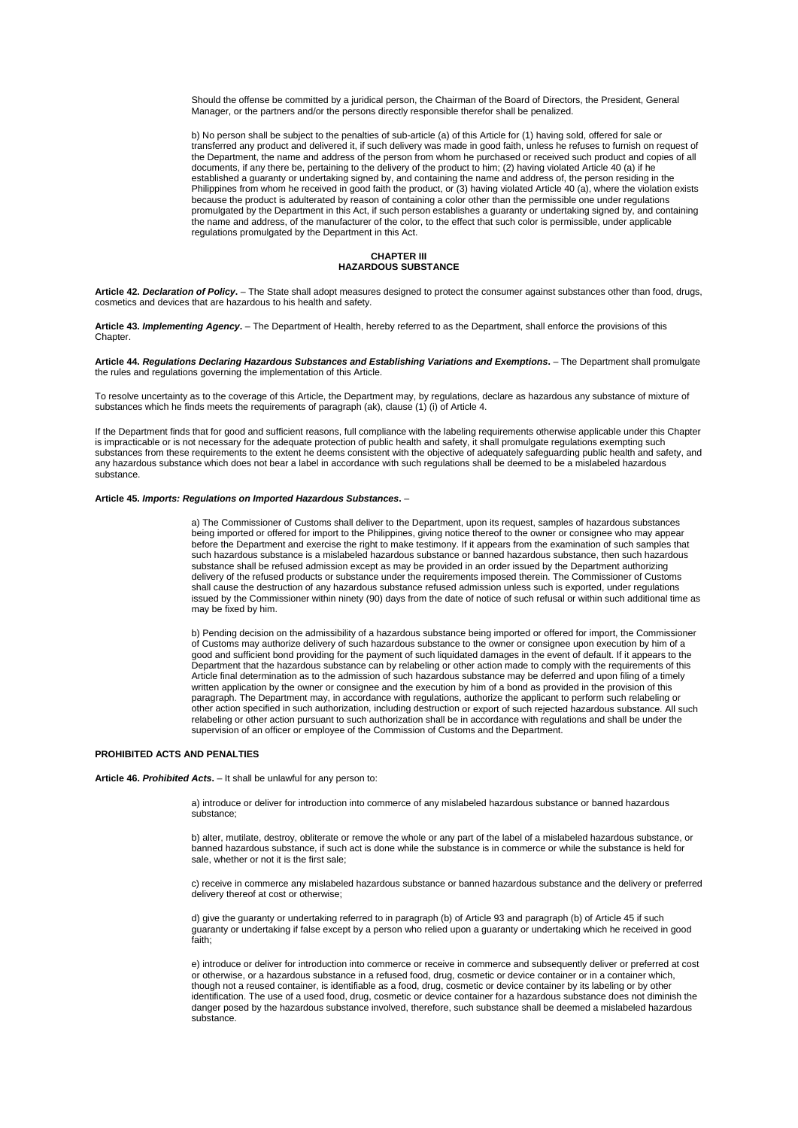Should the offense be committed by a juridical person, the Chairman of the Board of Directors, the President, General Manager, or the partners and/or the persons directly responsible therefor shall be penalized.

b) No person shall be subject to the penalties of sub-article (a) of this Article for (1) having sold, offered for sale or transferred any product and delivered it, if such delivery was made in good faith, unless he refuses to furnish on request of the Department, the name and address of the person from whom he purchased or received such product and copies of all documents, if any there be, pertaining to the delivery of the product to him; (2) having violated Article 40 (a) if he established a guaranty or undertaking signed by, and containing the name and address of, the person residing in the Philippines from whom he received in good faith the product, or (3) having violated Article 40 (a), where the violation exists because the product is adulterated by reason of containing a color other than the permissible one under regulations promulgated by the Department in this Act, if such person establishes a guaranty or undertaking signed by, and containing the name and address, of the manufacturer of the color, to the effect that such color is permissible, under applicable regulations promulgated by the Department in this Act.

# **CHAPTER III HAZARDOUS SUBSTANCE**

**Article 42.** *Declaration of Policy***.** – The State shall adopt measures designed to protect the consumer against substances other than food, drugs, cosmetics and devices that are hazardous to his health and safety.

**Article 43.** *Implementing Agency***.** – The Department of Health, hereby referred to as the Department, shall enforce the provisions of this **Chapter** 

### **Article 44.** *Regulations Declaring Hazardous Substances and Establishing Variations and Exemptions***.** – The Department shall promulgate the rules and regulations governing the implementation of this Article.

To resolve uncertainty as to the coverage of this Article, the Department may, by regulations, declare as hazardous any substance of mixture of substances which he finds meets the requirements of paragraph (ak), clause (1) (i) of Article 4.

If the Department finds that for good and sufficient reasons, full compliance with the labeling requirements otherwise applicable under this Chapter is impracticable or is not necessary for the adequate protection of public health and safety, it shall promulgate regulations exempting such substances from these requirements to the extent he deems consistent with the objective of adequately safeguarding public health and safety, and any hazardous substance which does not bear a label in accordance with such regulations shall be deemed to be a mislabeled hazardous substance.

### **Article 45.** *Imports: Regulations on Imported Hazardous Substances***.** –

a) The Commissioner of Customs shall deliver to the Department, upon its request, samples of hazardous substances being imported or offered for import to the Philippines, giving notice thereof to the owner or consignee who may appear before the Department and exercise the right to make testimony. If it appears from the examination of such samples that such hazardous substance is a mislabeled hazardous substance or banned hazardous substance, then such hazardous substance shall be refused admission except as may be provided in an order issued by the Department authorizing delivery of the refused products or substance under the requirements imposed therein. The Commissioner of Customs shall cause the destruction of any hazardous substance refused admission unless such is exported, under regulations issued by the Commissioner within ninety (90) days from the date of notice of such refusal or within such additional time as may be fixed by him.

b) Pending decision on the admissibility of a hazardous substance being imported or offered for import, the Commissioner of Customs may authorize delivery of such hazardous substance to the owner or consignee upon execution by him of a good and sufficient bond providing for the payment of such liquidated damages in the event of default. If it appears to the Department that the hazardous substance can by relabeling or other action made to comply with the requirements of this Article final determination as to the admission of such hazardous substance may be deferred and upon filing of a timely written application by the owner or consignee and the execution by him of a bond as provided in the provision of this paragraph. The Department may, in accordance with regulations, authorize the applicant to perform such relabeling or other action specified in such authorization, including destruction or export of such rejected hazardous substance. All such relabeling or other action pursuant to such authorization shall be in accordance with regulations and shall be under the supervision of an officer or employee of the Commission of Customs and the Department.

# **PROHIBITED ACTS AND PENALTIES**

#### **Article 46.** *Prohibited Acts***.** – It shall be unlawful for any person to:

a) introduce or deliver for introduction into commerce of any mislabeled hazardous substance or banned hazardous substance;

b) alter, mutilate, destroy, obliterate or remove the whole or any part of the label of a mislabeled hazardous substance, or banned hazardous substance, if such act is done while the substance is in commerce or while the substance is held for sale, whether or not it is the first sale;

c) receive in commerce any mislabeled hazardous substance or banned hazardous substance and the delivery or preferred delivery thereof at cost or otherwise;

d) give the guaranty or undertaking referred to in paragraph (b) of Article 93 and paragraph (b) of Article 45 if such guaranty or undertaking if false except by a person who relied upon a guaranty or undertaking which he received in good faith;

e) introduce or deliver for introduction into commerce or receive in commerce and subsequently deliver or preferred at cost or otherwise, or a hazardous substance in a refused food, drug, cosmetic or device container or in a container which, though not a reused container, is identifiable as a food, drug, cosmetic or device container by its labeling or by other identification. The use of a used food, drug, cosmetic or device container for a hazardous substance does not diminish the danger posed by the hazardous substance involved, therefore, such substance shall be deemed a mislabeled hazardous substance.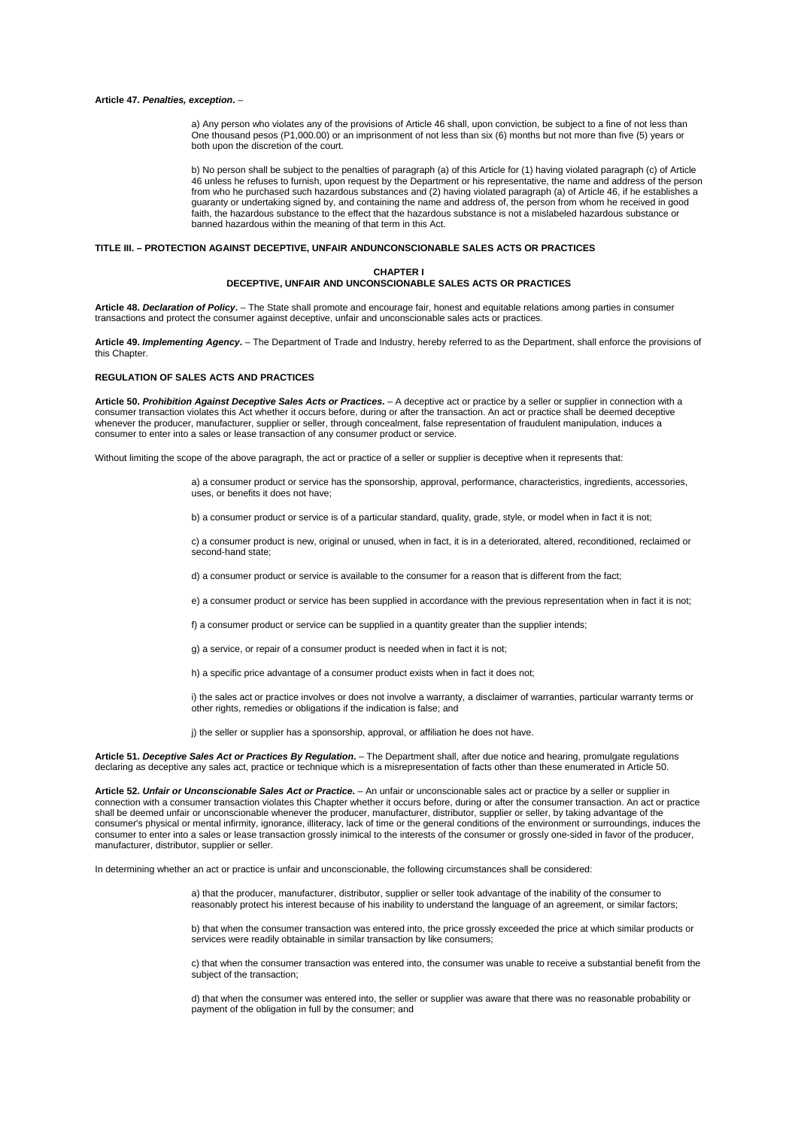#### **Article 47.** *Penalties, exception***.** –

a) Any person who violates any of the provisions of Article 46 shall, upon conviction, be subject to a fine of not less than One thousand pesos (P1,000.00) or an imprisonment of not less than six (6) months but not more than five (5) years or both upon the discretion of the court.

b) No person shall be subject to the penalties of paragraph (a) of this Article for (1) having violated paragraph (c) of Article 46 unless he refuses to furnish, upon request by the Department or his representative, the name and address of the person from who he purchased such hazardous substances and (2) having violated paragraph (a) of Article 46, if he establishes a guaranty or undertaking signed by, and containing the name and address of, the person from whom he received in good faith, the hazardous substance to the effect that the hazardous substance is not a mislabeled hazardous substance or banned hazardous within the meaning of that term in this Act.

### **TITLE III. – PROTECTION AGAINST DECEPTIVE, UNFAIR ANDUNCONSCIONABLE SALES ACTS OR PRACTICES**

# **CHAPTER I DECEPTIVE, UNFAIR AND UNCONSCIONABLE SALES ACTS OR PRACTICES**

**Article 48.** *Declaration of Policy***.** – The State shall promote and encourage fair, honest and equitable relations among parties in consumer transactions and protect the consumer against deceptive, unfair and unconscionable sales acts or practices.

**Article 49.** *Implementing Agency***.** – The Department of Trade and Industry, hereby referred to as the Department, shall enforce the provisions of this Chapter.

# **REGULATION OF SALES ACTS AND PRACTICES**

**Article 50.** *Prohibition Against Deceptive Sales Acts or Practices***.** – A deceptive act or practice by a seller or supplier in connection with a consumer transaction violates this Act whether it occurs before, during or after the transaction. An act or practice shall be deemed deceptive whenever the producer, manufacturer, supplier or seller, through concealment, false representation of fraudulent manipulation, induces a consumer to enter into a sales or lease transaction of any consumer product or service.

Without limiting the scope of the above paragraph, the act or practice of a seller or supplier is deceptive when it represents that:

a) a consumer product or service has the sponsorship, approval, performance, characteristics, ingredients, accessories, uses, or benefits it does not have;

b) a consumer product or service is of a particular standard, quality, grade, style, or model when in fact it is not;

c) a consumer product is new, original or unused, when in fact, it is in a deteriorated, altered, reconditioned, reclaimed or second-hand state;

d) a consumer product or service is available to the consumer for a reason that is different from the fact;

e) a consumer product or service has been supplied in accordance with the previous representation when in fact it is not;

f) a consumer product or service can be supplied in a quantity greater than the supplier intends;

g) a service, or repair of a consumer product is needed when in fact it is not;

h) a specific price advantage of a consumer product exists when in fact it does not;

i) the sales act or practice involves or does not involve a warranty, a disclaimer of warranties, particular warranty terms or other rights, remedies or obligations if the indication is false; and

j) the seller or supplier has a sponsorship, approval, or affiliation he does not have.

**Article 51.** *Deceptive Sales Act or Practices By Regulation***.** – The Department shall, after due notice and hearing, promulgate regulations declaring as deceptive any sales act, practice or technique which is a misrepresentation of facts other than these enumerated in Article 50.

**Article 52.** *Unfair or Unconscionable Sales Act or Practice***.** – An unfair or unconscionable sales act or practice by a seller or supplier in connection with a consumer transaction violates this Chapter whether it occurs before, during or after the consumer transaction. An act or practice shall be deemed unfair or unconscionable whenever the producer, manufacturer, distributor, supplier or seller, by taking advantage of the consumer's physical or mental infirmity, ignorance, illiteracy, lack of time or the general conditions of the environment or surroundings, induces the consumer to enter into a sales or lease transaction grossly inimical to the interests of the consumer or grossly one-sided in favor of the producer, manufacturer, distributor, supplier or seller.

In determining whether an act or practice is unfair and unconscionable, the following circumstances shall be considered:

a) that the producer, manufacturer, distributor, supplier or seller took advantage of the inability of the consumer to reasonably protect his interest because of his inability to understand the language of an agreement, or similar factors;

b) that when the consumer transaction was entered into, the price grossly exceeded the price at which similar products or services were readily obtainable in similar transaction by like consumers;

c) that when the consumer transaction was entered into the consumer was unable to receive a substantial benefit from the subject of the transaction;

d) that when the consumer was entered into, the seller or supplier was aware that there was no reasonable probability or payment of the obligation in full by the consumer; and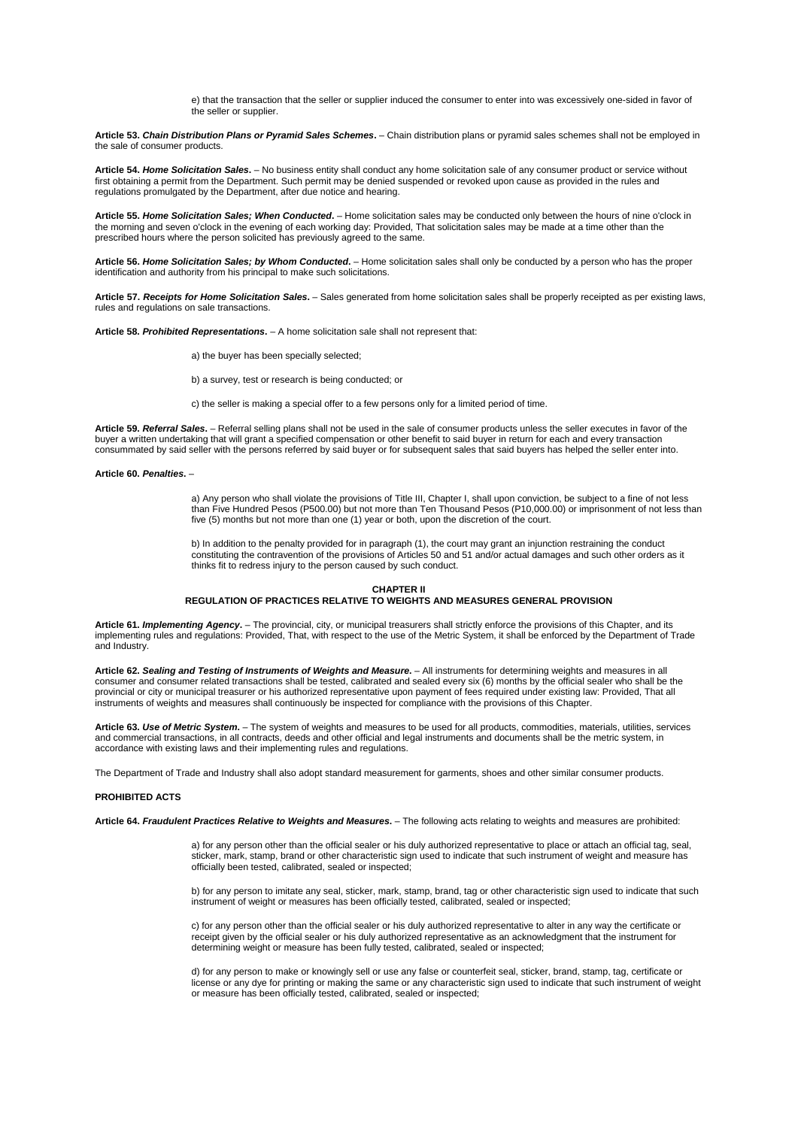e) that the transaction that the seller or supplier induced the consumer to enter into was excessively one-sided in favor of the seller or supplier.

**Article 53.** *Chain Distribution Plans or Pyramid Sales Schemes***.** – Chain distribution plans or pyramid sales schemes shall not be employed in the sale of consumer products.

**Article 54.** *Home Solicitation Sales***.** – No business entity shall conduct any home solicitation sale of any consumer product or service without first obtaining a permit from the Department. Such permit may be denied suspended or revoked upon cause as provided in the rules and regulations promulgated by the Department, after due notice and hearing.

**Article 55.** *Home Solicitation Sales; When Conducted***.** – Home solicitation sales may be conducted only between the hours of nine o'clock in the morning and seven o'clock in the evening of each working day: Provided, That solicitation sales may be made at a time other than the prescribed hours where the person solicited has previously agreed to the same.

**Article 56.** *Home Solicitation Sales; by Whom Conducted***.** – Home solicitation sales shall only be conducted by a person who has the proper identification and authority from his principal to make such solicitations.

**Article 57.** *Receipts for Home Solicitation Sales***.** – Sales generated from home solicitation sales shall be properly receipted as per existing laws, rules and regulations on sale transactions.

**Article 58.** *Prohibited Representations***.** – A home solicitation sale shall not represent that:

a) the buyer has been specially selected;

b) a survey, test or research is being conducted; or

c) the seller is making a special offer to a few persons only for a limited period of time.

**Article 59.** *Referral Sales***.** – Referral selling plans shall not be used in the sale of consumer products unless the seller executes in favor of the buyer a written undertaking that will grant a specified compensation or other benefit to said buyer in return for each and every transaction consummated by said seller with the persons referred by said buyer or for subsequent sales that said buyers has helped the seller enter into.

### **Article 60.** *Penalties***.** –

a) Any person who shall violate the provisions of Title III, Chapter I, shall upon conviction, be subject to a fine of not less than Five Hundred Pesos (P500.00) but not more than Ten Thousand Pesos (P10,000.00) or imprisonment of not less than five (5) months but not more than one (1) year or both, upon the discretion of the court.

b) In addition to the penalty provided for in paragraph (1), the court may grant an injunction restraining the conduct constituting the contravention of the provisions of Articles 50 and 51 and/or actual damages and such other orders as it thinks fit to redress injury to the person caused by such conduct.

#### **CHAPTER II**

### **REGULATION OF PRACTICES RELATIVE TO WEIGHTS AND MEASURES GENERAL PROVISION**

**Article 61.** *Implementing Agency***.** – The provincial, city, or municipal treasurers shall strictly enforce the provisions of this Chapter, and its implementing rules and regulations: Provided, That, with respect to the use of the Metric System, it shall be enforced by the Department of Trade and Industry.

**Article 62.** *Sealing and Testing of Instruments of Weights and Measure***.** – All instruments for determining weights and measures in all consumer and consumer related transactions shall be tested, calibrated and sealed every six (6) months by the official sealer who shall be the provincial or city or municipal treasurer or his authorized representative upon payment of fees required under existing law: Provided, That all instruments of weights and measures shall continuously be inspected for compliance with the provisions of this Chapter.

**Article 63.** *Use of Metric System***.** – The system of weights and measures to be used for all products, commodities, materials, utilities, services and commercial transactions, in all contracts, deeds and other official and legal instruments and documents shall be the metric system, in accordance with existing laws and their implementing rules and regulations.

The Department of Trade and Industry shall also adopt standard measurement for garments, shoes and other similar consumer products.

# **PROHIBITED ACTS**

**Article 64.** *Fraudulent Practices Relative to Weights and Measures***.** – The following acts relating to weights and measures are prohibited:

a) for any person other than the official sealer or his duly authorized representative to place or attach an official tag, seal, sticker, mark, stamp, brand or other characteristic sign used to indicate that such instrument of weight and measure has officially been tested, calibrated, sealed or inspected;

b) for any person to imitate any seal, sticker, mark, stamp, brand, tag or other characteristic sign used to indicate that such instrument of weight or measures has been officially tested, calibrated, sealed or inspected;

c) for any person other than the official sealer or his duly authorized representative to alter in any way the certificate or receipt given by the official sealer or his duly authorized representative as an acknowledgment that the instrument for determining weight or measure has been fully tested, calibrated, sealed or inspected;

d) for any person to make or knowingly sell or use any false or counterfeit seal, sticker, brand, stamp, tag, certificate or license or any dye for printing or making the same or any characteristic sign used to indicate that such instrument of weight or measure has been officially tested, calibrated, sealed or inspected;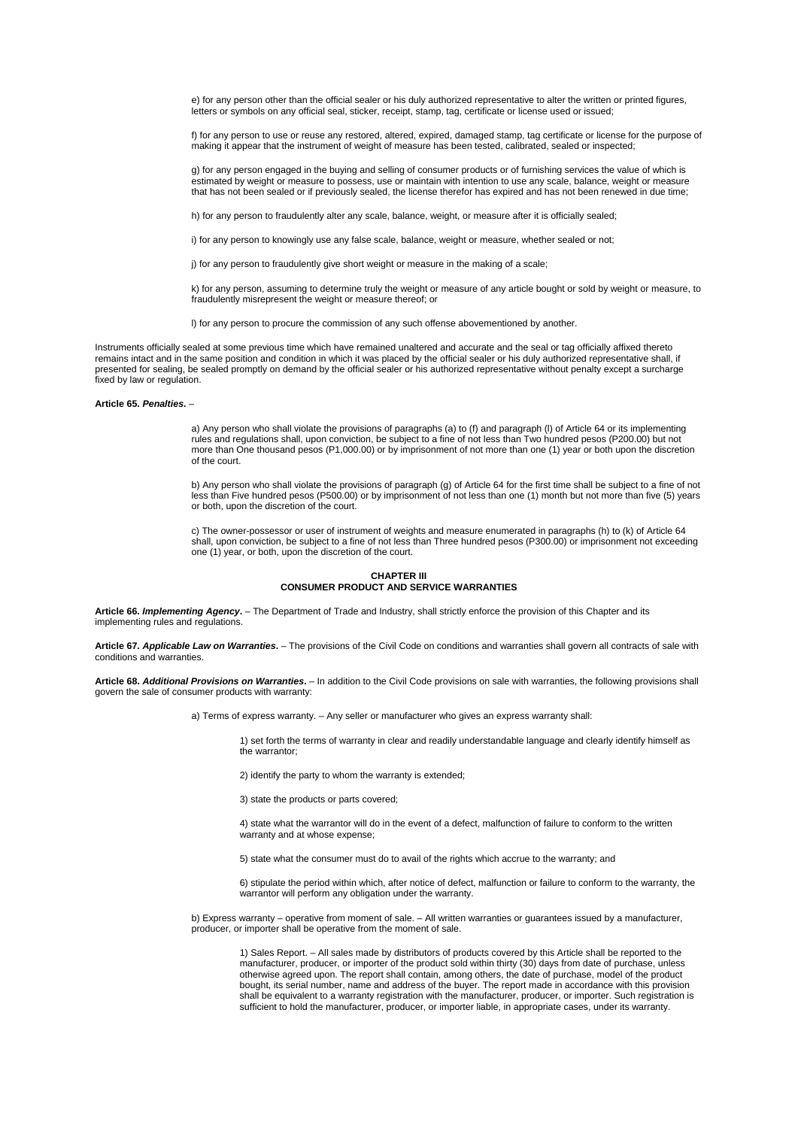e) for any person other than the official sealer or his duly authorized representative to alter the written or printed figures, letters or symbols on any official seal, sticker, receipt, stamp, tag, certificate or license used or issued;

f) for any person to use or reuse any restored, altered, expired, damaged stamp, tag certificate or license for the purpose of making it appear that the instrument of weight of measure has been tested, calibrated, sealed or inspected;

g) for any person engaged in the buying and selling of consumer products or of furnishing services the value of which is estimated by weight or measure to possess, use or maintain with intention to use any scale, balance, weight or measure that has not been sealed or if previously sealed, the license therefor has expired and has not been renewed in due time;

h) for any person to fraudulently alter any scale, balance, weight, or measure after it is officially sealed;

i) for any person to knowingly use any false scale, balance, weight or measure, whether sealed or not;

j) for any person to fraudulently give short weight or measure in the making of a scale;

k) for any person, assuming to determine truly the weight or measure of any article bought or sold by weight or measure, to fraudulently misrepresent the weight or measure thereof; or

l) for any person to procure the commission of any such offense abovementioned by another.

Instruments officially sealed at some previous time which have remained unaltered and accurate and the seal or tag officially affixed thereto remains intact and in the same position and condition in which it was placed by the official sealer or his duly authorized representative shall, if presented for sealing, be sealed promptly on demand by the official sealer or his authorized representative without penalty except a surcharge fixed by law or regulation.

# **Article 65.** *Penalties***.** –

a) Any person who shall violate the provisions of paragraphs (a) to (f) and paragraph (l) of Article 64 or its implementing rules and regulations shall, upon conviction, be subject to a fine of not less than Two hundred pesos (P200.00) but not more than One thousand pesos (P1,000.00) or by imprisonment of not more than one (1) year or both upon the discretion of the court.

b) Any person who shall violate the provisions of paragraph (g) of Article 64 for the first time shall be subject to a fine of not less than Five hundred pesos (P500.00) or by imprisonment of not less than one (1) month but not more than five (5) years or both, upon the discretion of the court.

c) The owner-possessor or user of instrument of weights and measure enumerated in paragraphs (h) to (k) of Article 64 shall, upon conviction, be subject to a fine of not less than Three hundred pesos (P300.00) or imprisonment not exceeding one (1) year, or both, upon the discretion of the court.

## **CHAPTER III CONSUMER PRODUCT AND SERVICE WARRANTIES**

**Article 66.** *Implementing Agency***.** – The Department of Trade and Industry, shall strictly enforce the provision of this Chapter and its implementing rules and regulations.

**Article 67.** *Applicable Law on Warranties***.** – The provisions of the Civil Code on conditions and warranties shall govern all contracts of sale with conditions and warranties.

**Article 68.** *Additional Provisions on Warranties***.** – In addition to the Civil Code provisions on sale with warranties, the following provisions shall govern the sale of consumer products with warranty:

a) Terms of express warranty. – Any seller or manufacturer who gives an express warranty shall:

1) set forth the terms of warranty in clear and readily understandable language and clearly identify himself as the warrantor;

2) identify the party to whom the warranty is extended;

3) state the products or parts covered;

4) state what the warrantor will do in the event of a defect, malfunction of failure to conform to the written warranty and at whose expense;

5) state what the consumer must do to avail of the rights which accrue to the warranty; and

6) stipulate the period within which, after notice of defect, malfunction or failure to conform to the warranty, the warrantor will perform any obligation under the warranty.

b) Express warranty – operative from moment of sale. – All written warranties or guarantees issued by a manufacturer, producer, or importer shall be operative from the moment of sale.

1) Sales Report. – All sales made by distributors of products covered by this Article shall be reported to the manufacturer, producer, or importer of the product sold within thirty (30) days from date of purchase, unless otherwise agreed upon. The report shall contain, among others, the date of purchase, model of the product bought, its serial number, name and address of the buyer. The report made in accordance with this provision shall be equivalent to a warranty registration with the manufacturer, producer, or importer. Such registration is sufficient to hold the manufacturer, producer, or importer liable, in appropriate cases, under its warranty.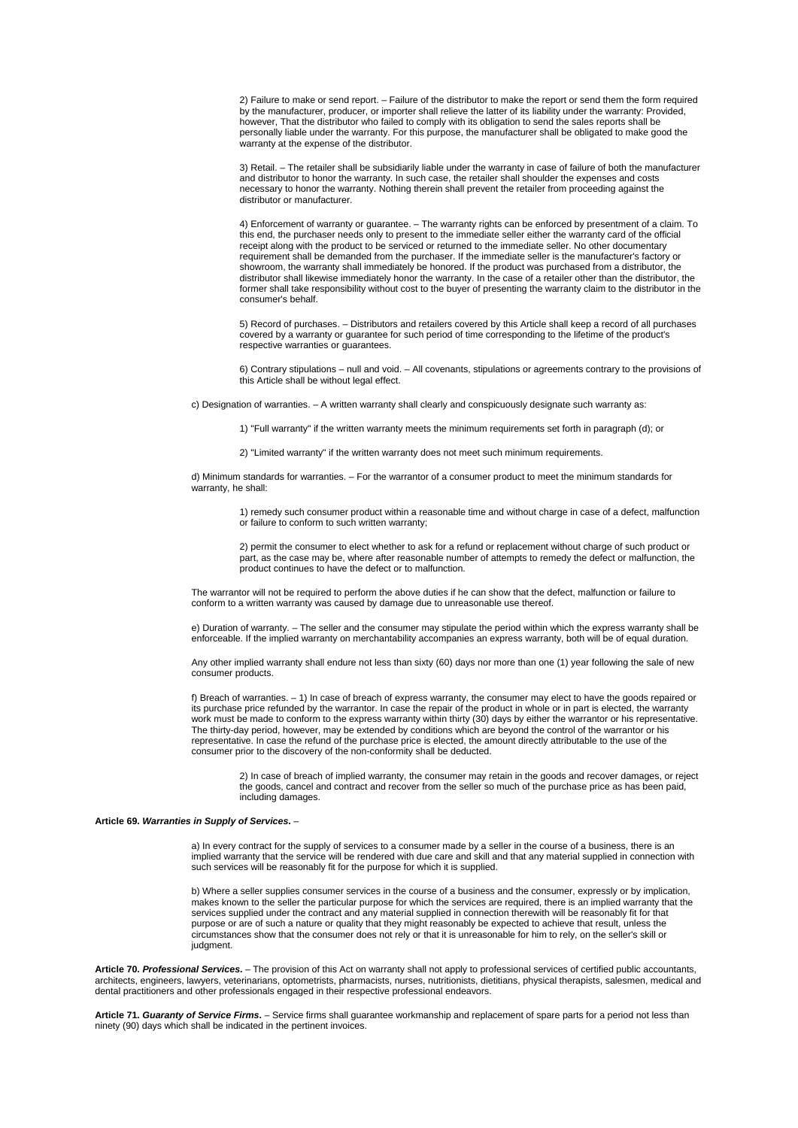2) Failure to make or send report. – Failure of the distributor to make the report or send them the form required by the manufacturer, producer, or importer shall relieve the latter of its liability under the warranty: Provided, however, That the distributor who failed to comply with its obligation to send the sales reports shall be personally liable under the warranty. For this purpose, the manufacturer shall be obligated to make good the warranty at the expense of the distributor.

3) Retail. – The retailer shall be subsidiarily liable under the warranty in case of failure of both the manufacturer and distributor to honor the warranty. In such case, the retailer shall shoulder the expenses and costs necessary to honor the warranty. Nothing therein shall prevent the retailer from proceeding against the necessary to honor the warranty. Nothing therein shall prevent the retailer from proceeding against the distributor or manufacturer.

4) Enforcement of warranty or guarantee. – The warranty rights can be enforced by presentment of a claim. To this end, the purchaser needs only to present to the immediate seller either the warranty card of the official receipt along with the product to be serviced or returned to the immediate seller. No other documentary receipt along with the product to be serviced or returned to the immediate seller. No other documentary requirement shall be demanded from the purchaser. If the immediate seller is the manufacturer's factory or showroom, the warranty shall immediately be honored. If the product was purchased from a distributor, the distributor shall likewise immediately honor the warranty. In the case of a retailer other than the distributor, the former shall take responsibility without cost to the buyer of presenting the warranty claim to the distributor in the consumer's behalf.

5) Record of purchases. – Distributors and retailers covered by this Article shall keep a record of all purchases covered by a warranty or guarantee for such period of time corresponding to the lifetime of the product's respective warranties or guarantees.

6) Contrary stipulations – null and void. – All covenants, stipulations or agreements contrary to the provisions of this Article shall be without legal effect.

c) Designation of warranties. – A written warranty shall clearly and conspicuously designate such warranty as:

1) "Full warranty" if the written warranty meets the minimum requirements set forth in paragraph (d); or

2) "Limited warranty" if the written warranty does not meet such minimum requirements.

d) Minimum standards for warranties. – For the warrantor of a consumer product to meet the minimum standards for warranty, he shall:

1) remedy such consumer product within a reasonable time and without charge in case of a defect, malfunction or failure to conform to such written warranty;

2) permit the consumer to elect whether to ask for a refund or replacement without charge of such product or part, as the case may be, where after reasonable number of attempts to remedy the defect or malfunction, the product continues to have the defect or to malfunction.

The warrantor will not be required to perform the above duties if he can show that the defect, malfunction or failure to conform to a written warranty was caused by damage due to unreasonable use thereof.

e) Duration of warranty. – The seller and the consumer may stipulate the period within which the express warranty shall be enforceable. If the implied warranty on merchantability accompanies an express warranty, both will be of equal duration.

Any other implied warranty shall endure not less than sixty (60) days nor more than one (1) year following the sale of new consumer products.

f) Breach of warranties. – 1) In case of breach of express warranty, the consumer may elect to have the goods repaired or its purchase price refunded by the warrantor. In case the repair of the product in whole or in part is elected, the warranty work must be made to conform to the express warranty within thirty (30) days by either the warrantor or his representative. The thirty-day period, however, may be extended by conditions which are beyond the control of the warrantor or his representative. In case the refund of the purchase price is elected, the amount directly attributable to the use of the consumer prior to the discovery of the non-conformity shall be deducted.

2) In case of breach of implied warranty, the consumer may retain in the goods and recover damages, or reject the goods, cancel and contract and recover from the seller so much of the purchase price as has been paid, including damages.

### **Article 69.** *Warranties in Supply of Services***.** –

a) In every contract for the supply of services to a consumer made by a seller in the course of a business, there is an implied warranty that the service will be rendered with due care and skill and that any material supplied in connection with such services will be reasonably fit for the purpose for which it is supplied.

b) Where a seller supplies consumer services in the course of a business and the consumer, expressly or by implication, makes known to the seller the particular purpose for which the services are required, there is an implied warranty that the services supplied under the contract and any material supplied in connection therewith will be reasonably fit for that purpose or are of such a nature or quality that they might reasonably be expected to achieve that result, unless the circumstances show that the consumer does not rely or that it is unreasonable for him to rely, on the seller's skill or judgment.

**Article 70.** *Professional Services***.** – The provision of this Act on warranty shall not apply to professional services of certified public accountants, architects, engineers, lawyers, veterinarians, optometrists, pharmacists, nurses, nutritionists, dietitians, physical therapists, salesmen, medical and dental practitioners and other professionals engaged in their respective professional endeavors.

**Article 71.** *Guaranty of Service Firms***.** – Service firms shall guarantee workmanship and replacement of spare parts for a period not less than ninety (90) days which shall be indicated in the pertinent invoices.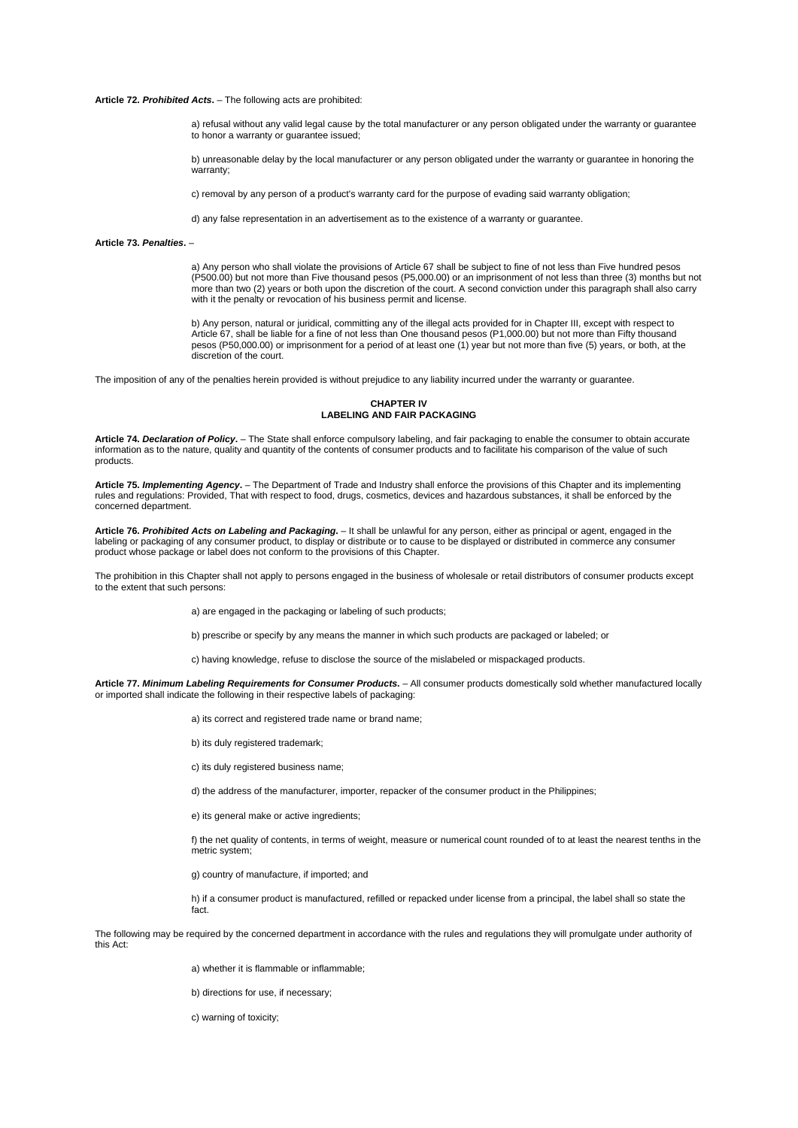# **Article 72.** *Prohibited Acts***.** – The following acts are prohibited:

a) refusal without any valid legal cause by the total manufacturer or any person obligated under the warranty or guarantee to honor a warranty or guarantee issued;

b) unreasonable delay by the local manufacturer or any person obligated under the warranty or guarantee in honoring the warranty;

c) removal by any person of a product's warranty card for the purpose of evading said warranty obligation;

d) any false representation in an advertisement as to the existence of a warranty or guarantee.

## **Article 73.** *Penalties***.** –

a) Any person who shall violate the provisions of Article 67 shall be subject to fine of not less than Five hundred pesos (P500.00) but not more than Five thousand pesos (P5,000.00) or an imprisonment of not less than three (3) months but not more than two (2) years or both upon the discretion of the court. A second conviction under this paragraph shall also carry with it the penalty or revocation of his business permit and license.

b) Any person, natural or juridical, committing any of the illegal acts provided for in Chapter III, except with respect to Article 67, shall be liable for a fine of not less than One thousand pesos (P1,000.00) but not more than Fifty thousand pesos (P50,000.00) or imprisonment for a period of at least one (1) year but not more than five (5) years, or both, at the discretion of the court.

The imposition of any of the penalties herein provided is without prejudice to any liability incurred under the warranty or guarantee.

**CHAPTER IV LABELING AND FAIR PACKAGING**

**Article 74.** *Declaration of Policy***.** – The State shall enforce compulsory labeling, and fair packaging to enable the consumer to obtain accurate information as to the nature, quality and quantity of the contents of consumer products and to facilitate his comparison of the value of such products.

**Article 75.** *Implementing Agency***.** – The Department of Trade and Industry shall enforce the provisions of this Chapter and its implementing rules and regulations: Provided, That with respect to food, drugs, cosmetics, devices and hazardous substances, it shall be enforced by the concerned department.

**Article 76.** *Prohibited Acts on Labeling and Packaging***.** – It shall be unlawful for any person, either as principal or agent, engaged in the labeling or packaging of any consumer product, to display or distribute or to cause to be displayed or distributed in commerce any consumer product whose package or label does not conform to the provisions of this Chapter.

The prohibition in this Chapter shall not apply to persons engaged in the business of wholesale or retail distributors of consumer products except to the extent that such persons:

a) are engaged in the packaging or labeling of such products;

b) prescribe or specify by any means the manner in which such products are packaged or labeled; or

c) having knowledge, refuse to disclose the source of the mislabeled or mispackaged products.

**Article 77.** *Minimum Labeling Requirements for Consumer Products***.** – All consumer products domestically sold whether manufactured locally or imported shall indicate the following in their respective labels of packaging:

a) its correct and registered trade name or brand name;

- b) its duly registered trademark;
- c) its duly registered business name;

d) the address of the manufacturer, importer, repacker of the consumer product in the Philippines;

e) its general make or active ingredients:

f) the net quality of contents, in terms of weight, measure or numerical count rounded of to at least the nearest tenths in the metric system;

g) country of manufacture, if imported; and

h) if a consumer product is manufactured, refilled or repacked under license from a principal, the label shall so state the fact.

The following may be required by the concerned department in accordance with the rules and regulations they will promulgate under authority of this Act:

a) whether it is flammable or inflammable;

b) directions for use, if necessary;

c) warning of toxicity;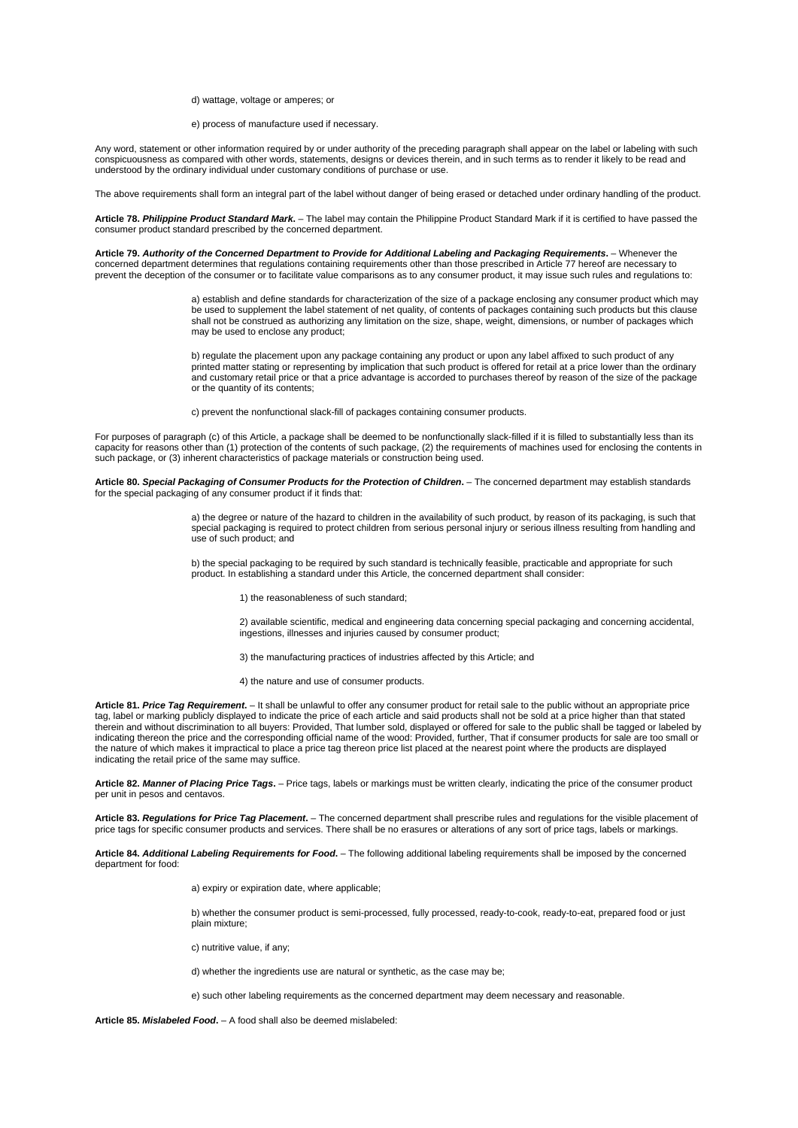d) wattage, voltage or amperes; or

e) process of manufacture used if necessary.

Any word, statement or other information required by or under authority of the preceding paragraph shall appear on the label or labeling with such conspicuousness as compared with other words, statements, designs or devices therein, and in such terms as to render it likely to be read and understood by the ordinary individual under customary conditions of purchase or use.

The above requirements shall form an integral part of the label without danger of being erased or detached under ordinary handling of the product.

**Article 78.** *Philippine Product Standard Mark***.** – The label may contain the Philippine Product Standard Mark if it is certified to have passed the consumer product standard prescribed by the concerned department.

**Article 79.** *Authority of the Concerned Department to Provide for Additional Labeling and Packaging Requirements***.** – Whenever the concerned department determines that regulations containing requirements other than those prescribed in Article 77 hereof are necessary to prevent the deception of the consumer or to facilitate value comparisons as to any consumer product, it may issue such rules and regulations to:

> a) establish and define standards for characterization of the size of a package enclosing any consumer product which may be used to supplement the label statement of net quality, of contents of packages containing such products but this clause shall not be construed as authorizing any limitation on the size, shape, weight, dimensions, or number of packages which may be used to enclose any product;

> b) regulate the placement upon any package containing any product or upon any label affixed to such product of any printed matter stating or representing by implication that such product is offered for retail at a price lower than the ordinary and customary retail price or that a price advantage is accorded to purchases thereof by reason of the size of the package or the quantity of its contents;

c) prevent the nonfunctional slack-fill of packages containing consumer products.

For purposes of paragraph (c) of this Article, a package shall be deemed to be nonfunctionally slack-filled if it is filled to substantially less than its capacity for reasons other than (1) protection of the contents of such package, (2) the requirements of machines used for enclosing the contents in such package, or (3) inherent characteristics of package materials or construction being used.

**Article 80.** *Special Packaging of Consumer Products for the Protection of Children***.** – The concerned department may establish standards for the special packaging of any consumer product if it finds that:

> a) the degree or nature of the hazard to children in the availability of such product, by reason of its packaging, is such that special packaging is required to protect children from serious personal injury or serious illness resulting from handling and use of such product; and

b) the special packaging to be required by such standard is technically feasible, practicable and appropriate for such product. In establishing a standard under this Article, the concerned department shall consider:

1) the reasonableness of such standard;

2) available scientific, medical and engineering data concerning special packaging and concerning accidental, ingestions, illnesses and injuries caused by consumer product;

3) the manufacturing practices of industries affected by this Article; and

4) the nature and use of consumer products.

**Article 81.** *Price Tag Requirement***.** – It shall be unlawful to offer any consumer product for retail sale to the public without an appropriate price tag, label or marking publicly displayed to indicate the price of each article and said products shall not be sold at a price higher than that stated therein and without discrimination to all buyers: Provided, That lumber sold, displayed or offered for sale to the public shall be tagged or labeled by indicating thereon the price and the corresponding official name of the wood: Provided, further, That if consumer products for sale are too small or the nature of which makes it impractical to place a price tag thereon price list placed at the nearest point where the products are displayed indicating the retail price of the same may suffice.

**Article 82.** *Manner of Placing Price Tags***.** – Price tags, labels or markings must be written clearly, indicating the price of the consumer product per unit in pesos and centavos.

**Article 83.** *Regulations for Price Tag Placement***.** – The concerned department shall prescribe rules and regulations for the visible placement of price tags for specific consumer products and services. There shall be no erasures or alterations of any sort of price tags, labels or markings.

**Article 84.** *Additional Labeling Requirements for Food***.** – The following additional labeling requirements shall be imposed by the concerned department for food:

a) expiry or expiration date, where applicable;

b) whether the consumer product is semi-processed, fully processed, ready-to-cook, ready-to-eat, prepared food or just plain mixture;

c) nutritive value, if any;

d) whether the ingredients use are natural or synthetic, as the case may be;

e) such other labeling requirements as the concerned department may deem necessary and reasonable.

**Article 85.** *Mislabeled Food***.** – A food shall also be deemed mislabeled: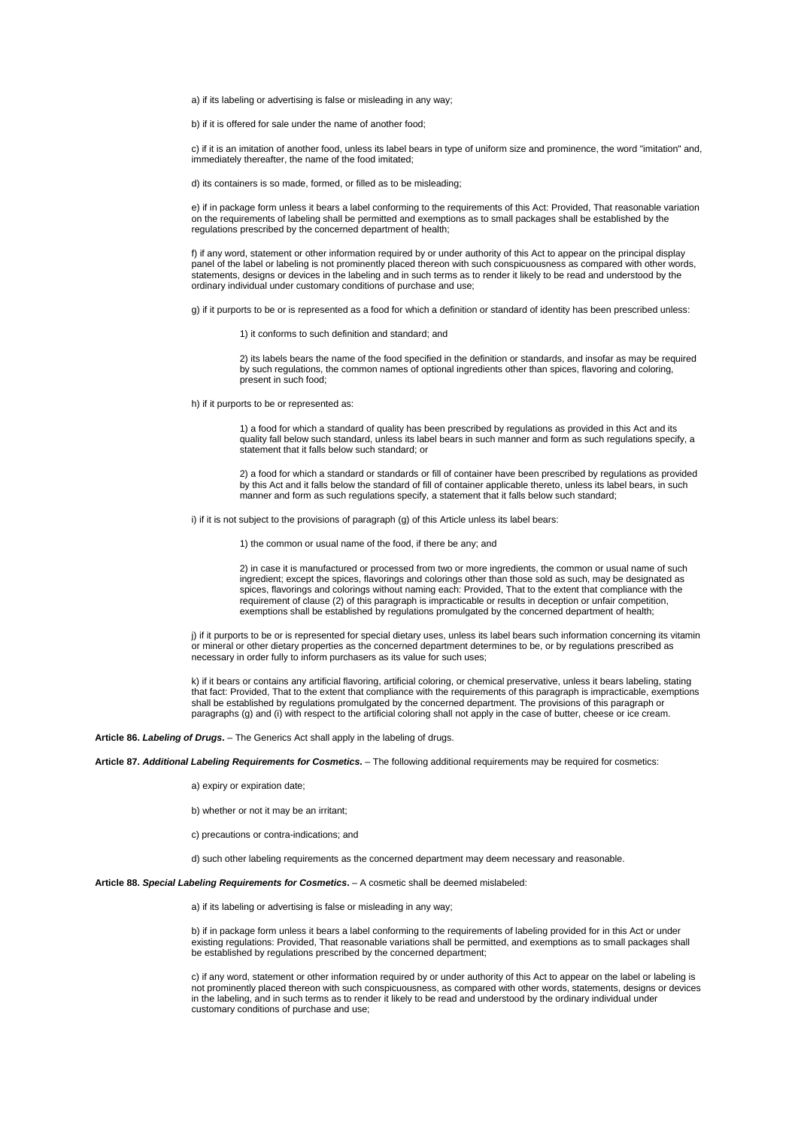a) if its labeling or advertising is false or misleading in any way;

b) if it is offered for sale under the name of another food;

c) if it is an imitation of another food, unless its label bears in type of uniform size and prominence, the word "imitation" and, immediately thereafter, the name of the food imitated;

d) its containers is so made, formed, or filled as to be misleading;

e) if in package form unless it bears a label conforming to the requirements of this Act: Provided, That reasonable variation on the requirements of labeling shall be permitted and exemptions as to small packages shall be established by the regulations prescribed by the concerned department of health;

f) if any word, statement or other information required by or under authority of this Act to appear on the principal display panel of the label or labeling is not prominently placed thereon with such conspicuousness as compared with other words, statements, designs or devices in the labeling and in such terms as to render it likely to be read and understood by the ordinary individual under customary conditions of purchase and use;

g) if it purports to be or is represented as a food for which a definition or standard of identity has been prescribed unless:

1) it conforms to such definition and standard; and

2) its labels bears the name of the food specified in the definition or standards, and insofar as may be required by such regulations, the common names of optional ingredients other than spices, flavoring and coloring, present in such food;

h) if it purports to be or represented as:

1) a food for which a standard of quality has been prescribed by regulations as provided in this Act and its quality fall below such standard, unless its label bears in such manner and form as such regulations specify, a statement that it falls below such standard; or

2) a food for which a standard or standards or fill of container have been prescribed by regulations as provided by this Act and it falls below the standard of fill of container applicable thereto, unless its label bears, in such manner and form as such regulations specify, a statement that it falls below such standard;

i) if it is not subject to the provisions of paragraph (g) of this Article unless its label bears:

1) the common or usual name of the food, if there be any; and

2) in case it is manufactured or processed from two or more ingredients, the common or usual name of such ingredient; except the spices, flavorings and colorings other than those sold as such, may be designated as spices, flavorings and colorings without naming each: Provided, That to the extent that compliance with the requirement of clause (2) of this paragraph is impracticable or results in deception or unfair competition, exemptions shall be established by regulations promulgated by the concerned department of health;

j) if it purports to be or is represented for special dietary uses, unless its label bears such information concerning its vitamin or mineral or other dietary properties as the concerned department determines to be, or by regulations prescribed as necessary in order fully to inform purchasers as its value for such uses;

k) if it bears or contains any artificial flavoring, artificial coloring, or chemical preservative, unless it bears labeling, stating that fact: Provided, That to the extent that compliance with the requirements of this paragraph is impracticable, exemptions shall be established by regulations promulgated by the concerned department. The provisions of this paragraph or paragraphs (g) and (i) with respect to the artificial coloring shall not apply in the case of butter, cheese or ice cream.

**Article 86.** *Labeling of Drugs***.** – The Generics Act shall apply in the labeling of drugs.

**Article 87.** *Additional Labeling Requirements for Cosmetics***.** – The following additional requirements may be required for cosmetics:

a) expiry or expiration date;

b) whether or not it may be an irritant;

c) precautions or contra-indications; and

d) such other labeling requirements as the concerned department may deem necessary and reasonable.

**Article 88.** *Special Labeling Requirements for Cosmetics***.** – A cosmetic shall be deemed mislabeled:

a) if its labeling or advertising is false or misleading in any way;

b) if in package form unless it bears a label conforming to the requirements of labeling provided for in this Act or under existing regulations: Provided, That reasonable variations shall be permitted, and exemptions as to small packages shall be established by regulations prescribed by the concerned department;

c) if any word, statement or other information required by or under authority of this Act to appear on the label or labeling is not prominently placed thereon with such conspicuousness, as compared with other words, statements, designs or devices in the labeling, and in such terms as to render it likely to be read and understood by the ordinary individual under customary conditions of purchase and use;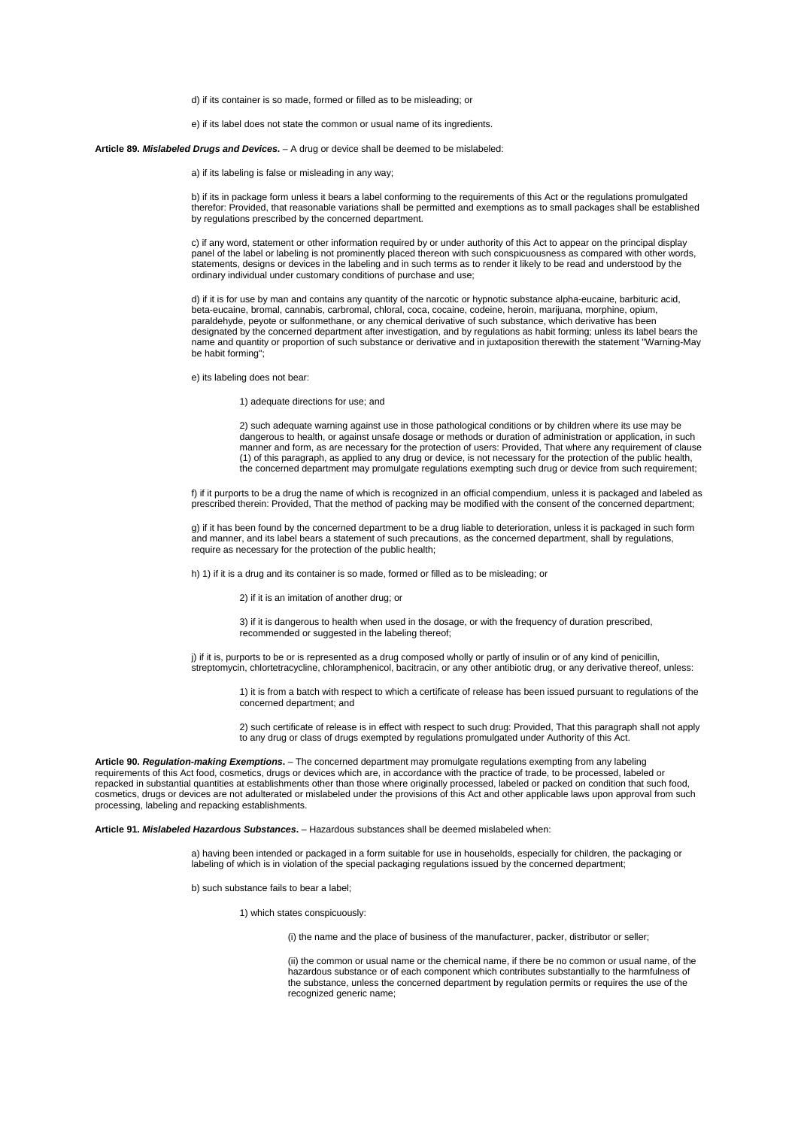d) if its container is so made, formed or filled as to be misleading; or

e) if its label does not state the common or usual name of its ingredients.

**Article 89.** *Mislabeled Drugs and Devices***.** – A drug or device shall be deemed to be mislabeled:

a) if its labeling is false or misleading in any way;

b) if its in package form unless it bears a label conforming to the requirements of this Act or the regulations promulgated therefor: Provided, that reasonable variations shall be permitted and exemptions as to small packages shall be established by regulations prescribed by the concerned department.

c) if any word, statement or other information required by or under authority of this Act to appear on the principal display panel of the label or labeling is not prominently placed thereon with such conspicuousness as compared with other words, statements, designs or devices in the labeling and in such terms as to render it likely to be read and understood by the ordinary individual under customary conditions of purchase and use;

d) if it is for use by man and contains any quantity of the narcotic or hypnotic substance alpha-eucaine, barbituric acid, beta-eucaine, bromal, cannabis, carbromal, chloral, coca, cocaine, codeine, heroin, marijuana, morphine, opium, paraldehyde, peyote or sulfonmethane, or any chemical derivative of such substance, which derivative has been designated by the concerned department after investigation, and by regulations as habit forming; unless its label bears the name and quantity or proportion of such substance or derivative and in juxtaposition therewith the statement "Warning-May be habit forming";

e) its labeling does not bear:

# 1) adequate directions for use; and

2) such adequate warning against use in those pathological conditions or by children where its use may be dangerous to health, or against unsafe dosage or methods or duration of administration or application, in such manner and form, as are necessary for the protection of users: Provided, That where any requirement of clause (1) of this paragraph, as applied to any drug or device, is not necessary for the protection of the public health, the concerned department may promulgate regulations exempting such drug or device from such requirement;

f) if it purports to be a drug the name of which is recognized in an official compendium, unless it is packaged and labeled as prescribed therein: Provided, That the method of packing may be modified with the consent of the concerned department;

g) if it has been found by the concerned department to be a drug liable to deterioration, unless it is packaged in such form and manner, and its label bears a statement of such precautions, as the concerned department, shall by regulations, require as necessary for the protection of the public health;

h) 1) if it is a drug and its container is so made, formed or filled as to be misleading; or

2) if it is an imitation of another drug; or

3) if it is dangerous to health when used in the dosage, or with the frequency of duration prescribed, recommended or suggested in the labeling thereof:

j) if it is, purports to be or is represented as a drug composed wholly or partly of insulin or of any kind of penicillin, streptomycin, chlortetracycline, chloramphenicol, bacitracin, or any other antibiotic drug, or any derivative thereof, unless:

1) it is from a batch with respect to which a certificate of release has been issued pursuant to regulations of the concerned department; and

2) such certificate of release is in effect with respect to such drug: Provided, That this paragraph shall not apply to any drug or class of drugs exempted by regulations promulgated under Authority of this Act.

**Article 90.** *Regulation-making Exemptions***.** – The concerned department may promulgate regulations exempting from any labeling requirements of this Act food, cosmetics, drugs or devices which are, in accordance with the practice of trade, to be processed, labeled or repacked in substantial quantities at establishments other than those where originally processed, labeled or packed on condition that such food, cosmetics, drugs or devices are not adulterated or mislabeled under the provisions of this Act and other applicable laws upon approval from such processing, labeling and repacking establishments.

**Article 91.** *Mislabeled Hazardous Substances***.** – Hazardous substances shall be deemed mislabeled when:

a) having been intended or packaged in a form suitable for use in households, especially for children, the packaging or labeling of which is in violation of the special packaging regulations issued by the concerned department;

b) such substance fails to bear a label;

1) which states conspicuously:

(i) the name and the place of business of the manufacturer, packer, distributor or seller;

(ii) the common or usual name or the chemical name, if there be no common or usual name, of the hazardous substance or of each component which contributes substantially to the harmfulness of the substance, unless the concerned department by regulation permits or requires the use of the recognized generic name;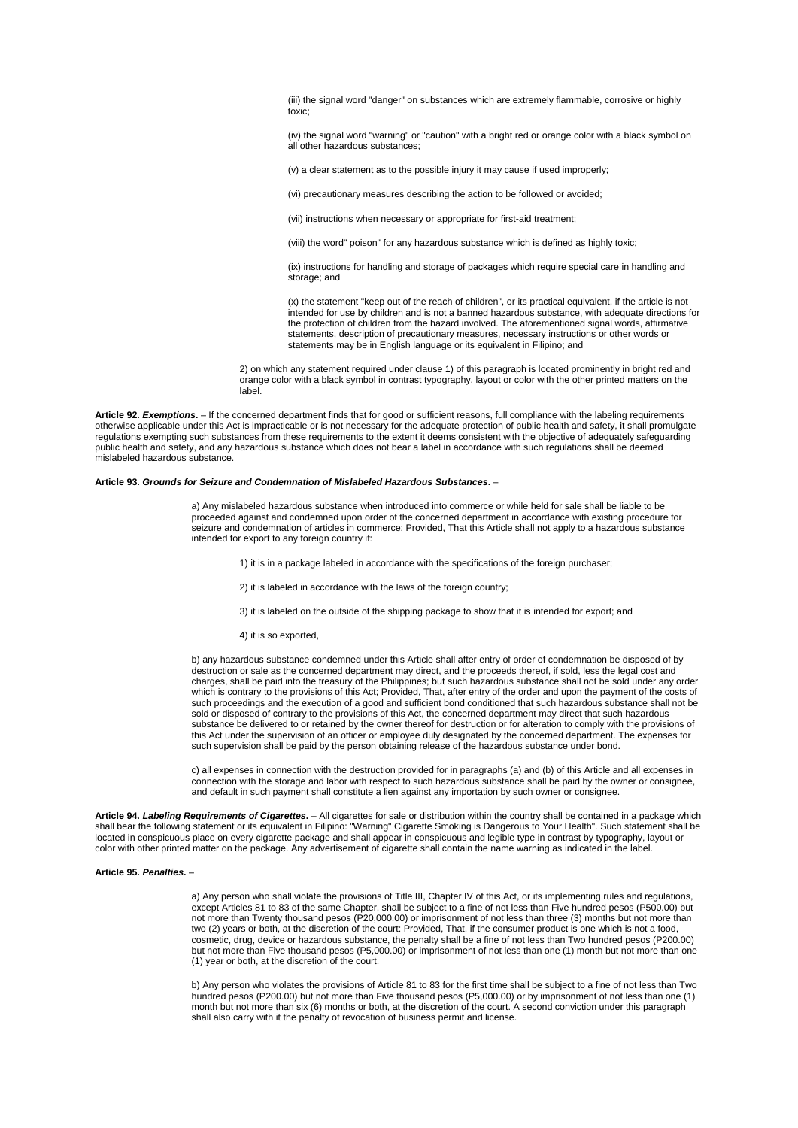(iii) the signal word "danger" on substances which are extremely flammable, corrosive or highly toxic;

(iv) the signal word "warning" or "caution" with a bright red or orange color with a black symbol on all other hazardous substances;

(v) a clear statement as to the possible injury it may cause if used improperly;

(vi) precautionary measures describing the action to be followed or avoided;

(vii) instructions when necessary or appropriate for first-aid treatment;

(viii) the word" poison" for any hazardous substance which is defined as highly toxic;

(ix) instructions for handling and storage of packages which require special care in handling and storage: and

(x) the statement "keep out of the reach of children", or its practical equivalent, if the article is not intended for use by children and is not a banned hazardous substance, with adequate directions for the protection of children from the hazard involved. The aforementioned signal words, affirmative statements, description of precautionary measures, necessary instructions or other words or statements may be in English language or its equivalent in Filipino; and

2) on which any statement required under clause 1) of this paragraph is located prominently in bright red and orange color with a black symbol in contrast typography, layout or color with the other printed matters on the label.

**Article 92.** *Exemptions***.** – If the concerned department finds that for good or sufficient reasons, full compliance with the labeling requirements otherwise applicable under this Act is impracticable or is not necessary for the adequate protection of public health and safety, it shall promulgate regulations exempting such substances from these requirements to the extent it deems consistent with the objective of adequately safeguarding public health and safety, and any hazardous substance which does not bear a label in accordance with such regulations shall be deemed mislabeled hazardous substance.

#### **Article 93.** *Grounds for Seizure and Condemnation of Mislabeled Hazardous Substances***.** –

a) Any mislabeled hazardous substance when introduced into commerce or while held for sale shall be liable to be proceeded against and condemned upon order of the concerned department in accordance with existing procedure for seizure and condemnation of articles in commerce: Provided, That this Article shall not apply to a hazardous substance intended for export to any foreign country if:

1) it is in a package labeled in accordance with the specifications of the foreign purchaser;

2) it is labeled in accordance with the laws of the foreign country;

3) it is labeled on the outside of the shipping package to show that it is intended for export; and

4) it is so exported,

b) any hazardous substance condemned under this Article shall after entry of order of condemnation be disposed of by destruction or sale as the concerned department may direct, and the proceeds thereof, if sold, less the legal cost and charges, shall be paid into the treasury of the Philippines; but such hazardous substance shall not be sold under any order which is contrary to the provisions of this Act; Provided, That, after entry of the order and upon the payment of the costs of such proceedings and the execution of a good and sufficient bond conditioned that such hazardous substance shall not be sold or disposed of contrary to the provisions of this Act, the concerned department may direct that such hazardous substance be delivered to or retained by the owner thereof for destruction or for alteration to comply with the provisions of this Act under the supervision of an officer or employee duly designated by the concerned department. The expenses for such supervision shall be paid by the person obtaining release of the hazardous substance under bond.

c) all expenses in connection with the destruction provided for in paragraphs (a) and (b) of this Article and all expenses in connection with the storage and labor with respect to such hazardous substance shall be paid by the owner or consignee, and default in such payment shall constitute a lien against any importation by such owner or consignee.

**Article 94.** *Labeling Requirements of Cigarettes***.** – All cigarettes for sale or distribution within the country shall be contained in a package which shall bear the following statement or its equivalent in Filipino: "Warning" Cigarette Smoking is Dangerous to Your Health". Such statement shall be located in conspicuous place on every cigarette package and shall appear in conspicuous and legible type in contrast by typography, layout or color with other printed matter on the package. Any advertisement of cigarette shall contain the name warning as indicated in the label.

# **Article 95.** *Penalties***.** –

a) Any person who shall violate the provisions of Title III, Chapter IV of this Act, or its implementing rules and regulations, except Articles 81 to 83 of the same Chapter, shall be subject to a fine of not less than Five hundred pesos (P500.00) but not more than Twenty thousand pesos (P20,000.00) or imprisonment of not less than three (3) months but not more than two (2) years or both, at the discretion of the court: Provided, That, if the consumer product is one which is not a food, cosmetic, drug, device or hazardous substance, the penalty shall be a fine of not less than Two hundred pesos (P200.00) but not more than Five thousand pesos (P5,000.00) or imprisonment of not less than one (1) month but not more than one (1) year or both, at the discretion of the court.

b) Any person who violates the provisions of Article 81 to 83 for the first time shall be subject to a fine of not less than Two hundred pesos (P200.00) but not more than Five thousand pesos (P5,000.00) or by imprisonment of not less than one (1) month but not more than six (6) months or both, at the discretion of the court. A second conviction under this paragraph shall also carry with it the penalty of revocation of business permit and license.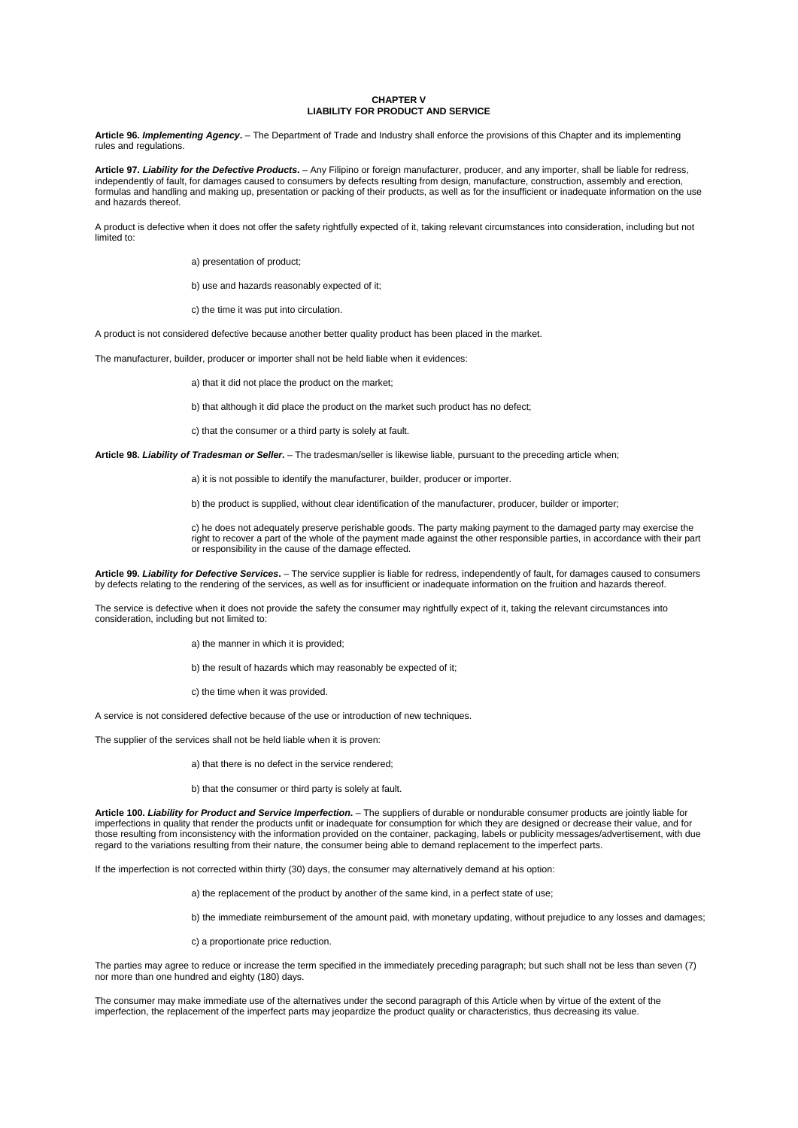# **CHAPTER V LIABILITY FOR PRODUCT AND SERVICE**

**Article 96.** *Implementing Agency***.** – The Department of Trade and Industry shall enforce the provisions of this Chapter and its implementing rules and regulations.

**Article 97.** *Liability for the Defective Products***.** – Any Filipino or foreign manufacturer, producer, and any importer, shall be liable for redress, independently of fault, for damages caused to consumers by defects resulting from design, manufacture, construction, assembly and erection, formulas and handling and making up, presentation or packing of their products, as well as for the insufficient or inadequate information on the use and hazards thereof.

A product is defective when it does not offer the safety rightfully expected of it, taking relevant circumstances into consideration, including but not limited to:

a) presentation of product;

b) use and hazards reasonably expected of it;

c) the time it was put into circulation.

A product is not considered defective because another better quality product has been placed in the market.

The manufacturer, builder, producer or importer shall not be held liable when it evidences:

a) that it did not place the product on the market;

b) that although it did place the product on the market such product has no defect;

c) that the consumer or a third party is solely at fault.

**Article 98.** *Liability of Tradesman or Seller***.** – The tradesman/seller is likewise liable, pursuant to the preceding article when;

a) it is not possible to identify the manufacturer, builder, producer or importer.

b) the product is supplied, without clear identification of the manufacturer, producer, builder or importer;

c) he does not adequately preserve perishable goods. The party making payment to the damaged party may exercise the right to recover a part of the whole of the payment made against the other responsible parties, in accordance with their part or responsibility in the cause of the damage effected.

**Article 99.** *Liability for Defective Services***.** – The service supplier is liable for redress, independently of fault, for damages caused to consumers by defects relating to the rendering of the services, as well as for insufficient or inadequate information on the fruition and hazards thereof.

The service is defective when it does not provide the safety the consumer may rightfully expect of it, taking the relevant circumstances into consideration, including but not limited to:

a) the manner in which it is provided;

b) the result of hazards which may reasonably be expected of it;

c) the time when it was provided.

A service is not considered defective because of the use or introduction of new techniques.

The supplier of the services shall not be held liable when it is proven:

a) that there is no defect in the service rendered;

b) that the consumer or third party is solely at fault.

**Article 100.** *Liability for Product and Service Imperfection***.** – The suppliers of durable or nondurable consumer products are jointly liable for imperfections in quality that render the products unfit or inadequate for consumption for which they are designed or decrease their value, and for those resulting from inconsistency with the information provided on the container, packaging, labels or publicity messages/advertisement, with due regard to the variations resulting from their nature, the consumer being able to demand replacement to the imperfect parts.

If the imperfection is not corrected within thirty (30) days, the consumer may alternatively demand at his option:

a) the replacement of the product by another of the same kind, in a perfect state of use;

b) the immediate reimbursement of the amount paid, with monetary updating, without prejudice to any losses and damages;

c) a proportionate price reduction.

The parties may agree to reduce or increase the term specified in the immediately preceding paragraph; but such shall not be less than seven (7) nor more than one hundred and eighty (180) days.

The consumer may make immediate use of the alternatives under the second paragraph of this Article when by virtue of the extent of the imperfection, the replacement of the imperfect parts may jeopardize the product quality or characteristics, thus decreasing its value.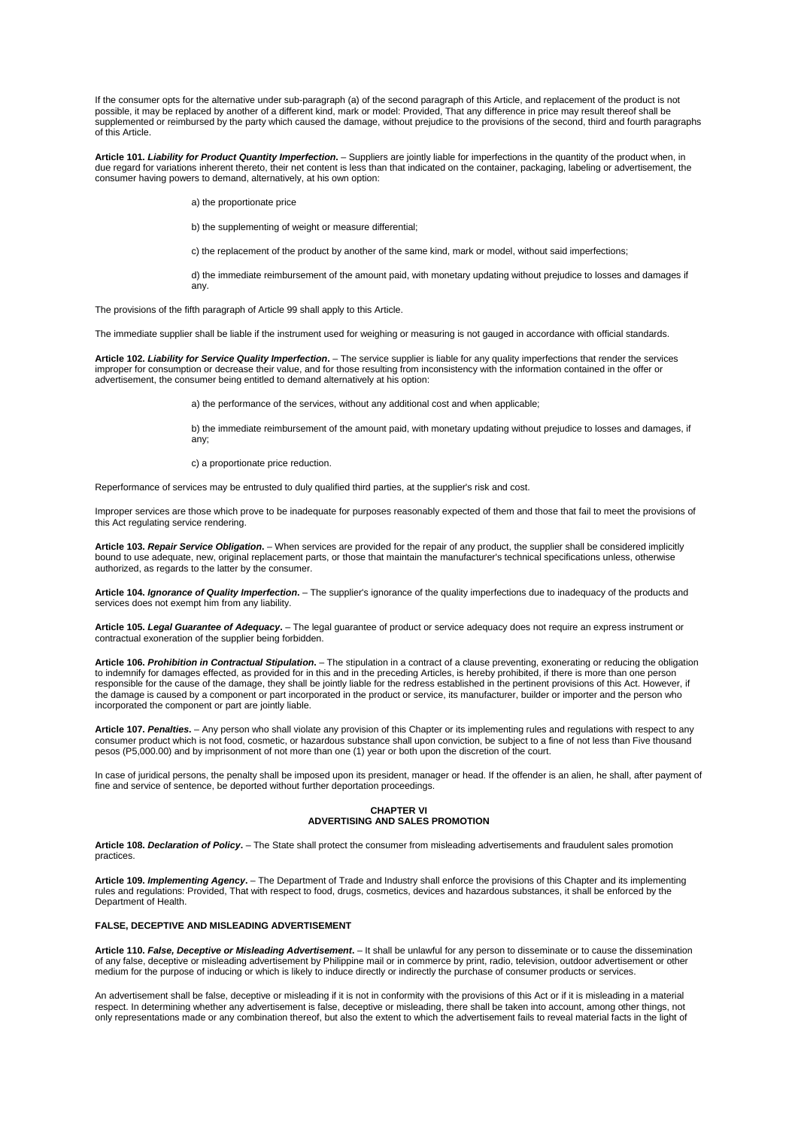If the consumer opts for the alternative under sub-paragraph (a) of the second paragraph of this Article, and replacement of the product is not possible, it may be replaced by another of a different kind, mark or model: Provided, That any difference in price may result thereof shall be supplemented or reimbursed by the party which caused the damage, without prejudice to the provisions of the second, third and fourth paragraphs of this Article.

**Article 101.** *Liability for Product Quantity Imperfection***.** – Suppliers are jointly liable for imperfections in the quantity of the product when, in due regard for variations inherent thereto, their net content is less than that indicated on the container, packaging, labeling or advertisement, the consumer having powers to demand, alternatively, at his own option:

a) the proportionate price

b) the supplementing of weight or measure differential:

c) the replacement of the product by another of the same kind, mark or model, without said imperfections;

d) the immediate reimbursement of the amount paid, with monetary updating without prejudice to losses and damages if any.

The provisions of the fifth paragraph of Article 99 shall apply to this Article.

The immediate supplier shall be liable if the instrument used for weighing or measuring is not gauged in accordance with official standards.

**Article 102.** *Liability for Service Quality Imperfection***.** – The service supplier is liable for any quality imperfections that render the services improper for consumption or decrease their value, and for those resulting from inconsistency with the information contained in the offer or advertisement, the consumer being entitled to demand alternatively at his option:

a) the performance of the services, without any additional cost and when applicable;

b) the immediate reimbursement of the amount paid, with monetary updating without prejudice to losses and damages, if any;

c) a proportionate price reduction.

Reperformance of services may be entrusted to duly qualified third parties, at the supplier's risk and cost.

Improper services are those which prove to be inadequate for purposes reasonably expected of them and those that fail to meet the provisions of this Act regulating service rendering.

**Article 103.** *Repair Service Obligation***.** – When services are provided for the repair of any product, the supplier shall be considered implicitly bound to use adequate, new, original replacement parts, or those that maintain the manufacturer's technical specifications unless, otherwise authorized, as regards to the latter by the consumer.

**Article 104.** *Ignorance of Quality Imperfection***.** – The supplier's ignorance of the quality imperfections due to inadequacy of the products and services does not exempt him from any liability.

**Article 105.** *Legal Guarantee of Adequacy***.** – The legal guarantee of product or service adequacy does not require an express instrument or contractual exoneration of the supplier being forbidden.

**Article 106.** *Prohibition in Contractual Stipulation***.** – The stipulation in a contract of a clause preventing, exonerating or reducing the obligation to indemnify for damages effected, as provided for in this and in the preceding Articles, is hereby prohibited, if there is more than one person responsible for the cause of the damage, they shall be jointly liable for the redress established in the pertinent provisions of this Act. However, if the damage is caused by a component or part incorporated in the product or service, its manufacturer, builder or importer and the person who incorporated the component or part are jointly liable.

**Article 107.** *Penalties***.** – Any person who shall violate any provision of this Chapter or its implementing rules and regulations with respect to any consumer product which is not food, cosmetic, or hazardous substance shall upon conviction, be subject to a fine of not less than Five thousand pesos (P5,000.00) and by imprisonment of not more than one (1) year or both upon the discretion of the court.

In case of juridical persons, the penalty shall be imposed upon its president, manager or head. If the offender is an alien, he shall, after payment of fine and service of sentence, be deported without further deportation proceedings.

# **CHAPTER VI ADVERTISING AND SALES PROMOTION**

**Article 108.** *Declaration of Policy***.** – The State shall protect the consumer from misleading advertisements and fraudulent sales promotion practices.

**Article 109.** *Implementing Agency***.** – The Department of Trade and Industry shall enforce the provisions of this Chapter and its implementing rules and regulations: Provided, That with respect to food, drugs, cosmetics, devices and hazardous substances, it shall be enforced by the Department of Health.

## **FALSE, DECEPTIVE AND MISLEADING ADVERTISEMENT**

**Article 110.** *False, Deceptive or Misleading Advertisement***.** – It shall be unlawful for any person to disseminate or to cause the dissemination of any false, deceptive or misleading advertisement by Philippine mail or in commerce by print, radio, television, outdoor advertisement or other medium for the purpose of inducing or which is likely to induce directly or indirectly the purchase of consumer products or services.

An advertisement shall be false, deceptive or misleading if it is not in conformity with the provisions of this Act or if it is misleading in a material respect. In determining whether any advertisement is false, deceptive or misleading, there shall be taken into account, among other things, not only representations made or any combination thereof, but also the extent to which the advertisement fails to reveal material facts in the light of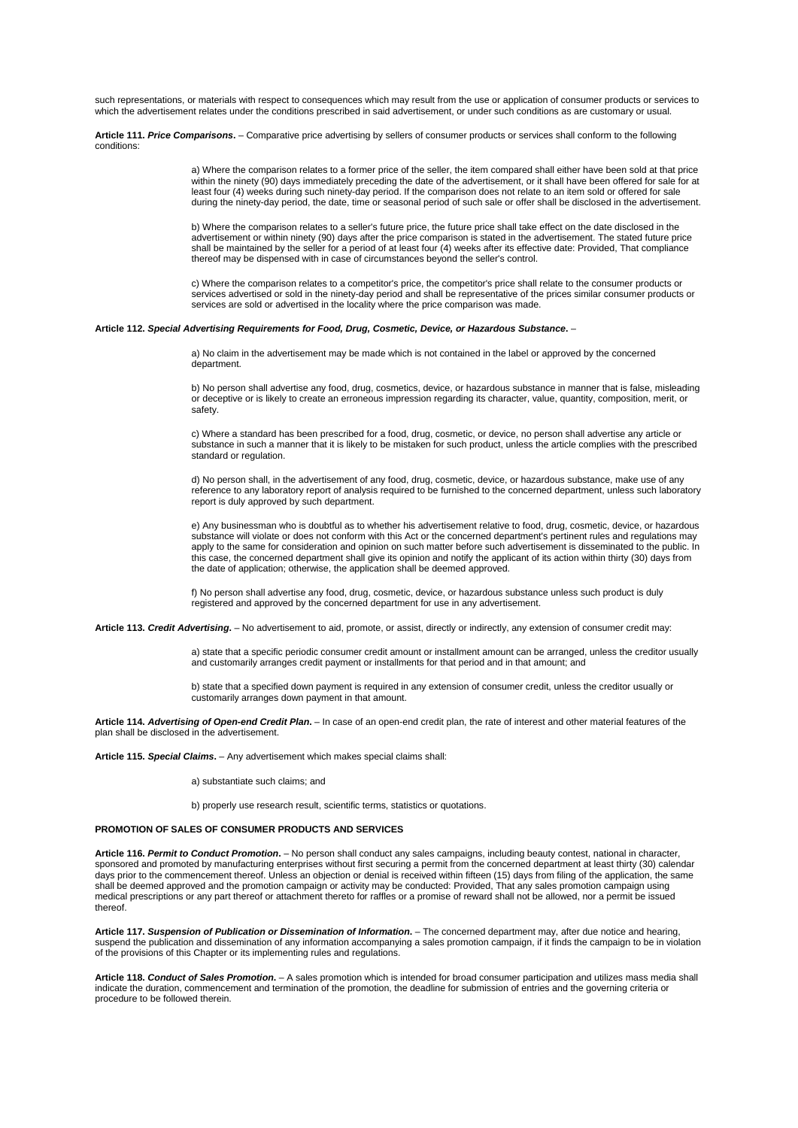such representations, or materials with respect to consequences which may result from the use or application of consumer products or services to which the advertisement relates under the conditions prescribed in said advertisement, or under such conditions as are customary or usual.

**Article 111.** *Price Comparisons***.** – Comparative price advertising by sellers of consumer products or services shall conform to the following conditions:

> a) Where the comparison relates to a former price of the seller, the item compared shall either have been sold at that price within the ninety (90) days immediately preceding the date of the advertisement, or it shall have been offered for sale for at least four (4) weeks during such ninety-day period. If the comparison does not relate to an item sold or offered for sale during the ninety-day period, the date, time or seasonal period of such sale or offer shall be disclosed in the advertisement.

b) Where the comparison relates to a seller's future price, the future price shall take effect on the date disclosed in the advertisement or within ninety (90) days after the price comparison is stated in the advertisement. The stated future price shall be maintained by the seller for a period of at least four (4) weeks after its effective date: Provided, That compliance thereof may be dispensed with in case of circumstances beyond the seller's control.

c) Where the comparison relates to a competitor's price, the competitor's price shall relate to the consumer products or services advertised or sold in the ninety-day period and shall be representative of the prices similar consumer products or services are sold or advertised in the locality where the price comparison was made.

#### **Article 112.** *Special Advertising Requirements for Food, Drug, Cosmetic, Device, or Hazardous Substance***.** –

a) No claim in the advertisement may be made which is not contained in the label or approved by the concerned department.

b) No person shall advertise any food, drug, cosmetics, device, or hazardous substance in manner that is false, misleading or deceptive or is likely to create an erroneous impression regarding its character, value, quantity, composition, merit, or safety.

c) Where a standard has been prescribed for a food, drug, cosmetic, or device, no person shall advertise any article or substance in such a manner that it is likely to be mistaken for such product, unless the article complies with the prescribed standard or regulation.

d) No person shall, in the advertisement of any food, drug, cosmetic, device, or hazardous substance, make use of any reference to any laboratory report of analysis required to be furnished to the concerned department, unless such laboratory report is duly approved by such department.

e) Any businessman who is doubtful as to whether his advertisement relative to food, drug, cosmetic, device, or hazardous substance will violate or does not conform with this Act or the concerned department's pertinent rules and regulations may apply to the same for consideration and opinion on such matter before such advertisement is disseminated to the public. In this case, the concerned department shall give its opinion and notify the applicant of its action within thirty (30) days from the date of application; otherwise, the application shall be deemed approved.

f) No person shall advertise any food, drug, cosmetic, device, or hazardous substance unless such product is duly registered and approved by the concerned department for use in any advertisement.

**Article 113.** *Credit Advertising***.** – No advertisement to aid, promote, or assist, directly or indirectly, any extension of consumer credit may:

a) state that a specific periodic consumer credit amount or installment amount can be arranged, unless the creditor usually and customarily arranges credit payment or installments for that period and in that amount; and

b) state that a specified down payment is required in any extension of consumer credit, unless the creditor usually or customarily arranges down payment in that amount.

**Article 114.** *Advertising of Open-end Credit Plan***.** – In case of an open-end credit plan, the rate of interest and other material features of the plan shall be disclosed in the advertisement.

**Article 115.** *Special Claims***.** – Any advertisement which makes special claims shall:

a) substantiate such claims; and

b) properly use research result, scientific terms, statistics or quotations.

# **PROMOTION OF SALES OF CONSUMER PRODUCTS AND SERVICES**

**Article 116.** *Permit to Conduct Promotion***.** – No person shall conduct any sales campaigns, including beauty contest, national in character, sponsored and promoted by manufacturing enterprises without first securing a permit from the concerned department at least thirty (30) calendar days prior to the commencement thereof. Unless an objection or denial is received within fifteen (15) days from filing of the application, the same shall be deemed approved and the promotion campaign or activity may be conducted: Provided, That any sales promotion campaign using medical prescriptions or any part thereof or attachment thereto for raffles or a promise of reward shall not be allowed, nor a permit be issued thereof.

**Article 117.** *Suspension of Publication or Dissemination of Information***.** – The concerned department may, after due notice and hearing, suspend the publication and dissemination of any information accompanying a sales promotion campaign, if it finds the campaign to be in violation of the provisions of this Chapter or its implementing rules and regulations.

**Article 118.** *Conduct of Sales Promotion***.** – A sales promotion which is intended for broad consumer participation and utilizes mass media shall indicate the duration, commencement and termination of the promotion, the deadline for submission of entries and the governing criteria or procedure to be followed therein.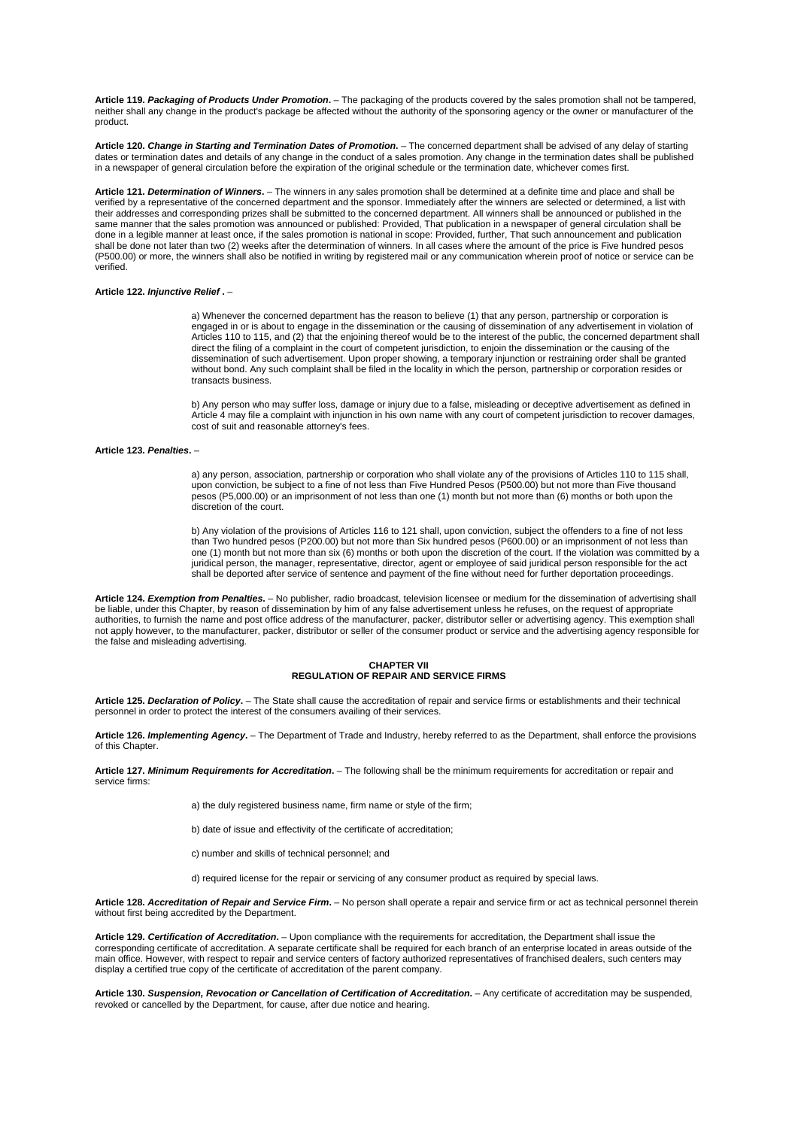**Article 119.** *Packaging of Products Under Promotion***.** – The packaging of the products covered by the sales promotion shall not be tampered, neither shall any change in the product's package be affected without the authority of the sponsoring agency or the owner or manufacturer of the product.

**Article 120.** *Change in Starting and Termination Dates of Promotion***.** – The concerned department shall be advised of any delay of starting dates or termination dates and details of any change in the conduct of a sales promotion. Any change in the termination dates shall be published in a newspaper of general circulation before the expiration of the original schedule or the termination date, whichever comes first.

**Article 121.** *Determination of Winners***.** – The winners in any sales promotion shall be determined at a definite time and place and shall be verified by a representative of the concerned department and the sponsor. Immediately after the winners are selected or determined, a list with their addresses and corresponding prizes shall be submitted to the concerned department. All winners shall be announced or published in the same manner that the sales promotion was announced or published: Provided, That publication in a newspaper of general circulation shall be done in a legible manner at least once, if the sales promotion is national in scope: Provided, further, That such announcement and publication shall be done not later than two (2) weeks after the determination of winners. In all cases where the amount of the price is Five hundred pesos (P500.00) or more, the winners shall also be notified in writing by registered mail or any communication wherein proof of notice or service can be verified.

#### **Article 122.** *Injunctive Relief* **.** –

a) Whenever the concerned department has the reason to believe (1) that any person, partnership or corporation is engaged in or is about to engage in the dissemination or the causing of dissemination of any advertisement in violation of Articles 110 to 115, and (2) that the enjoining thereof would be to the interest of the public, the concerned department shall direct the filing of a complaint in the court of competent jurisdiction, to enjoin the dissemination or the causing of the dissemination of such advertisement. Upon proper showing, a temporary injunction or restraining order shall be granted without bond. Any such complaint shall be filed in the locality in which the person, partnership or corporation resides or transacts business.

b) Any person who may suffer loss, damage or injury due to a false, misleading or deceptive advertisement as defined in Article 4 may file a complaint with injunction in his own name with any court of competent jurisdiction to recover damages, cost of suit and reasonable attorney's fees.

## **Article 123.** *Penalties***.** –

a) any person, association, partnership or corporation who shall violate any of the provisions of Articles 110 to 115 shall, upon conviction, be subject to a fine of not less than Five Hundred Pesos (P500.00) but not more than Five thousand pesos (P5,000.00) or an imprisonment of not less than one (1) month but not more than (6) months or both upon the discretion of the court.

b) Any violation of the provisions of Articles 116 to 121 shall, upon conviction, subject the offenders to a fine of not less than Two hundred pesos (P200.00) but not more than Six hundred pesos (P600.00) or an imprisonment of not less than one (1) month but not more than six (6) months or both upon the discretion of the court. If the violation was committed by a juridical person, the manager, representative, director, agent or employee of said juridical person responsible for the act shall be deported after service of sentence and payment of the fine without need for further deportation proceedings.

**Article 124.** *Exemption from Penalties***.** – No publisher, radio broadcast, television licensee or medium for the dissemination of advertising shall be liable, under this Chapter, by reason of dissemination by him of any false advertisement unless he refuses, on the request of appropriate authorities, to furnish the name and post office address of the manufacturer, packer, distributor seller or advertising agency. This exemption shall not apply however, to the manufacturer, packer, distributor or seller of the consumer product or service and the advertising agency responsible for the false and misleading advertising.

# **CHAPTER VII REGULATION OF REPAIR AND SERVICE FIRMS**

**Article 125.** *Declaration of Policy***.** – The State shall cause the accreditation of repair and service firms or establishments and their technical personnel in order to protect the interest of the consumers availing of their services.

**Article 126.** *Implementing Agency***.** – The Department of Trade and Industry, hereby referred to as the Department, shall enforce the provisions of this Chapter.

**Article 127.** *Minimum Requirements for Accreditation***.** – The following shall be the minimum requirements for accreditation or repair and service firms:

a) the duly registered business name, firm name or style of the firm;

b) date of issue and effectivity of the certificate of accreditation;

c) number and skills of technical personnel; and

d) required license for the repair or servicing of any consumer product as required by special laws.

**Article 128.** *Accreditation of Repair and Service Firm***.** – No person shall operate a repair and service firm or act as technical personnel therein without first being accredited by the Department.

**Article 129.** *Certification of Accreditation***.** – Upon compliance with the requirements for accreditation, the Department shall issue the corresponding certificate of accreditation. A separate certificate shall be required for each branch of an enterprise located in areas outside of the main office. However, with respect to repair and service centers of factory authorized representatives of franchised dealers, such centers may display a certified true copy of the certificate of accreditation of the parent company.

**Article 130.** *Suspension, Revocation or Cancellation of Certification of Accreditation***.** – Any certificate of accreditation may be suspended, revoked or cancelled by the Department, for cause, after due notice and hearing.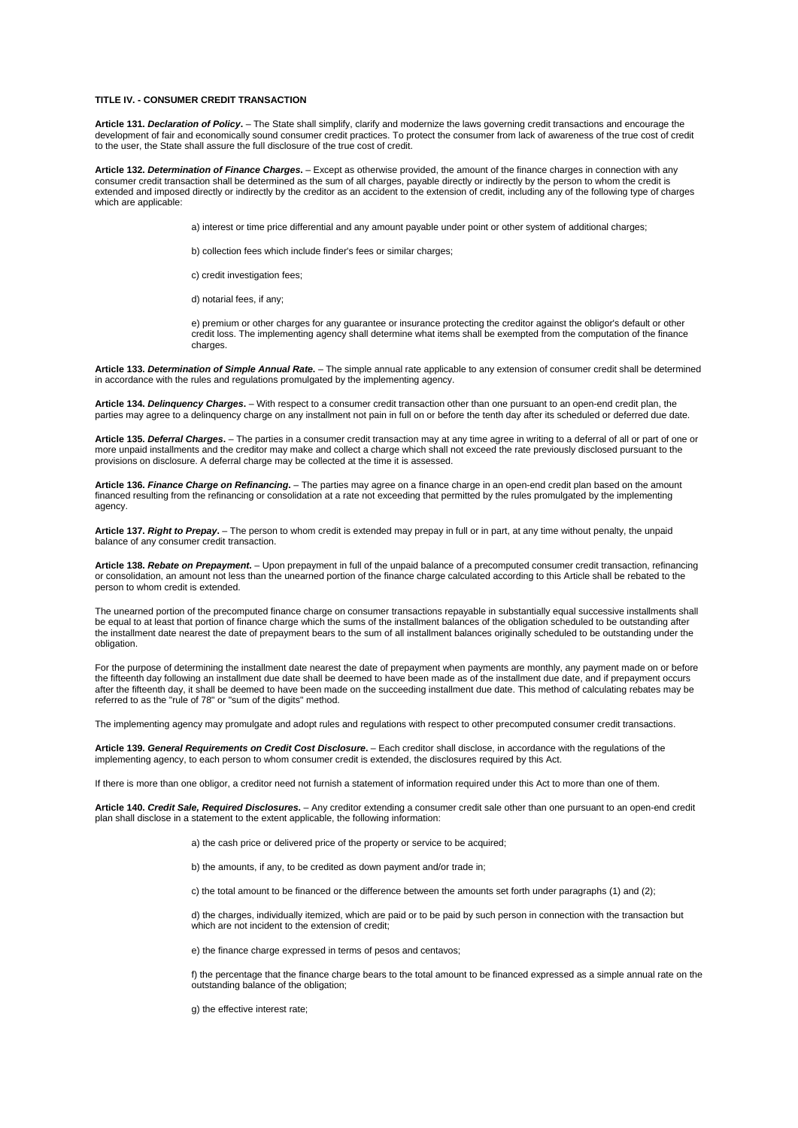# **TITLE IV. - CONSUMER CREDIT TRANSACTION**

**Article 131.** *Declaration of Policy***.** – The State shall simplify, clarify and modernize the laws governing credit transactions and encourage the development of fair and economically sound consumer credit practices. To protect the consumer from lack of awareness of the true cost of credit to the user, the State shall assure the full disclosure of the true cost of credit.

**Article 132.** *Determination of Finance Charges***.** – Except as otherwise provided, the amount of the finance charges in connection with any consumer credit transaction shall be determined as the sum of all charges, payable directly or indirectly by the person to whom the credit is extended and imposed directly or indirectly by the creditor as an accident to the extension of credit, including any of the following type of charges which are applicable:

a) interest or time price differential and any amount payable under point or other system of additional charges;

b) collection fees which include finder's fees or similar charges;

c) credit investigation fees;

d) notarial fees, if any;

e) premium or other charges for any guarantee or insurance protecting the creditor against the obligor's default or other credit loss. The implementing agency shall determine what items shall be exempted from the computation of the finance charges.

**Article 133.** *Determination of Simple Annual Rate***.** – The simple annual rate applicable to any extension of consumer credit shall be determined in accordance with the rules and regulations promulgated by the implementing agency.

**Article 134.** *Delinquency Charges***.** – With respect to a consumer credit transaction other than one pursuant to an open-end credit plan, the parties may agree to a delinquency charge on any installment not pain in full on or before the tenth day after its scheduled or deferred due date.

**Article 135.** *Deferral Charges***.** – The parties in a consumer credit transaction may at any time agree in writing to a deferral of all or part of one or more unpaid installments and the creditor may make and collect a charge which shall not exceed the rate previously disclosed pursuant to the provisions on disclosure. A deferral charge may be collected at the time it is assessed.

**Article 136.** *Finance Charge on Refinancing***.** – The parties may agree on a finance charge in an open-end credit plan based on the amount financed resulting from the refinancing or consolidation at a rate not exceeding that permitted by the rules promulgated by the implementing agency.

**Article 137.** *Right to Prepay***.** – The person to whom credit is extended may prepay in full or in part, at any time without penalty, the unpaid balance of any consumer credit transaction.

**Article 138.** *Rebate on Prepayment***.** – Upon prepayment in full of the unpaid balance of a precomputed consumer credit transaction, refinancing or consolidation, an amount not less than the unearned portion of the finance charge calculated according to this Article shall be rebated to the person to whom credit is extended.

The unearned portion of the precomputed finance charge on consumer transactions repayable in substantially equal successive installments shall be equal to at least that portion of finance charge which the sums of the installment balances of the obligation scheduled to be outstanding after the installment date nearest the date of prepayment bears to the sum of all installment balances originally scheduled to be outstanding under the obligation

For the purpose of determining the installment date nearest the date of prepayment when payments are monthly, any payment made on or before the fifteenth day following an installment due date shall be deemed to have been made as of the installment due date, and if prepayment occurs after the fifteenth day, it shall be deemed to have been made on the succeeding installment due date. This method of calculating rebates may be referred to as the "rule of 78" or "sum of the digits" method.

The implementing agency may promulgate and adopt rules and regulations with respect to other precomputed consumer credit transactions.

**Article 139.** *General Requirements on Credit Cost Disclosure***.** – Each creditor shall disclose, in accordance with the regulations of the implementing agency, to each person to whom consumer credit is extended, the disclosures required by this Act.

If there is more than one obligor, a creditor need not furnish a statement of information required under this Act to more than one of them.

**Article 140.** *Credit Sale, Required Disclosures***.** – Any creditor extending a consumer credit sale other than one pursuant to an open-end credit plan shall disclose in a statement to the extent applicable, the following information:

- a) the cash price or delivered price of the property or service to be acquired;
- b) the amounts, if any, to be credited as down payment and/or trade in;

c) the total amount to be financed or the difference between the amounts set forth under paragraphs (1) and (2);

d) the charges, individually itemized, which are paid or to be paid by such person in connection with the transaction but which are not incident to the extension of credit:

e) the finance charge expressed in terms of pesos and centavos;

f) the percentage that the finance charge bears to the total amount to be financed expressed as a simple annual rate on the outstanding balance of the obligation;

g) the effective interest rate: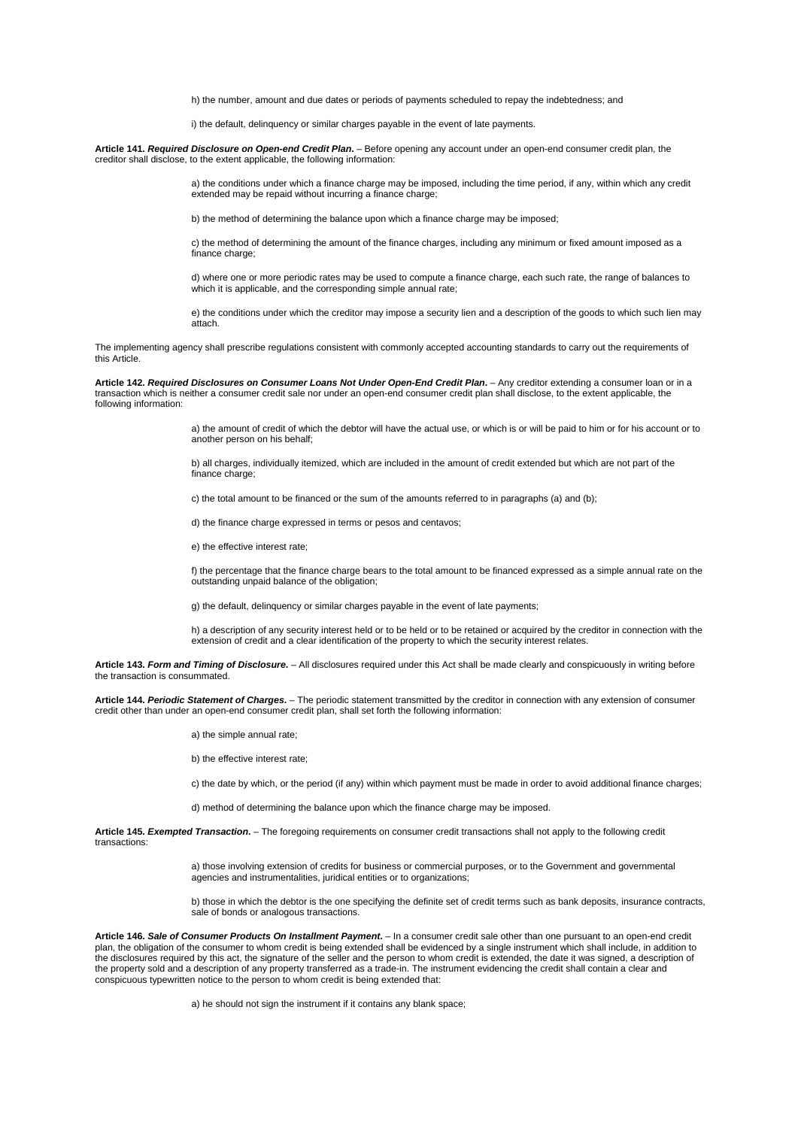h) the number, amount and due dates or periods of payments scheduled to repay the indebtedness; and

i) the default, delinquency or similar charges payable in the event of late payments.

**Article 141.** *Required Disclosure on Open-end Credit Plan***.** – Before opening any account under an open-end consumer credit plan, the creditor shall disclose, to the extent applicable, the following information:

> a) the conditions under which a finance charge may be imposed, including the time period, if any, within which any credit extended may be repaid without incurring a finance charge;

b) the method of determining the balance upon which a finance charge may be imposed;

c) the method of determining the amount of the finance charges, including any minimum or fixed amount imposed as a finance charge:

d) where one or more periodic rates may be used to compute a finance charge, each such rate, the range of balances to which it is applicable, and the corresponding simple annual rate;

e) the conditions under which the creditor may impose a security lien and a description of the goods to which such lien may attach.

The implementing agency shall prescribe regulations consistent with commonly accepted accounting standards to carry out the requirements of this Article.

**Article 142.** *Required Disclosures on Consumer Loans Not Under Open-End Credit Plan***.** – Any creditor extending a consumer loan or in a transaction which is neither a consumer credit sale nor under an open-end consumer credit plan shall disclose, to the extent applicable, the following information:

> a) the amount of credit of which the debtor will have the actual use, or which is or will be paid to him or for his account or to another person on his behalf;

b) all charges, individually itemized, which are included in the amount of credit extended but which are not part of the finance charge;

c) the total amount to be financed or the sum of the amounts referred to in paragraphs (a) and (b);

d) the finance charge expressed in terms or pesos and centavos;

e) the effective interest rate;

f) the percentage that the finance charge bears to the total amount to be financed expressed as a simple annual rate on the outstanding unpaid balance of the obligation;

g) the default, delinquency or similar charges payable in the event of late payments;

h) a description of any security interest held or to be held or to be retained or acquired by the creditor in connection with the extension of credit and a clear identification of the property to which the security interest relates.

**Article 143.** *Form and Timing of Disclosure***.** – All disclosures required under this Act shall be made clearly and conspicuously in writing before the transaction is consummated.

**Article 144.** *Periodic Statement of Charges***.** – The periodic statement transmitted by the creditor in connection with any extension of consumer credit other than under an open-end consumer credit plan, shall set forth the following information:

a) the simple annual rate;

b) the effective interest rate;

c) the date by which, or the period (if any) within which payment must be made in order to avoid additional finance charges;

d) method of determining the balance upon which the finance charge may be imposed.

**Article 145.** *Exempted Transaction***.** – The foregoing requirements on consumer credit transactions shall not apply to the following credit transactions:

> a) those involving extension of credits for business or commercial purposes, or to the Government and governmental agencies and instrumentalities, juridical entities or to organizations;

b) those in which the debtor is the one specifying the definite set of credit terms such as bank deposits, insurance contracts, sale of bonds or analogous transactions.

**Article 146.** *Sale of Consumer Products On Installment Payment***.** – In a consumer credit sale other than one pursuant to an open-end credit plan, the obligation of the consumer to whom credit is being extended shall be evidenced by a single instrument which shall include, in addition to the disclosures required by this act, the signature of the seller and the person to whom credit is extended, the date it was signed, a description of the property sold and a description of any property transferred as a trade-in. The instrument evidencing the credit shall contain a clear and conspicuous typewritten notice to the person to whom credit is being extended that:

a) he should not sign the instrument if it contains any blank space;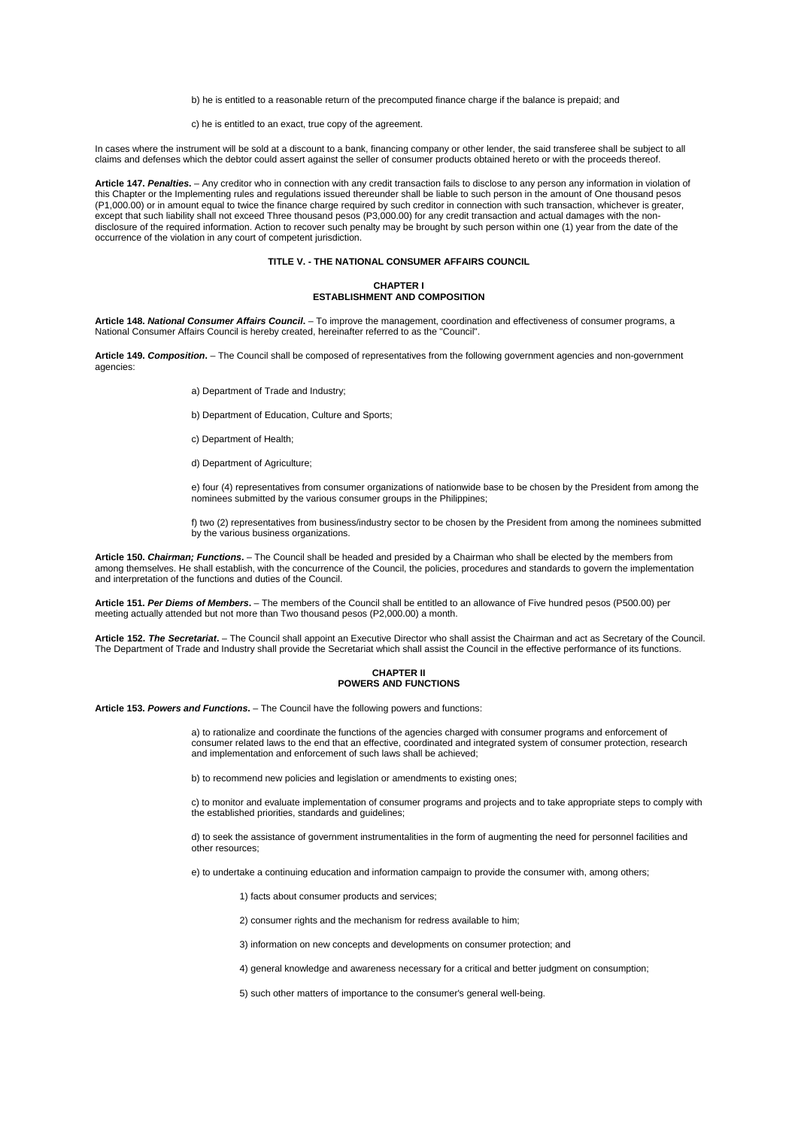b) he is entitled to a reasonable return of the precomputed finance charge if the balance is prepaid; and

c) he is entitled to an exact, true copy of the agreement.

In cases where the instrument will be sold at a discount to a bank, financing company or other lender, the said transferee shall be subject to all claims and defenses which the debtor could assert against the seller of consumer products obtained hereto or with the proceeds thereof.

**Article 147.** *Penalties***.** – Any creditor who in connection with any credit transaction fails to disclose to any person any information in violation of this Chapter or the Implementing rules and regulations issued thereunder shall be liable to such person in the amount of One thousand pesos (P1,000.00) or in amount equal to twice the finance charge required by such creditor in connection with such transaction, whichever is greater, except that such liability shall not exceed Three thousand pesos (P3,000.00) for any credit transaction and actual damages with the nondisclosure of the required information. Action to recover such penalty may be brought by such person within one (1) year from the date of the occurrence of the violation in any court of competent jurisdiction.

# **TITLE V. - THE NATIONAL CONSUMER AFFAIRS COUNCIL**

# **CHAPTER I ESTABLISHMENT AND COMPOSITION**

**Article 148.** *National Consumer Affairs Council***.** – To improve the management, coordination and effectiveness of consumer programs, a National Consumer Affairs Council is hereby created, hereinafter referred to as the "Council".

**Article 149.** *Composition***.** – The Council shall be composed of representatives from the following government agencies and non-government agencies:

a) Department of Trade and Industry;

b) Department of Education, Culture and Sports;

- c) Department of Health;
- d) Department of Agriculture;

e) four (4) representatives from consumer organizations of nationwide base to be chosen by the President from among the nominees submitted by the various consumer groups in the Philippines;

f) two (2) representatives from business/industry sector to be chosen by the President from among the nominees submitted by the various business organizations.

**Article 150.** *Chairman; Functions***.** – The Council shall be headed and presided by a Chairman who shall be elected by the members from among themselves. He shall establish, with the concurrence of the Council, the policies, procedures and standards to govern the implementation and interpretation of the functions and duties of the Council.

**Article 151.** *Per Diems of Members***.** – The members of the Council shall be entitled to an allowance of Five hundred pesos (P500.00) per meeting actually attended but not more than Two thousand pesos (P2,000.00) a month.

**Article 152.** *The Secretariat***.** – The Council shall appoint an Executive Director who shall assist the Chairman and act as Secretary of the Council. The Department of Trade and Industry shall provide the Secretariat which shall assist the Council in the effective performance of its functions.

#### **CHAPTER II POWERS AND FUNCTIONS**

**Article 153.** *Powers and Functions***.** – The Council have the following powers and functions:

a) to rationalize and coordinate the functions of the agencies charged with consumer programs and enforcement of consumer related laws to the end that an effective, coordinated and integrated system of consumer protection, research and implementation and enforcement of such laws shall be achieved;

b) to recommend new policies and legislation or amendments to existing ones;

c) to monitor and evaluate implementation of consumer programs and projects and to take appropriate steps to comply with the established priorities, standards and guidelines;

d) to seek the assistance of government instrumentalities in the form of augmenting the need for personnel facilities and other resources;

e) to undertake a continuing education and information campaign to provide the consumer with, among others;

1) facts about consumer products and services;

2) consumer rights and the mechanism for redress available to him;

3) information on new concepts and developments on consumer protection; and

4) general knowledge and awareness necessary for a critical and better judgment on consumption;

5) such other matters of importance to the consumer's general well-being.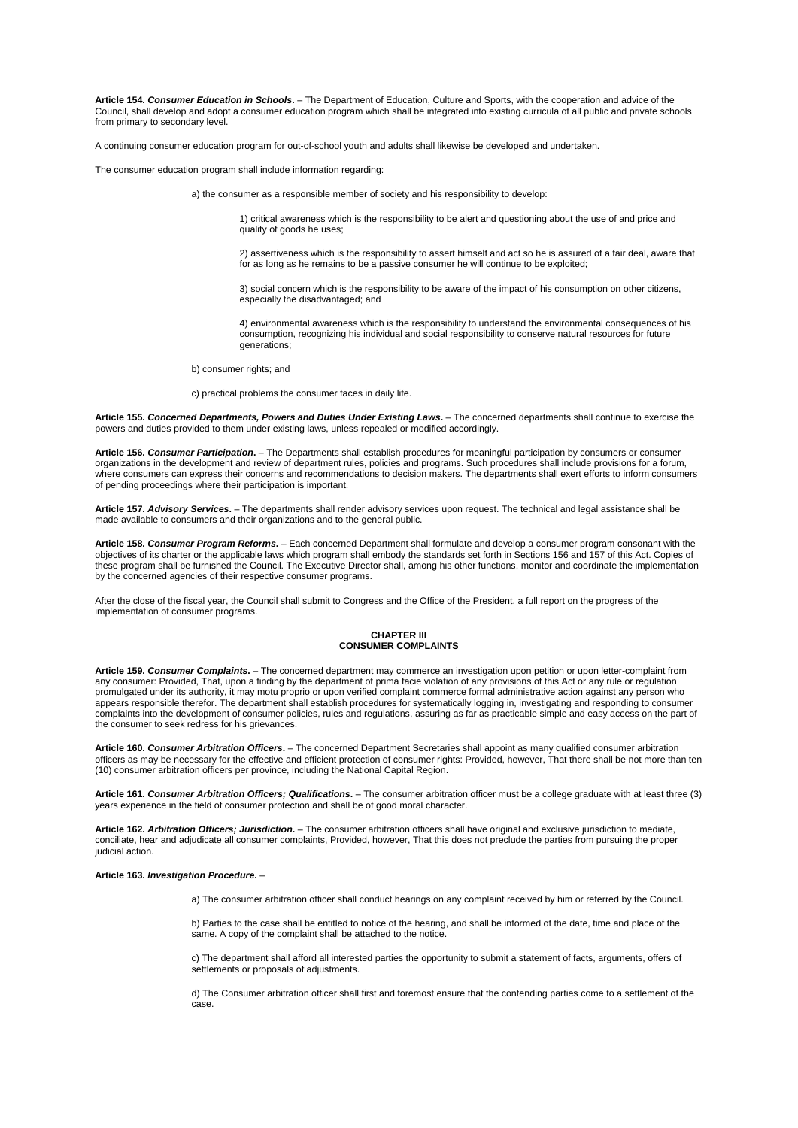**Article 154.** *Consumer Education in Schools***.** – The Department of Education, Culture and Sports, with the cooperation and advice of the Council, shall develop and adopt a consumer education program which shall be integrated into existing curricula of all public and private schools from primary to secondary level.

A continuing consumer education program for out-of-school youth and adults shall likewise be developed and undertaken.

The consumer education program shall include information regarding:

a) the consumer as a responsible member of society and his responsibility to develop:

1) critical awareness which is the responsibility to be alert and questioning about the use of and price and quality of goods he uses;

2) assertiveness which is the responsibility to assert himself and act so he is assured of a fair deal, aware that for as long as he remains to be a passive consumer he will continue to be exploited;

3) social concern which is the responsibility to be aware of the impact of his consumption on other citizens, especially the disadvantaged; and

4) environmental awareness which is the responsibility to understand the environmental consequences of his consumption, recognizing his individual and social responsibility to conserve natural resources for future generations;

b) consumer rights; and

c) practical problems the consumer faces in daily life.

**Article 155.** *Concerned Departments, Powers and Duties Under Existing Laws***.** – The concerned departments shall continue to exercise the powers and duties provided to them under existing laws, unless repealed or modified accordingly.

**Article 156.** *Consumer Participation***.** – The Departments shall establish procedures for meaningful participation by consumers or consumer organizations in the development and review of department rules, policies and programs. Such procedures shall include provisions for a forum, where consumers can express their concerns and recommendations to decision makers. The departments shall exert efforts to inform consumers of pending proceedings where their participation is important.

**Article 157.** *Advisory Services***.** – The departments shall render advisory services upon request. The technical and legal assistance shall be made available to consumers and their organizations and to the general public.

**Article 158.** *Consumer Program Reforms***.** – Each concerned Department shall formulate and develop a consumer program consonant with the objectives of its charter or the applicable laws which program shall embody the standards set forth in Sections 156 and 157 of this Act. Copies of these program shall be furnished the Council. The Executive Director shall, among his other functions, monitor and coordinate the implementation by the concerned agencies of their respective consumer programs.

After the close of the fiscal year, the Council shall submit to Congress and the Office of the President, a full report on the progress of the implementation of consumer programs.

# **CHAPTER III CONSUMER COMPLAINTS**

**Article 159.** *Consumer Complaints***.** – The concerned department may commerce an investigation upon petition or upon letter-complaint from any consumer: Provided, That, upon a finding by the department of prima facie violation of any provisions of this Act or any rule or regulation promulgated under its authority, it may motu proprio or upon verified complaint commerce formal administrative action against any person who appears responsible therefor. The department shall establish procedures for systematically logging in, investigating and responding to consumer complaints into the development of consumer policies, rules and regulations, assuring as far as practicable simple and easy access on the part of the consumer to seek redress for his grievances.

**Article 160.** *Consumer Arbitration Officers***.** – The concerned Department Secretaries shall appoint as many qualified consumer arbitration officers as may be necessary for the effective and efficient protection of consumer rights: Provided, however, That there shall be not more than ten (10) consumer arbitration officers per province, including the National Capital Region.

**Article 161.** *Consumer Arbitration Officers; Qualifications***.** – The consumer arbitration officer must be a college graduate with at least three (3) years experience in the field of consumer protection and shall be of good moral character.

**Article 162.** *Arbitration Officers; Jurisdiction***.** – The consumer arbitration officers shall have original and exclusive jurisdiction to mediate, conciliate, hear and adjudicate all consumer complaints, Provided, however, That this does not preclude the parties from pursuing the proper judicial action.

#### **Article 163.** *Investigation Procedure***.** –

a) The consumer arbitration officer shall conduct hearings on any complaint received by him or referred by the Council.

b) Parties to the case shall be entitled to notice of the hearing, and shall be informed of the date, time and place of the same. A copy of the complaint shall be attached to the notice.

c) The department shall afford all interested parties the opportunity to submit a statement of facts, arguments, offers of settlements or proposals of adjustments.

d) The Consumer arbitration officer shall first and foremost ensure that the contending parties come to a settlement of the case.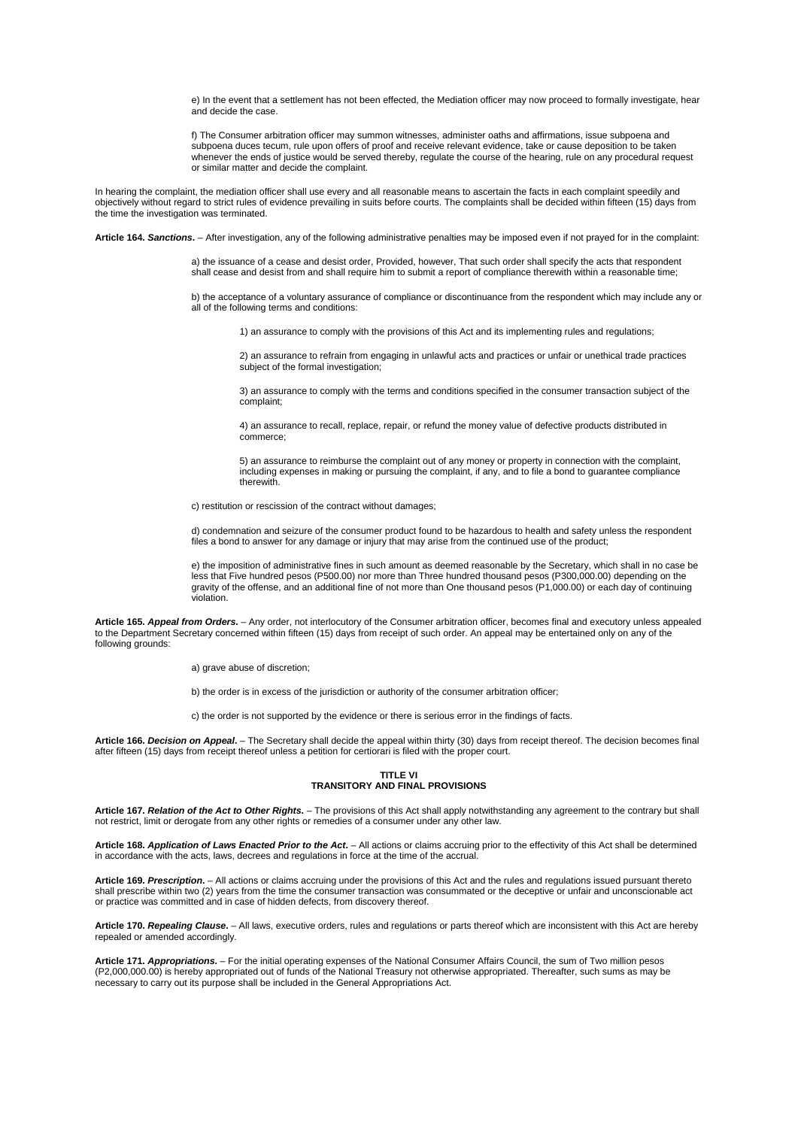e) In the event that a settlement has not been effected, the Mediation officer may now proceed to formally investigate, hear and decide the case.

f) The Consumer arbitration officer may summon witnesses, administer oaths and affirmations, issue subpoena and subpoena duces tecum, rule upon offers of proof and receive relevant evidence, take or cause deposition to be taken whenever the ends of justice would be served thereby, regulate the course of the hearing, rule on any procedural request or similar matter and decide the complaint.

In hearing the complaint, the mediation officer shall use every and all reasonable means to ascertain the facts in each complaint speedily and objectively without regard to strict rules of evidence prevailing in suits before courts. The complaints shall be decided within fifteen (15) days from the time the investigation was terminated.

**Article 164.** *Sanctions***.** – After investigation, any of the following administrative penalties may be imposed even if not prayed for in the complaint:

a) the issuance of a cease and desist order, Provided, however, That such order shall specify the acts that respondent shall cease and desist from and shall require him to submit a report of compliance therewith within a reasonable time;

b) the acceptance of a voluntary assurance of compliance or discontinuance from the respondent which may include any or all of the following terms and conditions:

1) an assurance to comply with the provisions of this Act and its implementing rules and regulations;

2) an assurance to refrain from engaging in unlawful acts and practices or unfair or unethical trade practices subject of the formal investigation;

3) an assurance to comply with the terms and conditions specified in the consumer transaction subject of the complaint;

4) an assurance to recall, replace, repair, or refund the money value of defective products distributed in commerce;

5) an assurance to reimburse the complaint out of any money or property in connection with the complaint, including expenses in making or pursuing the complaint, if any, and to file a bond to guarantee compliance therewith.

c) restitution or rescission of the contract without damages;

d) condemnation and seizure of the consumer product found to be hazardous to health and safety unless the respondent files a bond to answer for any damage or injury that may arise from the continued use of the product;

e) the imposition of administrative fines in such amount as deemed reasonable by the Secretary, which shall in no case be less that Five hundred pesos (P500.00) nor more than Three hundred thousand pesos (P300,000.00) depending on the gravity of the offense, and an additional fine of not more than One thousand pesos (P1,000.00) or each day of continuing violation.

**Article 165.** *Appeal from Orders***.** – Any order, not interlocutory of the Consumer arbitration officer, becomes final and executory unless appealed to the Department Secretary concerned within fifteen (15) days from receipt of such order. An appeal may be entertained only on any of the following grounds:

a) grave abuse of discretion:

b) the order is in excess of the jurisdiction or authority of the consumer arbitration officer;

c) the order is not supported by the evidence or there is serious error in the findings of facts.

**Article 166.** *Decision on Appeal***.** – The Secretary shall decide the appeal within thirty (30) days from receipt thereof. The decision becomes final after fifteen (15) days from receipt thereof unless a petition for certiorari is filed with the proper court.

# **TITLE VI TRANSITORY AND FINAL PROVISIONS**

**Article 167.** *Relation of the Act to Other Rights***.** – The provisions of this Act shall apply notwithstanding any agreement to the contrary but shall not restrict, limit or derogate from any other rights or remedies of a consumer under any other law.

**Article 168.** *Application of Laws Enacted Prior to the Act***.** – All actions or claims accruing prior to the effectivity of this Act shall be determined in accordance with the acts, laws, decrees and regulations in force at the time of the accrual.

**Article 169.** *Prescription***.** – All actions or claims accruing under the provisions of this Act and the rules and regulations issued pursuant thereto shall prescribe within two (2) years from the time the consumer transaction was consummated or the deceptive or unfair and unconscionable act or practice was committed and in case of hidden defects, from discovery thereof.

**Article 170.** *Repealing Clause***.** – All laws, executive orders, rules and regulations or parts thereof which are inconsistent with this Act are hereby repealed or amended accordingly.

**Article 171.** *Appropriations***.** – For the initial operating expenses of the National Consumer Affairs Council, the sum of Two million pesos (P2,000,000.00) is hereby appropriated out of funds of the National Treasury not otherwise appropriated. Thereafter, such sums as may be necessary to carry out its purpose shall be included in the General Appropriations Act.